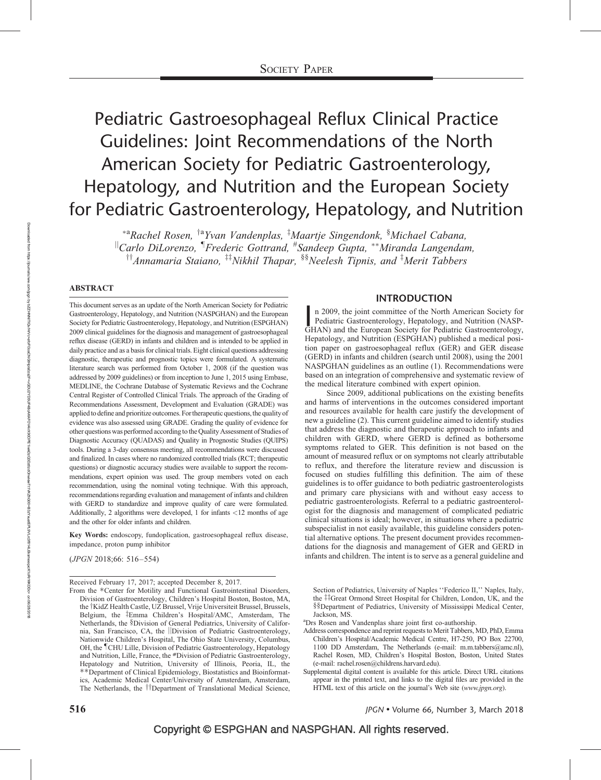# Pediatric Gastroesophageal Reflux Clinical Practice Guidelines: Joint Recommendations of the North American Society for Pediatric Gastroenterology, Hepatology, and Nutrition and the European Society for Pediatric Gastroenterology, Hepatology, and Nutrition

\*<sup>a</sup>Rachel Rosen, <sup>†a</sup>Yvan Vandenplas, <sup>‡</sup>Maartje Singendonk, <sup>§</sup>Michael Cabana,  $\mathbb{I}_{\text{Carlo Dilorenzo}, \mathbb{I}_{\text{Frederic Gottrand}, \mathbb{I}_{\text{Sandeep Supta}, \mathbb{I}_{\text{N}}}}$  Miranda Langendam,  $^{\dagger\dagger}$ Annamaria Staiano,  $^{\ddagger\ddagger}$ Nikhil Thapar,  $^{88}$ Neelesh Tipnis, and  $^{\ddagger}$ Merit Tabbers

### ABSTRACT

This document serves as an update of the North American Society for Pediatric Gastroenterology, Hepatology, and Nutrition (NASPGHAN) and the European Society for Pediatric Gastroenterology, Hepatology, and Nutrition (ESPGHAN) 2009 clinical guidelines for the diagnosis and management of gastroesophageal reflux disease (GERD) in infants and children and is intended to be applied in daily practice and as a basis for clinical trials. Eight clinical questions addressing diagnostic, therapeutic and prognostic topics were formulated. A systematic literature search was performed from October 1, 2008 (if the question was addressed by 2009 guidelines) or from inception to June 1, 2015 using Embase, MEDLINE, the Cochrane Database of Systematic Reviews and the Cochrane Central Register of Controlled Clinical Trials. The approach of the Grading of Recommendations Assessment, Development and Evaluation (GRADE) was applied to define and prioritize outcomes. For therapeutic questions, the quality of evidence was also assessed using GRADE. Grading the quality of evidence for other questions was performed according to the Quality Assessment of Studies of Diagnostic Accuracy (QUADAS) and Quality in Prognostic Studies (QUIPS) tools. During a 3-day consensus meeting, all recommendations were discussed and finalized. In cases where no randomized controlled trials (RCT; therapeutic questions) or diagnostic accuracy studies were available to support the recommendations, expert opinion was used. The group members voted on each recommendation, using the nominal voting technique. With this approach, recommendations regarding evaluation and management of infants and children with GERD to standardize and improve quality of care were formulated. Additionally, 2 algorithms were developed, 1 for infants <12 months of age and the other for older infants and children.

Key Words: endoscopy, fundoplication, gastroesophageal reflux disease, impedance, proton pump inhibitor

(JPGN 2018;66: 516–554)

Received February 17, 2017; accepted December 8, 2017.

### INTRODUCTION

n 2009, the joint committee of the North American Society for Pediatric Gastroenterology, Hepatology, and Nutrition (NASP-GHAN) and the European Society for Pediatric Gastroenterology, n 2009, the joint committee of the North American Society for Pediatric Gastroenterology, Hepatology, and Nutrition (NASP-Hepatology, and Nutrition (ESPGHAN) published a medical position paper on gastroesophageal reflux (GER) and GER disease (GERD) in infants and children (search until 2008), using the 2001 NASPGHAN guidelines as an outline (1). Recommendations were based on an integration of comprehensive and systematic review of the medical literature combined with expert opinion.

Since 2009, additional publications on the existing benefits and harms of interventions in the outcomes considered important and resources available for health care justify the development of new a guideline (2). This current guideline aimed to identify studies that address the diagnostic and therapeutic approach to infants and children with GERD, where GERD is defined as bothersome symptoms related to GER. This definition is not based on the amount of measured reflux or on symptoms not clearly attributable to reflux, and therefore the literature review and discussion is focused on studies fulfilling this definition. The aim of these guidelines is to offer guidance to both pediatric gastroenterologists and primary care physicians with and without easy access to pediatric gastroenterologists. Referral to a pediatric gastroenterologist for the diagnosis and management of complicated pediatric clinical situations is ideal; however, in situations where a pediatric subspecialist in not easily available, this guideline considers potential alternative options. The present document provides recommendations for the diagnosis and management of GER and GERD in infants and children. The intent is to serve as a general guideline and

Section of Pediatrics, University of Naples ''Federico II,'' Naples, Italy, the ‡‡Great Ormond Street Hospital for Children, London, UK, and the §§Department of Pediatrics, University of Mississippi Medical Center, Jackson, MS.

Drs Rosen and Vandenplas share joint first co-authorship.

Address correspondence and reprint requests to Merit Tabbers, MD, PhD, Emma Children's Hospital/Academic Medical Centre, H7-250, PO Box 22700, 1100 DD Amsterdam, The Netherlands (e-mail: [m.m.tabbers@amc.nl](mailto:m.m.tabbers@amc.nl)), Rachel Rosen, MD, Children's Hospital Boston, Boston, United States (e-mail: [rachel.rosen@childrens.harvard.edu](mailto:rachel.rosen@childrens.harvard.edu)).

Supplemental digital content is available for this article. Direct URL citations appear in the printed text, and links to the digital files are provided in the HTML text of this article on the journal's Web site ([www.jpgn.org](http://www.jpgn.org/)).

From the \*Center for Motility and Functional Gastrointestinal Disorders, Division of Gastroenterology, Children's Hospital Boston, Boston, MA, the <sup>†</sup>KidZ Health Castle, UZ Brussel, Vrije Universiteit Brussel, Brussels, Belgium, the <sup>‡</sup>Emma Children's Hospital/AMC, Amsterdam, The Netherlands, the §Division of General Pediatrics, University of California, San Francisco, CA, the *Division* of Pediatric Gastroenterology, Nationwide Children's Hospital, The Ohio State University, Columbus, OH, the <sup>I</sup>CHU Lille, Division of Pediatric Gastroenterology, Hepatology and Nutrition, Lille, France, the #Division of Pediatric Gastroenterology, Hepatology and Nutrition, University of Illinois, Peoria, IL, the --Department of Clinical Epidemiology, Biostatistics and Bioinformatics, Academic Medical Center/University of Amsterdam, Amsterdam, The Netherlands, the <sup>††</sup>Department of Translational Medical Science,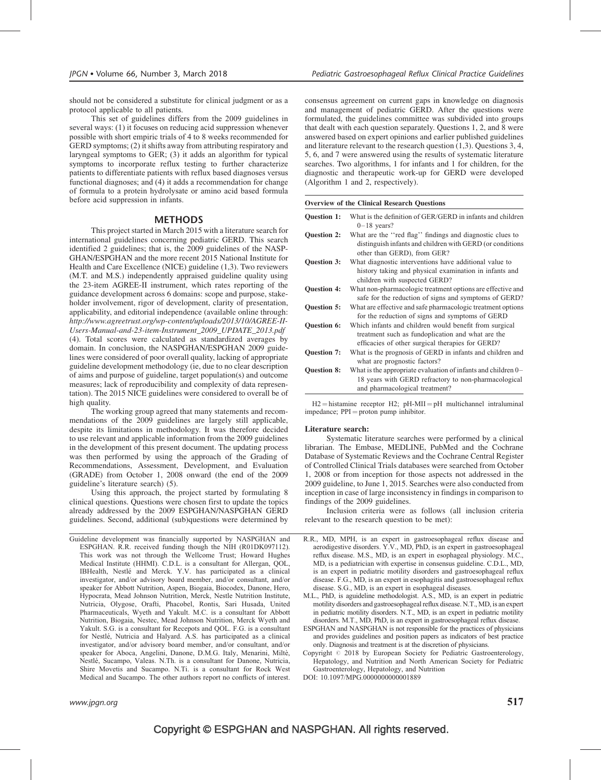should not be considered a substitute for clinical judgment or as a protocol applicable to all patients.

This set of guidelines differs from the 2009 guidelines in several ways: (1) it focuses on reducing acid suppression whenever possible with short empiric trials of 4 to 8 weeks recommended for GERD symptoms; (2) it shifts away from attributing respiratory and laryngeal symptoms to GER; (3) it adds an algorithm for typical symptoms to incorporate reflux testing to further characterize patients to differentiate patients with reflux based diagnoses versus functional diagnoses; and (4) it adds a recommendation for change of formula to a protein hydrolysate or amino acid based formula before acid suppression in infants.

### **METHODS**

This project started in March 2015 with a literature search for international guidelines concerning pediatric GERD. This search identified 2 guidelines; that is, the 2009 guidelines of the NASP-GHAN/ESPGHAN and the more recent 2015 National Institute for Health and Care Excellence (NICE) guideline (1,3). Two reviewers (M.T. and M.S.) independently appraised guideline quality using the 23-item AGREE-II instrument, which rates reporting of the guidance development across 6 domains: scope and purpose, stakeholder involvement, rigor of development, clarity of presentation, applicability, and editorial independence (available online through: [http://www.agreetrust.org/wp-content/uploads/2013/10/AGREE-II-](http://www.agreetrust.org/wp-content/uploads/2013/10/AGREE-II-Users-Manual-and-23-item-Instrument_2009_UPDATE_2013.pdf)[Users-Manual-and-23-item-Instrument\\_2009\\_UPDATE\\_2013.pdf](http://www.agreetrust.org/wp-content/uploads/2013/10/AGREE-II-Users-Manual-and-23-item-Instrument_2009_UPDATE_2013.pdf) (4). Total scores were calculated as standardized averages by domain. In conclusion, the NASPGHAN/ESPGHAN 2009 guidelines were considered of poor overall quality, lacking of appropriate guideline development methodology (ie, due to no clear description of aims and purpose of guideline, target population(s) and outcome measures; lack of reproducibility and complexity of data representation). The 2015 NICE guidelines were considered to overall be of high quality.

The working group agreed that many statements and recommendations of the 2009 guidelines are largely still applicable, despite its limitations in methodology. It was therefore decided to use relevant and applicable information from the 2009 guidelines in the development of this present document. The updating process was then performed by using the approach of the Grading of Recommendations, Assessment, Development, and Evaluation (GRADE) from October 1, 2008 onward (the end of the 2009 guideline's literature search) (5).

Using this approach, the project started by formulating 8 clinical questions. Questions were chosen first to update the topics already addressed by the 2009 ESPGHAN/NASPGHAN GERD guidelines. Second, additional (sub)questions were determined by

Guideline development was financially supported by NASPGHAN and ESPGHAN. R.R. received funding though the NIH (R01DK097112). This work was not through the Wellcome Trust; Howard Hughes Medical Institute (HHMI). C.D.L. is a consultant for Allergan, QOL, IBHealth, Nestle´ and Merck. Y.V. has participated as a clinical investigator, and/or advisory board member, and/or consultant, and/or speaker for Abbott Nutrition, Aspen, Biogaia, Biocodex, Danone, Hero, Hypocrata, Mead Johnson Nutrition, Merck, Nestle Nutrition Institute, Nutricia, Olygose, Orafti, Phacobel, Rontis, Sari Husada, United Pharmaceuticals, Wyeth and Yakult. M.C. is a consultant for Abbott Nutrition, Biogaia, Nestec, Mead Johnson Nutrition, Merck Wyeth and Yakult. S.G. is a consultant for Recepots and QOL. F.G. is a consultant for Nestle´, Nutricia and Halyard. A.S. has participated as a clinical investigator, and/or advisory board member, and/or consultant, and/or speaker for Aboca, Angelini, Danone, D.M.G. Italy, Menarini, Miltè, Nestlé, Sucampo, Valeas. N.Th. is a consultant for Danone, Nutricia, Shire Movetis and Sucampo. N.Ti. is a consultant for Rock West Medical and Sucampo. The other authors report no conflicts of interest.

www.jpgn.org  $517$ 

consensus agreement on current gaps in knowledge on diagnosis and management of pediatric GERD. After the questions were formulated, the guidelines committee was subdivided into groups that dealt with each question separately. Questions 1, 2, and 8 were answered based on expert opinions and earlier published guidelines and literature relevant to the research question (1,3). Questions 3, 4, 5, 6, and 7 were answered using the results of systematic literature searches. Two algorithms, 1 for infants and 1 for children, for the diagnostic and therapeutic work-up for GERD were developed (Algorithm 1 and 2, respectively).

#### Overview of the Clinical Research Questions

| <b>Ouestion 1:</b> | What is the definition of GER/GERD in infants and children<br>$0-18$ years?                                                                                     |
|--------------------|-----------------------------------------------------------------------------------------------------------------------------------------------------------------|
| <b>Ouestion 2:</b> | What are the "red flag" findings and diagnostic clues to<br>distinguish infants and children with GERD (or conditions<br>other than GERD), from GER?            |
| <b>Ouestion 3:</b> | What diagnostic interventions have additional value to<br>history taking and physical examination in infants and<br>children with suspected GERD?               |
| Question 4:        | What non-pharmacologic treatment options are effective and<br>safe for the reduction of signs and symptoms of GERD?                                             |
| Question 5:        | What are effective and safe pharmacologic treatment options<br>for the reduction of signs and symptoms of GERD                                                  |
| <b>Ouestion 6:</b> | Which infants and children would benefit from surgical<br>treatment such as fundoplication and what are the<br>efficacies of other surgical therapies for GERD? |
| <b>Ouestion 7:</b> | What is the prognosis of GERD in infants and children and<br>what are prognostic factors?                                                                       |
| Question 8:        | What is the appropriate evaluation of infants and children $0-$<br>18 years with GERD refractory to non-pharmacological<br>and pharmacological treatment?       |

 $H2 =$  histamine receptor  $H2$ ;  $pH-MII = pH$  multichannel intraluminal  $impedance$ ;  $PPI = proton pump inhibitor$ .

#### Literature search:

Systematic literature searches were performed by a clinical librarian. The Embase, MEDLINE, PubMed and the Cochrane Database of Systematic Reviews and the Cochrane Central Register of Controlled Clinical Trials databases were searched from October 1, 2008 or from inception for those aspects not addressed in the 2009 guideline, to June 1, 2015. Searches were also conducted from inception in case of large inconsistency in findings in comparison to findings of the 2009 guidelines.

Inclusion criteria were as follows (all inclusion criteria relevant to the research question to be met):

- R.R., MD, MPH, is an expert in gastroesophageal reflux disease and aerodigestive disorders. Y.V., MD, PhD, is an expert in gastroesophageal reflux disease. M.S., MD, is an expert in esophageal physiology. M.C., MD, is a pediatrician with expertise in consensus guideline. C.D.L., MD, is an expert in pediatric motility disorders and gastroesophageal reflux disease. F.G., MD, is an expert in esophagitis and gastroesophageal reflux disease. S.G., MD, is an expert in esophageal diseases.
- M.L., PhD, is aguideline methodologist. A.S., MD, is an expert in pediatric motility disorders and gastroesophageal reflux disease. N.T., MD, is an expert in pediatric motility disorders. N.T., MD, is an expert in pediatric motility disorders. M.T., MD, PhD, is an expert in gastroesophageal reflux disease.
- ESPGHAN and NASPGHAN is not responsible for the practices of physicians and provides guidelines and position papers as indicators of best practice only. Diagnosis and treatment is at the discretion of physicians.
- Copyright  $\odot$  2018 by European Society for Pediatric Gastroenterology, Hepatology, and Nutrition and North American Society for Pediatric Gastroenterology, Hepatology, and Nutrition
- DOI: [10.1097/MPG.0000000000001889](http://dx.doi.org/10.1097/MPG.0000000000001889)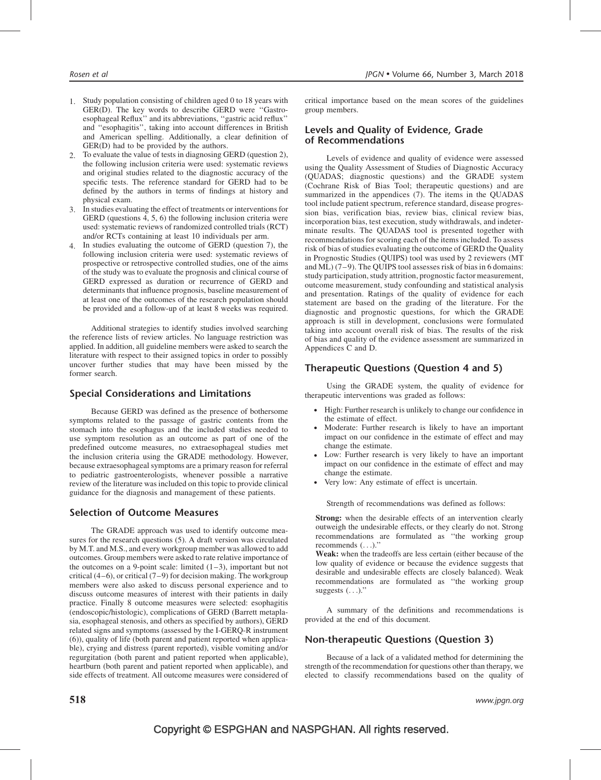- 1. Study population consisting of children aged 0 to 18 years with GER(D). The key words to describe GERD were ''Gastroesophageal Reflux'' and its abbreviations, ''gastric acid reflux'' and ''esophagitis'', taking into account differences in British and American spelling. Additionally, a clear definition of GER(D) had to be provided by the authors.
- 2. To evaluate the value of tests in diagnosing GERD (question 2), the following inclusion criteria were used: systematic reviews and original studies related to the diagnostic accuracy of the specific tests. The reference standard for GERD had to be defined by the authors in terms of findings at history and physical exam.
- 3. In studies evaluating the effect of treatments or interventions for GERD (questions 4, 5, 6) the following inclusion criteria were used: systematic reviews of randomized controlled trials (RCT) and/or RCTs containing at least 10 individuals per arm.
- 4. In studies evaluating the outcome of GERD (question 7), the following inclusion criteria were used: systematic reviews of prospective or retrospective controlled studies, one of the aims of the study was to evaluate the prognosis and clinical course of GERD expressed as duration or recurrence of GERD and determinants that influence prognosis, baseline measurement of at least one of the outcomes of the research population should be provided and a follow-up of at least 8 weeks was required.

Additional strategies to identify studies involved searching the reference lists of review articles. No language restriction was applied. In addition, all guideline members were asked to search the literature with respect to their assigned topics in order to possibly uncover further studies that may have been missed by the former search.

### Special Considerations and Limitations

Because GERD was defined as the presence of bothersome symptoms related to the passage of gastric contents from the stomach into the esophagus and the included studies needed to use symptom resolution as an outcome as part of one of the predefined outcome measures, no extraesophageal studies met the inclusion criteria using the GRADE methodology. However, because extraesophageal symptoms are a primary reason for referral to pediatric gastroenterologists, whenever possible a narrative review of the literature was included on this topic to provide clinical guidance for the diagnosis and management of these patients.

### Selection of Outcome Measures

The GRADE approach was used to identify outcome measures for the research questions (5). A draft version was circulated by M.T. and M.S., and every workgroup member was allowed to add outcomes. Group members were asked to rate relative importance of the outcomes on a 9-point scale: limited  $(1-3)$ , important but not critical  $(4-6)$ , or critical  $(7-9)$  for decision making. The workgroup members were also asked to discuss personal experience and to discuss outcome measures of interest with their patients in daily practice. Finally 8 outcome measures were selected: esophagitis (endoscopic/histologic), complications of GERD (Barrett metaplasia, esophageal stenosis, and others as specified by authors), GERD related signs and symptoms (assessed by the I-GERQ-R instrument (6)), quality of life (both parent and patient reported when applicable), crying and distress (parent reported), visible vomiting and/or regurgitation (both parent and patient reported when applicable), heartburn (both parent and patient reported when applicable), and side effects of treatment. All outcome measures were considered of

critical importance based on the mean scores of the guidelines group members.

### Levels and Quality of Evidence, Grade of Recommendations

Levels of evidence and quality of evidence were assessed using the Quality Assessment of Studies of Diagnostic Accuracy (QUADAS; diagnostic questions) and the GRADE system (Cochrane Risk of Bias Tool; therapeutic questions) and are summarized in the appendices (7). The items in the QUADAS tool include patient spectrum, reference standard, disease progression bias, verification bias, review bias, clinical review bias, incorporation bias, test execution, study withdrawals, and indeterminate results. The QUADAS tool is presented together with recommendations for scoring each of the items included. To assess risk of bias of studies evaluating the outcome of GERD the Quality in Prognostic Studies (QUIPS) tool was used by 2 reviewers (MT and ML) (7–9). The QUIPS tool assesses risk of bias in 6 domains: study participation, study attrition, prognostic factor measurement, outcome measurement, study confounding and statistical analysis and presentation. Ratings of the quality of evidence for each statement are based on the grading of the literature. For the diagnostic and prognostic questions, for which the GRADE approach is still in development, conclusions were formulated taking into account overall risk of bias. The results of the risk of bias and quality of the evidence assessment are summarized in Appendices C and D.

### Therapeutic Questions (Question 4 and 5)

Using the GRADE system, the quality of evidence for therapeutic interventions was graded as follows:

- High: Further research is unlikely to change our confidence in the estimate of effect.
- Moderate: Further research is likely to have an important impact on our confidence in the estimate of effect and may change the estimate.
- Low: Further research is very likely to have an important impact on our confidence in the estimate of effect and may change the estimate.
- Very low: Any estimate of effect is uncertain.

Strength of recommendations was defined as follows:

Strong: when the desirable effects of an intervention clearly outweigh the undesirable effects, or they clearly do not. Strong recommendations are formulated as ''the working group recommends (...).''

Weak: when the tradeoffs are less certain (either because of the low quality of evidence or because the evidence suggests that desirable and undesirable effects are closely balanced). Weak recommendations are formulated as ''the working group suggests  $(\ldots)$ ."

A summary of the definitions and recommendations is provided at the end of this document.

### Non-therapeutic Questions (Question 3)

Because of a lack of a validated method for determining the strength of the recommendation for questions other than therapy, we elected to classify recommendations based on the quality of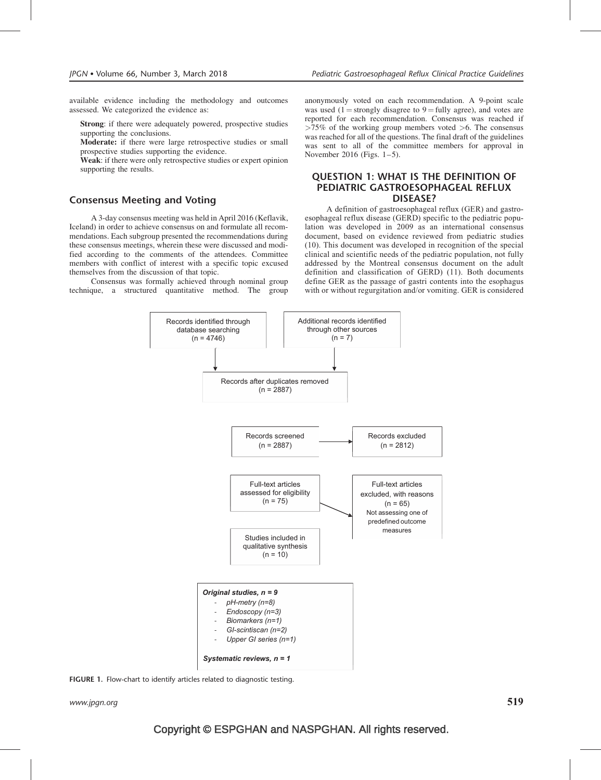available evidence including the methodology and outcomes assessed. We categorized the evidence as:

Strong: if there were adequately powered, prospective studies supporting the conclusions.

Moderate: if there were large retrospective studies or small prospective studies supporting the evidence.

Weak: if there were only retrospective studies or expert opinion supporting the results.

### Consensus Meeting and Voting

A 3-day consensus meeting was held in April 2016 (Keflavik, Iceland) in order to achieve consensus on and formulate all recommendations. Each subgroup presented the recommendations during these consensus meetings, wherein these were discussed and modified according to the comments of the attendees. Committee members with conflict of interest with a specific topic excused themselves from the discussion of that topic.

Consensus was formally achieved through nominal group technique, a structured quantitative method. The group anonymously voted on each recommendation. A 9-point scale was used (1 = strongly disagree to 9 = fully agree), and votes are reported for each recommendation. Consensus was reached if  $>75\%$  of the working group members voted  $>6$ . The consensus was reached for all of the questions. The final draft of the guidelines was sent to all of the committee members for approval in November 2016 (Figs. 1–5).

### QUESTION 1: WHAT IS THE DEFINITION OF PEDIATRIC GASTROESOPHAGEAL REFLUX DISEASE?

A definition of gastroesophageal reflux (GER) and gastroesophageal reflux disease (GERD) specific to the pediatric population was developed in 2009 as an international consensus document, based on evidence reviewed from pediatric studies (10). This document was developed in recognition of the special clinical and scientific needs of the pediatric population, not fully addressed by the Montreal consensus document on the adult definition and classification of GERD) (11). Both documents define GER as the passage of gastri contents into the esophagus with or without regurgitation and/or vomiting. GER is considered



FIGURE 1. Flow-chart to identify articles related to diagnostic testing.

www.jpgn.org  $519$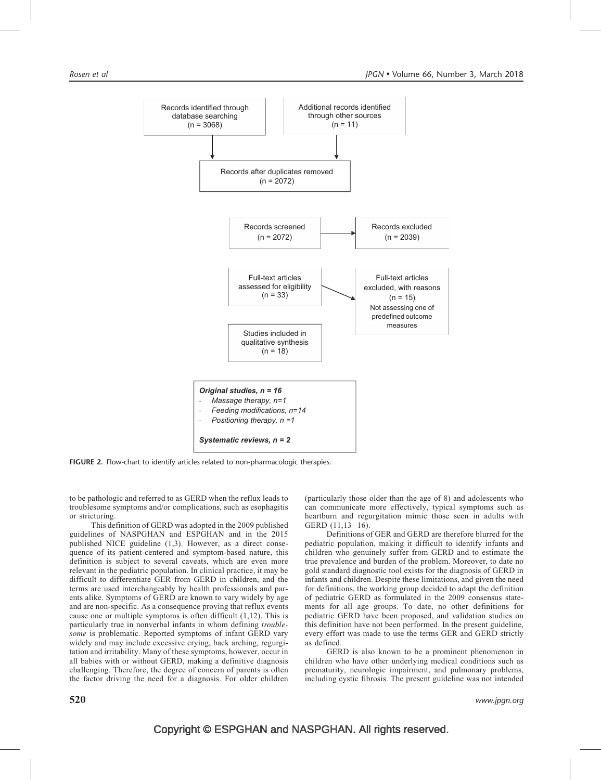

FIGURE 2. Flow-chart to identify articles related to non-pharmacologic therapies.

to be pathologic and referred to as GERD when the reflux leads to troublesome symptoms and/or complications, such as esophagitis or stricturing.

This definition of GERD was adopted in the 2009 published guidelines of NASPGHAN and ESPGHAN and in the 2015 published NICE guideline (1,3). However, as a direct consequence of its patient-centered and symptom-based nature, this definition is subject to several caveats, which are even more relevant in the pediatric population. In clinical practice, it may be difficult to differentiate GER from GERD in children, and the terms are used interchangeably by health professionals and parents alike. Symptoms of GERD are known to vary widely by age and are non-specific. As a consequence proving that reflux events cause one or multiple symptoms is often difficult (1,12). This is particularly true in nonverbal infants in whom defining troublesome is problematic. Reported symptoms of infant GERD vary widely and may include excessive crying, back arching, regurgitation and irritability. Many of these symptoms, however, occur in all babies with or without GERD, making a definitive diagnosis challenging. Therefore, the degree of concern of parents is often the factor driving the need for a diagnosis. For older children (particularly those older than the age of 8) and adolescents who can communicate more effectively, typical symptoms such as heartburn and regurgitation mimic those seen in adults with GERD (11,13–16).

Definitions of GER and GERD are therefore blurred for the pediatric population, making it difficult to identify infants and children who genuinely suffer from GERD and to estimate the true prevalence and burden of the problem. Moreover, to date no gold standard diagnostic tool exists for the diagnosis of GERD in infants and children. Despite these limitations, and given the need for definitions, the working group decided to adapt the definition of pediatric GERD as formulated in the 2009 consensus statements for all age groups. To date, no other definitions for pediatric GERD have been proposed, and validation studies on this definition have not been performed. In the present guideline, every effort was made to use the terms GER and GERD strictly as defined.

GERD is also known to be a prominent phenomenon in children who have other underlying medical conditions such as prematurity, neurologic impairment, and pulmonary problems, including cystic fibrosis. The present guideline was not intended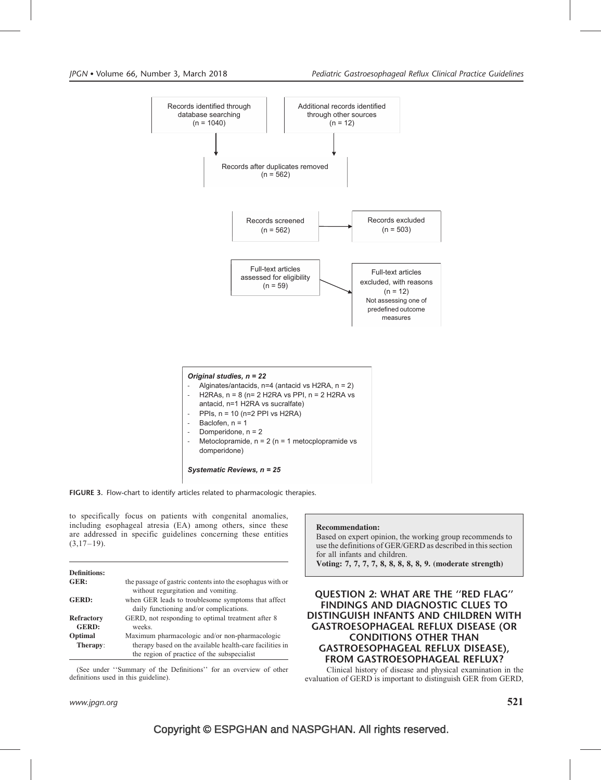

FIGURE 3. Flow-chart to identify articles related to pharmacologic therapies.

to specifically focus on patients with congenital anomalies, including esophageal atresia (EA) among others, since these are addressed in specific guidelines concerning these entities  $(3,17-19)$ .

| <b>Definitions:</b> |                                                            |
|---------------------|------------------------------------------------------------|
| GER:                | the passage of gastric contents into the esophagus with or |
|                     | without regurgitation and vomiting.                        |
| <b>GERD:</b>        | when GER leads to troublesome symptoms that affect         |
|                     | daily functioning and/or complications.                    |
| <b>Refractory</b>   | GERD, not responding to optimal treatment after 8          |
| <b>GERD:</b>        | weeks.                                                     |
| Optimal             | Maximum pharmacologic and/or non-pharmacologic             |
| Therapy:            | therapy based on the available health-care facilities in   |
|                     | the region of practice of the subspecialist                |

(See under ''Summary of the Definitions'' for an overview of other definitions used in this guideline).

### www.jpgn.org  $521$

### Recommendation:

Based on expert opinion, the working group recommends to use the definitions of GER/GERD as described in this section for all infants and children. Voting: 7, 7, 7, 7, 8, 8, 8, 8, 8, 9. (moderate strength)

### QUESTION 2: WHAT ARE THE ''RED FLAG'' FINDINGS AND DIAGNOSTIC CLUES TO DISTINGUISH INFANTS AND CHILDREN WITH GASTROESOPHAGEAL REFLUX DISEASE (OR CONDITIONS OTHER THAN GASTROESOPHAGEAL REFLUX DISEASE), FROM GASTROESOPHAGEAL REFLUX?

Clinical history of disease and physical examination in the evaluation of GERD is important to distinguish GER from GERD,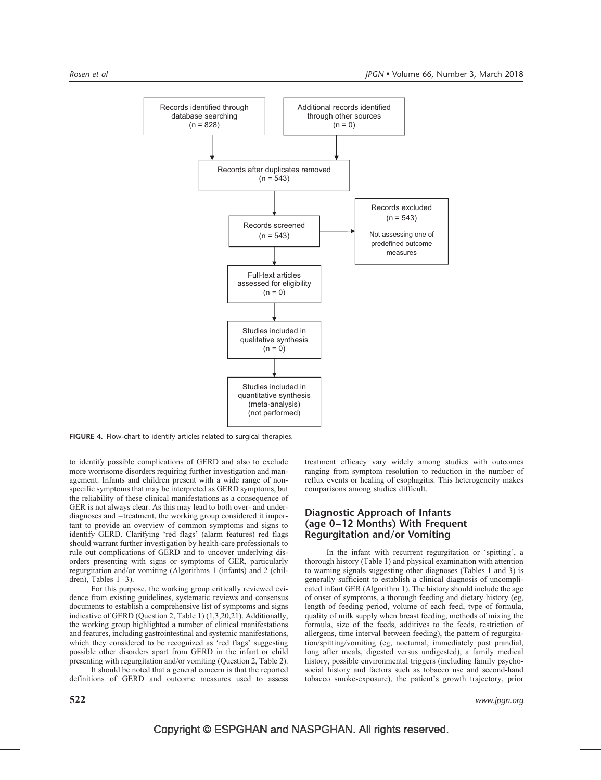

FIGURE 4. Flow-chart to identify articles related to surgical therapies.

to identify possible complications of GERD and also to exclude more worrisome disorders requiring further investigation and management. Infants and children present with a wide range of nonspecific symptoms that may be interpreted as GERD symptoms, but the reliability of these clinical manifestations as a consequence of GER is not always clear. As this may lead to both over- and underdiagnoses and –treatment, the working group considered it important to provide an overview of common symptoms and signs to identify GERD. Clarifying 'red flags' (alarm features) red flags should warrant further investigation by health-care professionals to rule out complications of GERD and to uncover underlying disorders presenting with signs or symptoms of GER, particularly regurgitation and/or vomiting (Algorithms 1 (infants) and 2 (children), Tables  $1-3$ ).

For this purpose, the working group critically reviewed evidence from existing guidelines, systematic reviews and consensus documents to establish a comprehensive list of symptoms and signs indicative of GERD (Question 2, Table 1) (1,3,20,21). Additionally, the working group highlighted a number of clinical manifestations and features, including gastrointestinal and systemic manifestations, which they considered to be recognized as 'red flags' suggesting possible other disorders apart from GERD in the infant or child presenting with regurgitation and/or vomiting (Question 2, Table 2).

It should be noted that a general concern is that the reported definitions of GERD and outcome measures used to assess

treatment efficacy vary widely among studies with outcomes ranging from symptom resolution to reduction in the number of reflux events or healing of esophagitis. This heterogeneity makes comparisons among studies difficult.

### Diagnostic Approach of Infants (age 0–12 Months) With Frequent Regurgitation and/or Vomiting

In the infant with recurrent regurgitation or 'spitting', a thorough history (Table 1) and physical examination with attention to warning signals suggesting other diagnoses (Tables 1 and 3) is generally sufficient to establish a clinical diagnosis of uncomplicated infant GER (Algorithm 1). The history should include the age of onset of symptoms, a thorough feeding and dietary history (eg, length of feeding period, volume of each feed, type of formula, quality of milk supply when breast feeding, methods of mixing the formula, size of the feeds, additives to the feeds, restriction of allergens, time interval between feeding), the pattern of regurgitation/spitting/vomiting (eg, nocturnal, immediately post prandial, long after meals, digested versus undigested), a family medical history, possible environmental triggers (including family psychosocial history and factors such as tobacco use and second-hand tobacco smoke-exposure), the patient's growth trajectory, prior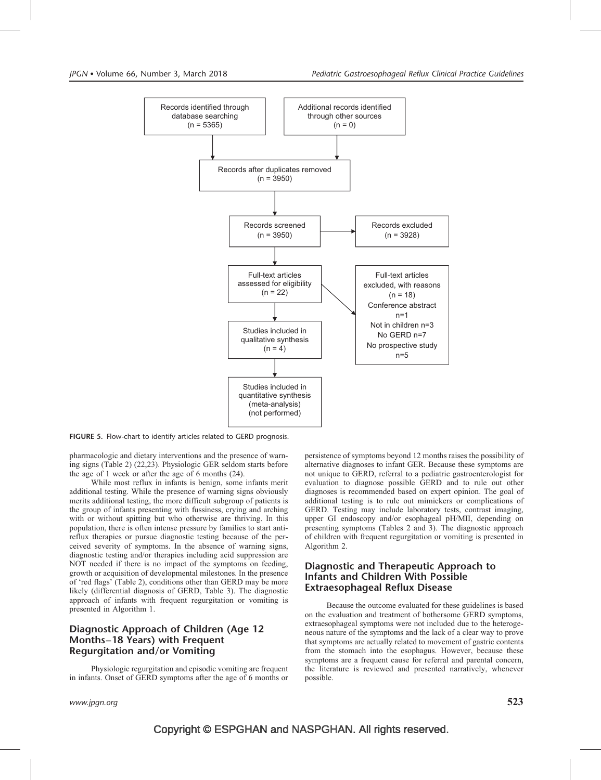

FIGURE 5. Flow-chart to identify articles related to GERD prognosis.

pharmacologic and dietary interventions and the presence of warning signs (Table 2) (22,23). Physiologic GER seldom starts before the age of 1 week or after the age of 6 months (24).

While most reflux in infants is benign, some infants merit additional testing. While the presence of warning signs obviously merits additional testing, the more difficult subgroup of patients is the group of infants presenting with fussiness, crying and arching with or without spitting but who otherwise are thriving. In this population, there is often intense pressure by families to start antireflux therapies or pursue diagnostic testing because of the perceived severity of symptoms. In the absence of warning signs, diagnostic testing and/or therapies including acid suppression are NOT needed if there is no impact of the symptoms on feeding, growth or acquisition of developmental milestones. In the presence of 'red flags' (Table 2), conditions other than GERD may be more likely (differential diagnosis of GERD, Table 3). The diagnostic approach of infants with frequent regurgitation or vomiting is presented in Algorithm 1.

### Diagnostic Approach of Children (Age 12 Months–18 Years) with Frequent Regurgitation and/or Vomiting

Physiologic regurgitation and episodic vomiting are frequent in infants. Onset of GERD symptoms after the age of 6 months or persistence of symptoms beyond 12 months raises the possibility of alternative diagnoses to infant GER. Because these symptoms are not unique to GERD, referral to a pediatric gastroenterologist for evaluation to diagnose possible GERD and to rule out other diagnoses is recommended based on expert opinion. The goal of additional testing is to rule out mimickers or complications of GERD. Testing may include laboratory tests, contrast imaging, upper GI endoscopy and/or esophageal pH/MII, depending on presenting symptoms (Tables 2 and 3). The diagnostic approach of children with frequent regurgitation or vomiting is presented in Algorithm 2.

### Diagnostic and Therapeutic Approach to Infants and Children With Possible Extraesophageal Reflux Disease

Because the outcome evaluated for these guidelines is based on the evaluation and treatment of bothersome GERD symptoms, extraesophageal symptoms were not included due to the heterogeneous nature of the symptoms and the lack of a clear way to prove that symptoms are actually related to movement of gastric contents from the stomach into the esophagus. However, because these symptoms are a frequent cause for referral and parental concern, the literature is reviewed and presented narratively, whenever possible.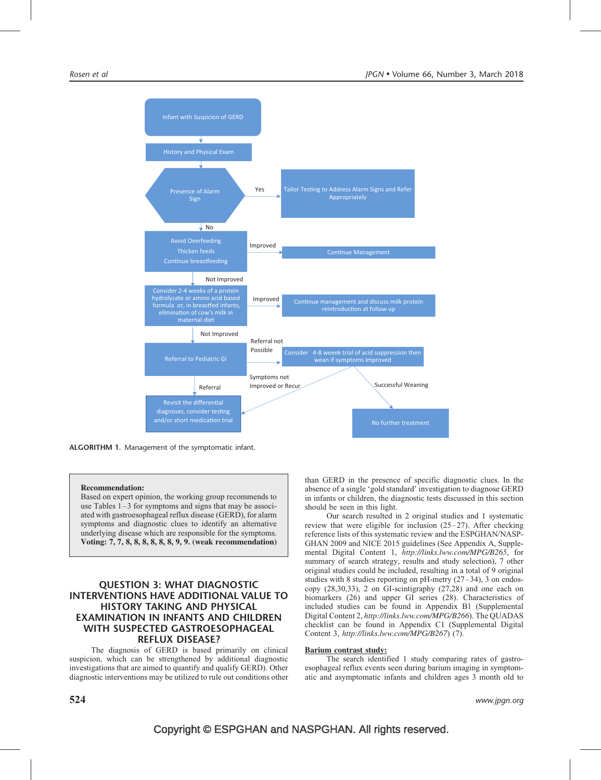

ALGORITHM 1. Management of the symptomatic infant.

#### Recommendation:

Based on expert opinion, the working group recommends to use Tables 1–3 for symptoms and signs that may be associated with gastroesophageal reflux disease (GERD), for alarm symptoms and diagnostic clues to identify an alternative underlying disease which are responsible for the symptoms. Voting: 7, 7, 8, 8, 8, 8, 8, 8, 9, 9. (weak recommendation)

### QUESTION 3: WHAT DIAGNOSTIC INTERVENTIONS HAVE ADDITIONAL VALUE TO HISTORY TAKING AND PHYSICAL EXAMINATION IN INFANTS AND CHILDREN WITH SUSPECTED GASTROESOPHAGEAL REFLUX DISEASE?

The diagnosis of GERD is based primarily on clinical suspicion, which can be strengthened by additional diagnostic investigations that are aimed to quantify and qualify GERD). Other diagnostic interventions may be utilized to rule out conditions other than GERD in the presence of specific diagnostic clues. In the absence of a single 'gold standard' investigation to diagnose GERD in infants or children, the diagnostic tests discussed in this section should be seen in this light.

Our search resulted in 2 original studies and 1 systematic review that were eligible for inclusion (25–27). After checking reference lists of this systematic review and the ESPGHAN/NASP-GHAN 2009 and NICE 2015 guidelines (See Appendix A, Supplemental Digital Content 1, <http://links.lww.com/MPG/B265>, for summary of search strategy, results and study selection), 7 other original studies could be included, resulting in a total of 9 original studies with 8 studies reporting on pH-metry (27–34), 3 on endoscopy (28,30,33), 2 on GI-scintigraphy (27,28) and one each on biomarkers (26) and upper GI series (28). Characteristics of included studies can be found in Appendix B1 (Supplemental Digital Content 2, <http://links.lww.com/MPG/B266>). The QUADAS checklist can be found in Appendix C1 (Supplemental Digital Content 3, <http://links.lww.com/MPG/B267>) (7).

#### Barium contrast study:

The search identified 1 study comparing rates of gastroesophageal reflux events seen during barium imaging in symptomatic and asymptomatic infants and children ages 3 month old to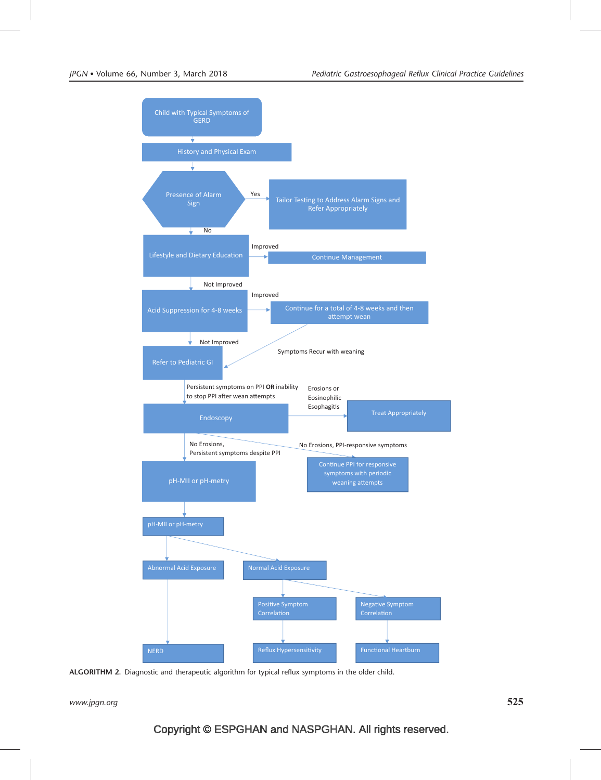

ALGORITHM 2. Diagnostic and therapeutic algorithm for typical reflux symptoms in the older child.

www.jpgn.org  $525$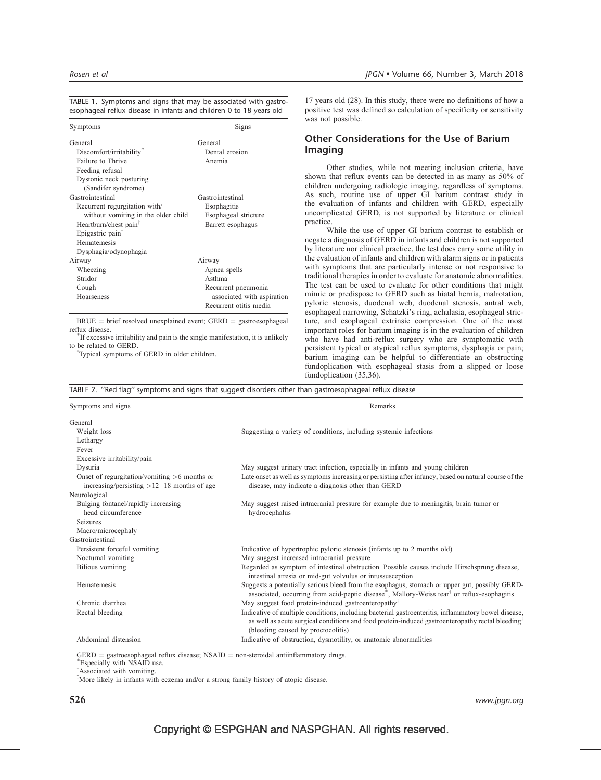| TABLE 1. Symptoms and signs that may be associated with gastro-     |  |  |  |
|---------------------------------------------------------------------|--|--|--|
| esophageal reflux disease in infants and children 0 to 18 years old |  |  |  |

| Symptoms                            | Signs                      |
|-------------------------------------|----------------------------|
| General                             | General                    |
| Discomfort/irritability*            | Dental erosion             |
| Failure to Thrive                   | Anemia                     |
| Feeding refusal                     |                            |
| Dystonic neck posturing             |                            |
| (Sandifer syndrome)                 |                            |
| Gastrointestinal                    | Gastrointestinal           |
| Recurrent regurgitation with/       | Esophagitis                |
| without vomiting in the older child | Esophageal stricture       |
| Heartburn/chest pain <sup>†</sup>   | Barrett esophagus          |
| Epigastric pain <sup>†</sup>        |                            |
| Hematemesis                         |                            |
| Dysphagia/odynophagia               |                            |
| Airway                              | Airway                     |
| Wheezing                            | Apnea spells               |
| Stridor                             | Asthma                     |
| Cough                               | Recurrent pneumonia        |
| Hoarseness                          | associated with aspiration |
|                                     | Recurrent otitis media     |

 $BRUE = brief resolved unexplained event; GERD = gastroesophaged$ reflux disease.

If excessive irritability and pain is the single manifestation, it is unlikely to be related to GERD.

<sup>†</sup>Typical symptoms of GERD in older children.

17 years old (28). In this study, there were no definitions of how a positive test was defined so calculation of specificity or sensitivity was not possible.

### Other Considerations for the Use of Barium Imaging

Other studies, while not meeting inclusion criteria, have shown that reflux events can be detected in as many as 50% of children undergoing radiologic imaging, regardless of symptoms. As such, routine use of upper GI barium contrast study in the evaluation of infants and children with GERD, especially uncomplicated GERD, is not supported by literature or clinical practice.

While the use of upper GI barium contrast to establish or negate a diagnosis of GERD in infants and children is not supported by literature nor clinical practice, the test does carry some utility in the evaluation of infants and children with alarm signs or in patients with symptoms that are particularly intense or not responsive to traditional therapies in order to evaluate for anatomic abnormalities. The test can be used to evaluate for other conditions that might mimic or predispose to GERD such as hiatal hernia, malrotation, pyloric stenosis, duodenal web, duodenal stenosis, antral web, esophageal narrowing, Schatzki's ring, achalasia, esophageal stricture, and esophageal extrinsic compression. One of the most important roles for barium imaging is in the evaluation of children who have had anti-reflux surgery who are symptomatic with persistent typical or atypical reflux symptoms, dysphagia or pain; barium imaging can be helpful to differentiate an obstructing fundoplication with esophageal stasis from a slipped or loose fundoplication (35,36).

|  |  | TABLE 2. "Red flag" symptoms and signs that suggest disorders other than gastroesophageal reflux disease |  |  |  |  |  |  |  |  |
|--|--|----------------------------------------------------------------------------------------------------------|--|--|--|--|--|--|--|--|
|--|--|----------------------------------------------------------------------------------------------------------|--|--|--|--|--|--|--|--|

| Symptoms and signs                                                                             | Remarks                                                                                                                                                                                                                                                   |  |  |
|------------------------------------------------------------------------------------------------|-----------------------------------------------------------------------------------------------------------------------------------------------------------------------------------------------------------------------------------------------------------|--|--|
| General                                                                                        |                                                                                                                                                                                                                                                           |  |  |
| Weight loss                                                                                    | Suggesting a variety of conditions, including systemic infections                                                                                                                                                                                         |  |  |
| Lethargy                                                                                       |                                                                                                                                                                                                                                                           |  |  |
| Fever                                                                                          |                                                                                                                                                                                                                                                           |  |  |
| Excessive irritability/pain                                                                    |                                                                                                                                                                                                                                                           |  |  |
| Dysuria                                                                                        | May suggest urinary tract infection, especially in infants and young children                                                                                                                                                                             |  |  |
| Onset of regurgitation/vomiting $>6$ months or<br>increasing/persisting $>12-18$ months of age | Late onset as well as symptoms increasing or persisting after infancy, based on natural course of the<br>disease, may indicate a diagnosis other than GERD                                                                                                |  |  |
| Neurological                                                                                   |                                                                                                                                                                                                                                                           |  |  |
| Bulging fontanel/rapidly increasing                                                            | May suggest raised intracranial pressure for example due to meningitis, brain tumor or                                                                                                                                                                    |  |  |
| head circumference                                                                             | hydrocephalus                                                                                                                                                                                                                                             |  |  |
| <b>Seizures</b>                                                                                |                                                                                                                                                                                                                                                           |  |  |
| Macro/microcephaly                                                                             |                                                                                                                                                                                                                                                           |  |  |
| Gastrointestinal                                                                               |                                                                                                                                                                                                                                                           |  |  |
| Persistent forceful vomiting                                                                   | Indicative of hypertrophic pyloric stenosis (infants up to 2 months old)                                                                                                                                                                                  |  |  |
| Nocturnal vomiting                                                                             | May suggest increased intracranial pressure                                                                                                                                                                                                               |  |  |
| <b>Bilious</b> vomiting                                                                        | Regarded as symptom of intestinal obstruction. Possible causes include Hirschsprung disease,<br>intestinal atresia or mid-gut volvulus or intussusception                                                                                                 |  |  |
| Hematemesis                                                                                    | Suggests a potentially serious bleed from the esophagus, stomach or upper gut, possibly GERD-<br>associated, occurring from acid-peptic disease <sup>*</sup> , Mallory-Weiss tear <sup>†</sup> or reflux-esophagitis.                                     |  |  |
| Chronic diarrhea                                                                               | May suggest food protein-induced gastroenteropathy <sup><math>\ddagger</math></sup>                                                                                                                                                                       |  |  |
| Rectal bleeding                                                                                | Indicative of multiple conditions, including bacterial gastroenteritis, inflammatory bowel disease,<br>as well as acute surgical conditions and food protein-induced gastroenteropathy rectal bleeding <sup>#</sup><br>(bleeding caused by proctocolitis) |  |  |
| Abdominal distension                                                                           | Indicative of obstruction, dysmotility, or anatomic abnormalities                                                                                                                                                                                         |  |  |

 $GERD =$  gastroesophageal reflux disease; NSAID = non-steroidal antiinflammatory drugs.

Especially with NSAID use.

<sup>†</sup>Associated with vomiting.

<sup>‡</sup>More likely in infants with eczema and/or a strong family history of atopic disease.

 $526$  www.jpgn.org www.jpgn.org www.jpgn.org www.jpgn.org www.jpgn.org www.jpgn.org www.jpgn.org  $\,$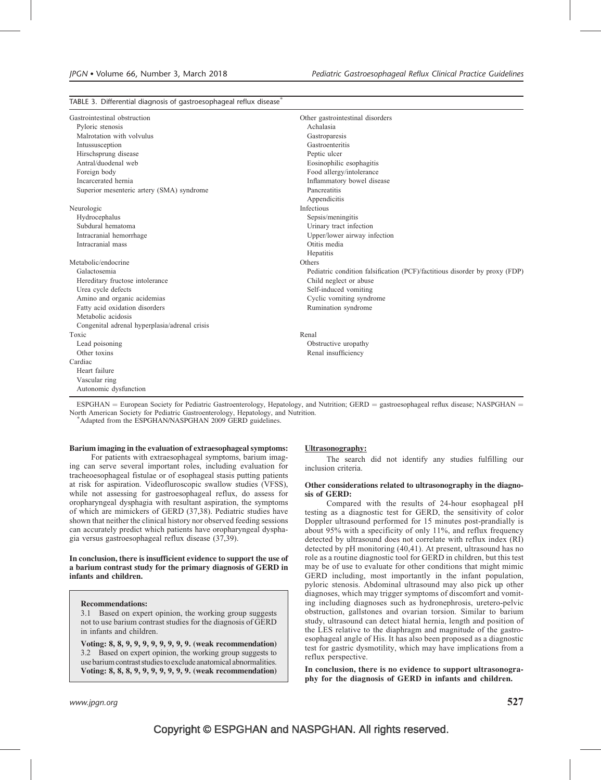### TABLE 3. Differential diagnosis of gastroesophageal reflux disease $^*$

| Gastrointestinal obstruction                  | Other gastrointestinal disorders                                           |
|-----------------------------------------------|----------------------------------------------------------------------------|
| Pyloric stenosis                              | Achalasia                                                                  |
| Malrotation with volvulus                     | Gastroparesis                                                              |
| Intussusception                               | Gastroenteritis                                                            |
| Hirschsprung disease                          | Peptic ulcer                                                               |
| Antral/duodenal web                           | Eosinophilic esophagitis                                                   |
| Foreign body                                  | Food allergy/intolerance                                                   |
| Incarcerated hernia                           | Inflammatory bowel disease                                                 |
| Superior mesenteric artery (SMA) syndrome     | Pancreatitis                                                               |
|                                               | Appendicitis                                                               |
| Neurologic                                    | Infectious                                                                 |
| Hydrocephalus                                 | Sepsis/meningitis                                                          |
| Subdural hematoma                             | Urinary tract infection                                                    |
| Intracranial hemorrhage                       | Upper/lower airway infection                                               |
| Intracranial mass                             | Otitis media                                                               |
|                                               | Hepatitis                                                                  |
| Metabolic/endocrine                           | Others                                                                     |
| Galactosemia                                  | Pediatric condition falsification (PCF)/factitious disorder by proxy (FDP) |
| Hereditary fructose intolerance               | Child neglect or abuse                                                     |
| Urea cycle defects                            | Self-induced vomiting                                                      |
| Amino and organic acidemias                   | Cyclic vomiting syndrome                                                   |
| Fatty acid oxidation disorders                | Rumination syndrome                                                        |
| Metabolic acidosis                            |                                                                            |
| Congenital adrenal hyperplasia/adrenal crisis |                                                                            |
| Toxic                                         | Renal                                                                      |
| Lead poisoning                                | Obstructive uropathy                                                       |
| Other toxins                                  | Renal insufficiency                                                        |
| Cardiac                                       |                                                                            |
| Heart failure                                 |                                                                            |
| Vascular ring                                 |                                                                            |
| Autonomic dysfunction                         |                                                                            |
|                                               |                                                                            |

ESPGHAN = European Society for Pediatric Gastroenterology, Hepatology, and Nutrition; GERD = gastroesophageal reflux disease; NASPGHAN = North American Society for Pediatric Gastroenterology, Hepatology, and Nutrition. -

Adapted from the ESPGHAN/NASPGHAN 2009 GERD guidelines.

#### Barium imaging in the evaluation of extraesophageal symptoms:

For patients with extraesophageal symptoms, barium imaging can serve several important roles, including evaluation for tracheoesophageal fistulae or of esophageal stasis putting patients at risk for aspiration. Videofluroscopic swallow studies (VFSS), while not assessing for gastroesophageal reflux, do assess for oropharyngeal dysphagia with resultant aspiration, the symptoms of which are mimickers of GERD (37,38). Pediatric studies have shown that neither the clinical history nor observed feeding sessions can accurately predict which patients have oropharyngeal dysphagia versus gastroesophageal reflux disease (37,39).

#### In conclusion, there is insufficient evidence to support the use of a barium contrast study for the primary diagnosis of GERD in infants and children.

#### Recommendations:

3.1 Based on expert opinion, the working group suggests not to use barium contrast studies for the diagnosis of GERD in infants and children.

Voting: 8, 8, 9, 9, 9, 9, 9, 9, 9, 9. (weak recommendation) 3.2 Based on expert opinion, the working group suggests to usebariumcontraststudiestoexcludeanatomicalabnormalities. Voting: 8, 8, 8, 9, 9, 9, 9, 9, 9, 9. (weak recommendation)

#### Ultrasonography:

The search did not identify any studies fulfilling our inclusion criteria.

#### Other considerations related to ultrasonography in the diagnosis of GERD:

Compared with the results of 24-hour esophageal pH testing as a diagnostic test for GERD, the sensitivity of color Doppler ultrasound performed for 15 minutes post-prandially is about 95% with a specificity of only 11%, and reflux frequency detected by ultrasound does not correlate with reflux index (RI) detected by pH monitoring (40,41). At present, ultrasound has no role as a routine diagnostic tool for GERD in children, but this test may be of use to evaluate for other conditions that might mimic GERD including, most importantly in the infant population, pyloric stenosis. Abdominal ultrasound may also pick up other diagnoses, which may trigger symptoms of discomfort and vomiting including diagnoses such as hydronephrosis, uretero-pelvic obstruction, gallstones and ovarian torsion. Similar to barium study, ultrasound can detect hiatal hernia, length and position of the LES relative to the diaphragm and magnitude of the gastroesophageal angle of His. It has also been proposed as a diagnostic test for gastric dysmotility, which may have implications from a reflux perspective.

In conclusion, there is no evidence to support ultrasonography for the diagnosis of GERD in infants and children.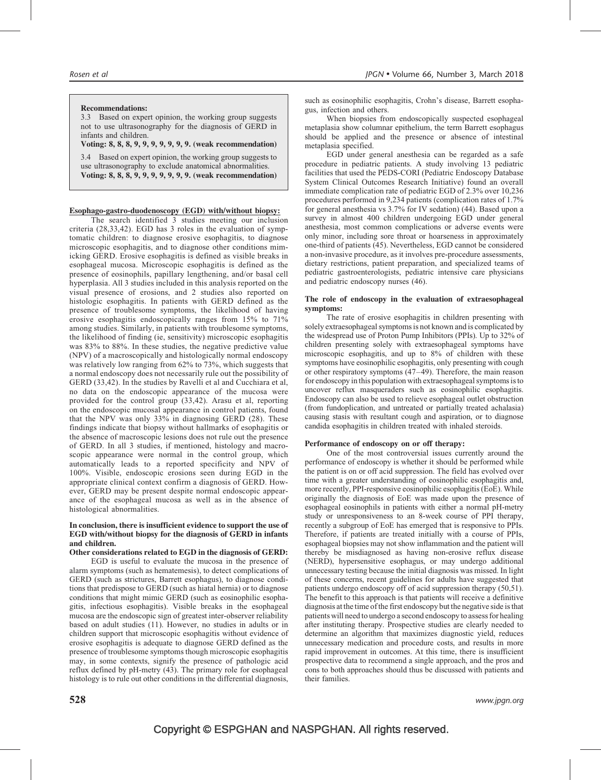#### Recommendations:

3.3 Based on expert opinion, the working group suggests not to use ultrasonography for the diagnosis of GERD in infants and children.

### Voting: 8, 8, 8, 9, 9, 9, 9, 9, 9, 9. (weak recommendation)

3.4 Based on expert opinion, the working group suggests to use ultrasonography to exclude anatomical abnormalities. Voting: 8, 8, 8, 9, 9, 9, 9, 9, 9, 9. (weak recommendation)

### Esophago-gastro-duodenoscopy (EGD) with/without biopsy:

The search identified 3 studies meeting our inclusion criteria (28,33,42). EGD has 3 roles in the evaluation of symptomatic children: to diagnose erosive esophagitis, to diagnose microscopic esophagitis, and to diagnose other conditions mimicking GERD. Erosive esophagitis is defined as visible breaks in esophageal mucosa. Microscopic esophagitis is defined as the presence of eosinophils, papillary lengthening, and/or basal cell hyperplasia. All 3 studies included in this analysis reported on the visual presence of erosions, and 2 studies also reported on histologic esophagitis. In patients with GERD defined as the presence of troublesome symptoms, the likelihood of having erosive esophagitis endoscopically ranges from 15% to 71% among studies. Similarly, in patients with troublesome symptoms, the likelihood of finding (ie, sensitivity) microscopic esophagitis was 83% to 88%. In these studies, the negative predictive value (NPV) of a macroscopically and histologically normal endoscopy was relatively low ranging from 62% to 73%, which suggests that a normal endoscopy does not necessarily rule out the possibility of GERD (33,42). In the studies by Ravelli et al and Cucchiara et al, no data on the endoscopic appearance of the mucosa were provided for the control group (33,42). Arasu et al, reporting on the endoscopic mucosal appearance in control patients, found that the NPV was only 33% in diagnosing GERD (28). These findings indicate that biopsy without hallmarks of esophagitis or the absence of macroscopic lesions does not rule out the presence of GERD. In all 3 studies, if mentioned, histology and macroscopic appearance were normal in the control group, which automatically leads to a reported specificity and NPV of 100%. Visible, endoscopic erosions seen during EGD in the appropriate clinical context confirm a diagnosis of GERD. However, GERD may be present despite normal endoscopic appearance of the esophageal mucosa as well as in the absence of histological abnormalities.

#### In conclusion, there is insufficient evidence to support the use of EGD with/without biopsy for the diagnosis of GERD in infants and children.

#### Other considerations related to EGD in the diagnosis of GERD:

EGD is useful to evaluate the mucosa in the presence of alarm symptoms (such as hematemesis), to detect complications of GERD (such as strictures, Barrett esophagus), to diagnose conditions that predispose to GERD (such as hiatal hernia) or to diagnose conditions that might mimic GERD (such as eosinophilic esophagitis, infectious esophagitis). Visible breaks in the esophageal mucosa are the endoscopic sign of greatest inter-observer reliability based on adult studies (11). However, no studies in adults or in children support that microscopic esophagitis without evidence of erosive esophagitis is adequate to diagnose GERD defined as the presence of troublesome symptoms though microscopic esophagitis may, in some contexts, signify the presence of pathologic acid reflux defined by pH-metry (43). The primary role for esophageal histology is to rule out other conditions in the differential diagnosis,

such as eosinophilic esophagitis, Crohn's disease, Barrett esophagus, infection and others.

When biopsies from endoscopically suspected esophageal metaplasia show columnar epithelium, the term Barrett esophagus should be applied and the presence or absence of intestinal metaplasia specified.

EGD under general anesthesia can be regarded as a safe procedure in pediatric patients. A study involving 13 pediatric facilities that used the PEDS-CORI (Pediatric Endoscopy Database System Clinical Outcomes Research Initiative) found an overall immediate complication rate of pediatric EGD of 2.3% over 10,236 procedures performed in 9,234 patients (complication rates of 1.7% for general anesthesia vs 3.7% for IV sedation) (44). Based upon a survey in almost 400 children undergoing EGD under general anesthesia, most common complications or adverse events were only minor, including sore throat or hoarseness in approximately one-third of patients (45). Nevertheless, EGD cannot be considered a non-invasive procedure, as it involves pre-procedure assessments, dietary restrictions, patient preparation, and specialized teams of pediatric gastroenterologists, pediatric intensive care physicians and pediatric endoscopy nurses (46).

#### The role of endoscopy in the evaluation of extraesophageal symptoms:

The rate of erosive esophagitis in children presenting with solely extraesophageal symptoms is not known and is complicated by the widespread use of Proton Pump Inhibitors (PPIs). Up to 32% of children presenting solely with extraesophageal symptoms have microscopic esophagitis, and up to 8% of children with these symptoms have eosinophilic esophagitis, only presenting with cough or other respiratory symptoms (47–49). Therefore, the main reason for endoscopy in this population with extraesophageal symptoms is to uncover reflux masqueraders such as eosinophilic esophagitis. Endoscopy can also be used to relieve esophageal outlet obstruction (from fundoplication, and untreated or partially treated achalasia) causing stasis with resultant cough and aspiration, or to diagnose candida esophagitis in children treated with inhaled steroids.

#### Performance of endoscopy on or off therapy:

One of the most controversial issues currently around the performance of endoscopy is whether it should be performed while the patient is on or off acid suppression. The field has evolved over time with a greater understanding of eosinophilic esophagitis and, more recently, PPI-responsive eosinophilic esophagitis (EoE). While originally the diagnosis of EoE was made upon the presence of esophageal eosinophils in patients with either a normal pH-metry study or unresponsiveness to an 8-week course of PPI therapy, recently a subgroup of EoE has emerged that is responsive to PPIs. Therefore, if patients are treated initially with a course of PPIs, esophageal biopsies may not show inflammation and the patient will thereby be misdiagnosed as having non-erosive reflux disease (NERD), hypersensitive esophagus, or may undergo additional unnecessary testing because the initial diagnosis was missed. In light of these concerns, recent guidelines for adults have suggested that patients undergo endoscopy off of acid suppression therapy (50,51). The benefit to this approach is that patients will receive a definitive diagnosis at the time of the first endoscopy but the negative side is that patients will need to undergo a second endoscopy to assess for healing after instituting therapy. Prospective studies are clearly needed to determine an algorithm that maximizes diagnostic yield, reduces unnecessary medication and procedure costs, and results in more rapid improvement in outcomes. At this time, there is insufficient prospective data to recommend a single approach, and the pros and cons to both approaches should thus be discussed with patients and their families.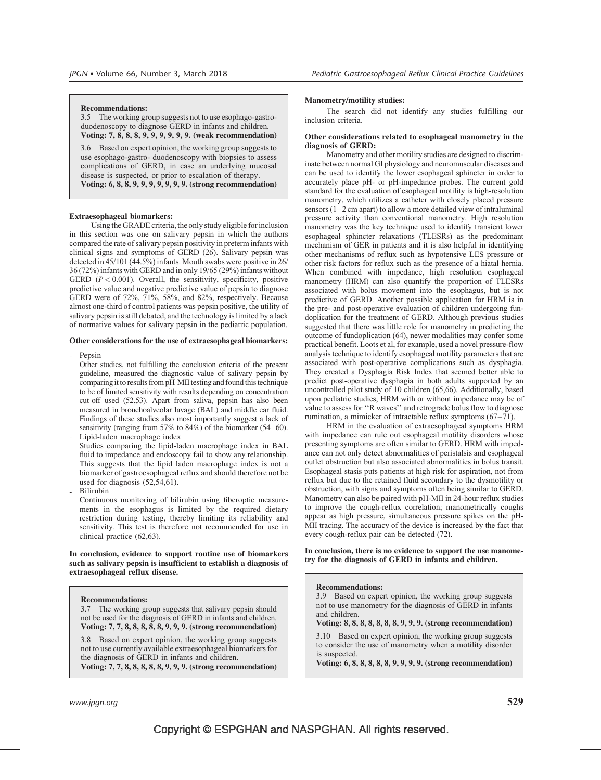#### Recommendations:

3.5 The working group suggests not to use esophago-gastroduodenoscopy to diagnose GERD in infants and children. Voting: 7, 8, 8, 8, 9, 9, 9, 9, 9, 9. (weak recommendation)

3.6 Based on expert opinion, the working group suggests to use esophago-gastro- duodenoscopy with biopsies to assess complications of GERD, in case an underlying mucosal disease is suspected, or prior to escalation of therapy. Voting: 6, 8, 8, 9, 9, 9, 9, 9, 9, 9. (strong recommendation)

### Extraesophageal biomarkers:

Using the GRADE criteria, the only study eligible for inclusion in this section was one on salivary pepsin in which the authors compared the rate of salivary pepsin positivity in preterm infants with clinical signs and symptoms of GERD (26). Salivary pepsin was detected in 45/101 (44.5%) infants. Mouth swabs were positive in 26/ 36 (72%) infants with GERD and in only 19/65 (29%) infants without GERD  $(P < 0.001)$ . Overall, the sensitivity, specificity, positive predictive value and negative predictive value of pepsin to diagnose GERD were of 72%, 71%, 58%, and 82%, respectively. Because almost one-third of control patients was pepsin positive, the utility of salivary pepsin is still debated, and the technology is limited by a lack of normative values for salivary pepsin in the pediatric population.

#### Other considerations for the use of extraesophageal biomarkers:

Pepsin

Other studies, not fulfilling the conclusion criteria of the present guideline, measured the diagnostic value of salivary pepsin by comparing it to results from pH-MII testing and found this technique to be of limited sensitivity with results depending on concentration cut-off used (52,53). Apart from saliva, pepsin has also been measured in bronchoalveolar lavage (BAL) and middle ear fluid. Findings of these studies also most importantly suggest a lack of sensitivity (ranging from 57% to 84%) of the biomarker (54–60). Lipid-laden macrophage index

Studies comparing the lipid-laden macrophage index in BAL fluid to impedance and endoscopy fail to show any relationship. This suggests that the lipid laden macrophage index is not a biomarker of gastroesophageal reflux and should therefore not be used for diagnosis (52,54,61).

- Bilirubin

Continuous monitoring of bilirubin using fiberoptic measurements in the esophagus is limited by the required dietary restriction during testing, thereby limiting its reliability and sensitivity. This test is therefore not recommended for use in clinical practice (62,63).

In conclusion, evidence to support routine use of biomarkers such as salivary pepsin is insufficient to establish a diagnosis of extraesophageal reflux disease.

#### Recommendations:

3.7 The working group suggests that salivary pepsin should not be used for the diagnosis of GERD in infants and children. Voting: 7, 7, 8, 8, 8, 8, 8, 9, 9, 9. (strong recommendation)

3.8 Based on expert opinion, the working group suggests not to use currently available extraesophageal biomarkers for the diagnosis of GERD in infants and children.

Voting: 7, 7, 8, 8, 8, 8, 8, 9, 9, 9. (strong recommendation)

### Manometry/motility studies:

The search did not identify any studies fulfilling our inclusion criteria.

#### Other considerations related to esophageal manometry in the diagnosis of GERD:

Manometry and other motility studies are designed to discriminate between normal GI physiology and neuromuscular diseases and can be used to identify the lower esophageal sphincter in order to accurately place pH- or pH-impedance probes. The current gold standard for the evaluation of esophageal motility is high-resolution manometry, which utilizes a catheter with closely placed pressure sensors (1–2 cm apart) to allow a more detailed view of intraluminal pressure activity than conventional manometry. High resolution manometry was the key technique used to identify transient lower esophageal sphincter relaxations (TLESRs) as the predominant mechanism of GER in patients and it is also helpful in identifying other mechanisms of reflux such as hypotensive LES pressure or other risk factors for reflux such as the presence of a hiatal hernia. When combined with impedance, high resolution esophageal manometry (HRM) can also quantify the proportion of TLESRs associated with bolus movement into the esophagus, but is not predictive of GERD. Another possible application for HRM is in the pre- and post-operative evaluation of children undergoing fundoplication for the treatment of GERD. Although previous studies suggested that there was little role for manometry in predicting the outcome of fundoplication (64), newer modalities may confer some practical benefit. Loots et al, for example, used a novel pressure-flow analysis technique to identify esophageal motility parameters that are associated with post-operative complications such as dysphagia. They created a Dysphagia Risk Index that seemed better able to predict post-operative dysphagia in both adults supported by an uncontrolled pilot study of 10 children (65,66). Additionally, based upon pediatric studies, HRM with or without impedance may be of value to assess for ''R waves'' and retrograde bolus flow to diagnose rumination, a mimicker of intractable reflux symptoms (67–71).

HRM in the evaluation of extraesophageal symptoms HRM with impedance can rule out esophageal motility disorders whose presenting symptoms are often similar to GERD. HRM with impedance can not only detect abnormalities of peristalsis and esophageal outlet obstruction but also associated abnormalities in bolus transit. Esophageal stasis puts patients at high risk for aspiration, not from reflux but due to the retained fluid secondary to the dysmotility or obstruction, with signs and symptoms often being similar to GERD. Manometry can also be paired with pH-MII in 24-hour reflux studies to improve the cough-reflux correlation; manometrically coughs appear as high pressure, simultaneous pressure spikes on the pH-MII tracing. The accuracy of the device is increased by the fact that every cough-reflux pair can be detected (72).

In conclusion, there is no evidence to support the use manometry for the diagnosis of GERD in infants and children.

#### Recommendations:

3.9 Based on expert opinion, the working group suggests not to use manometry for the diagnosis of GERD in infants and children.

#### Voting: 8, 8, 8, 8, 8, 8, 8, 9, 9, 9. (strong recommendation)

3.10 Based on expert opinion, the working group suggests to consider the use of manometry when a motility disorder is suspected.

Voting: 6, 8, 8, 8, 8, 8, 9, 9, 9, 9. (strong recommendation)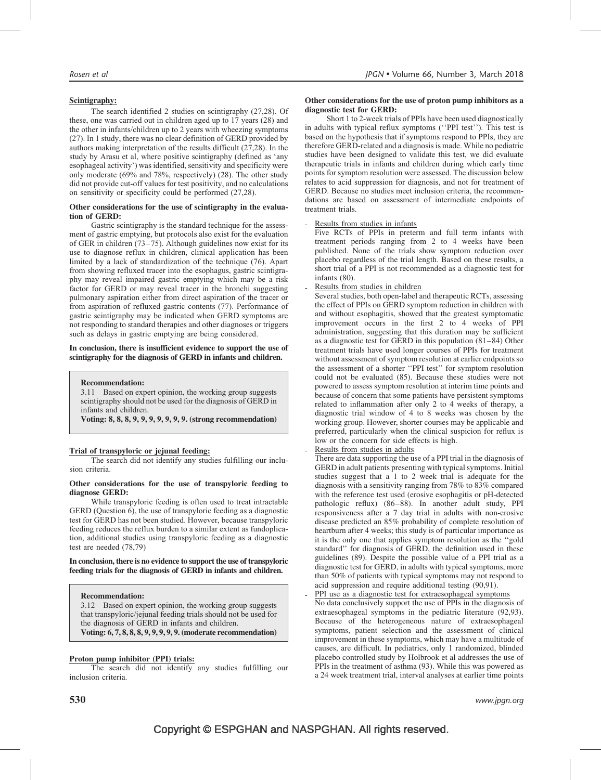### Scintigraphy:

The search identified 2 studies on scintigraphy (27,28). Of these, one was carried out in children aged up to 17 years (28) and the other in infants/children up to 2 years with wheezing symptoms (27). In 1 study, there was no clear definition of GERD provided by authors making interpretation of the results difficult (27,28). In the study by Arasu et al, where positive scintigraphy (defined as 'any esophageal activity') was identified, sensitivity and specificity were only moderate (69% and 78%, respectively) (28). The other study did not provide cut-off values for test positivity, and no calculations on sensitivity or specificity could be performed (27,28).

#### Other considerations for the use of scintigraphy in the evaluation of GERD:

Gastric scintigraphy is the standard technique for the assessment of gastric emptying, but protocols also exist for the evaluation of GER in children (73–75). Although guidelines now exist for its use to diagnose reflux in children, clinical application has been limited by a lack of standardization of the technique (76). Apart from showing refluxed tracer into the esophagus, gastric scintigraphy may reveal impaired gastric emptying which may be a risk factor for GERD or may reveal tracer in the bronchi suggesting pulmonary aspiration either from direct aspiration of the tracer or from aspiration of refluxed gastric contents (77). Performance of gastric scintigraphy may be indicated when GERD symptoms are not responding to standard therapies and other diagnoses or triggers such as delays in gastric emptying are being considered.

### In conclusion, there is insufficient evidence to support the use of scintigraphy for the diagnosis of GERD in infants and children.

Recommendation:

3.11 Based on expert opinion, the working group suggests scintigraphy should not be used for the diagnosis of GERD in infants and children.

Voting: 8, 8, 8, 9, 9, 9, 9, 9, 9, 9. (strong recommendation)

### Trial of transpyloric or jejunal feeding:

The search did not identify any studies fulfilling our inclusion criteria.

#### Other considerations for the use of transpyloric feeding to diagnose GERD:

While transpyloric feeding is often used to treat intractable GERD (Question 6), the use of transpyloric feeding as a diagnostic test for GERD has not been studied. However, because transpyloric feeding reduces the reflux burden to a similar extent as fundoplication, additional studies using transpyloric feeding as a diagnostic test are needed (78,79)

#### In conclusion, there is no evidence to support the use of transpyloric feeding trials for the diagnosis of GERD in infants and children.

### Recommendation:

3.12 Based on expert opinion, the working group suggests that transpyloric/jejunal feeding trials should not be used for the diagnosis of GERD in infants and children. Voting: 6, 7, 8, 8, 8, 9, 9, 9, 9, 9. (moderate recommendation)

### Proton pump inhibitor (PPI) trials:

The search did not identify any studies fulfilling our inclusion criteria.

#### Other considerations for the use of proton pump inhibitors as a diagnostic test for GERD:

Short 1 to 2-week trials of PPIs have been used diagnostically in adults with typical reflux symptoms (''PPI test''). This test is based on the hypothesis that if symptoms respond to PPIs, they are therefore GERD-related and a diagnosis is made. While no pediatric studies have been designed to validate this test, we did evaluate therapeutic trials in infants and children during which early time points for symptom resolution were assessed. The discussion below relates to acid suppression for diagnosis, and not for treatment of GERD. Because no studies meet inclusion criteria, the recommendations are based on assessment of intermediate endpoints of treatment trials.

Results from studies in infants

Five RCTs of PPIs in preterm and full term infants with treatment periods ranging from 2 to 4 weeks have been published. None of the trials show symptom reduction over placebo regardless of the trial length. Based on these results, a short trial of a PPI is not recommended as a diagnostic test for infants (80).

Results from studies in children

Several studies, both open-label and therapeutic RCTs, assessing the effect of PPIs on GERD symptom reduction in children with and without esophagitis, showed that the greatest symptomatic improvement occurs in the first 2 to 4 weeks of PPI administration, suggesting that this duration may be sufficient as a diagnostic test for GERD in this population (81–84) Other treatment trials have used longer courses of PPIs for treatment without assessment of symptom resolution at earlier endpoints so the assessment of a shorter ''PPI test'' for symptom resolution could not be evaluated (85). Because these studies were not powered to assess symptom resolution at interim time points and because of concern that some patients have persistent symptoms related to inflammation after only 2 to 4 weeks of therapy, a diagnostic trial window of 4 to 8 weeks was chosen by the working group. However, shorter courses may be applicable and preferred, particularly when the clinical suspicion for reflux is low or the concern for side effects is high.

Results from studies in adults

There are data supporting the use of a PPI trial in the diagnosis of GERD in adult patients presenting with typical symptoms. Initial studies suggest that a 1 to 2 week trial is adequate for the diagnosis with a sensitivity ranging from 78% to 83% compared with the reference test used (erosive esophagitis or pH-detected pathologic reflux) (86–88). In another adult study, PPI responsiveness after a 7 day trial in adults with non-erosive disease predicted an 85% probability of complete resolution of heartburn after 4 weeks; this study is of particular importance as it is the only one that applies symptom resolution as the ''gold standard'' for diagnosis of GERD, the definition used in these guidelines (89). Despite the possible value of a PPI trial as a diagnostic test for GERD, in adults with typical symptoms, more than 50% of patients with typical symptoms may not respond to acid suppression and require additional testing (90,91).

PPI use as a diagnostic test for extraesophageal symptoms No data conclusively support the use of PPIs in the diagnosis of extraesophageal symptoms in the pediatric literature (92,93). Because of the heterogeneous nature of extraesophageal symptoms, patient selection and the assessment of clinical improvement in these symptoms, which may have a multitude of causes, are difficult. In pediatrics, only 1 randomized, blinded placebo controlled study by Holbrook et al addresses the use of PPIs in the treatment of asthma (93). While this was powered as a 24 week treatment trial, interval analyses at earlier time points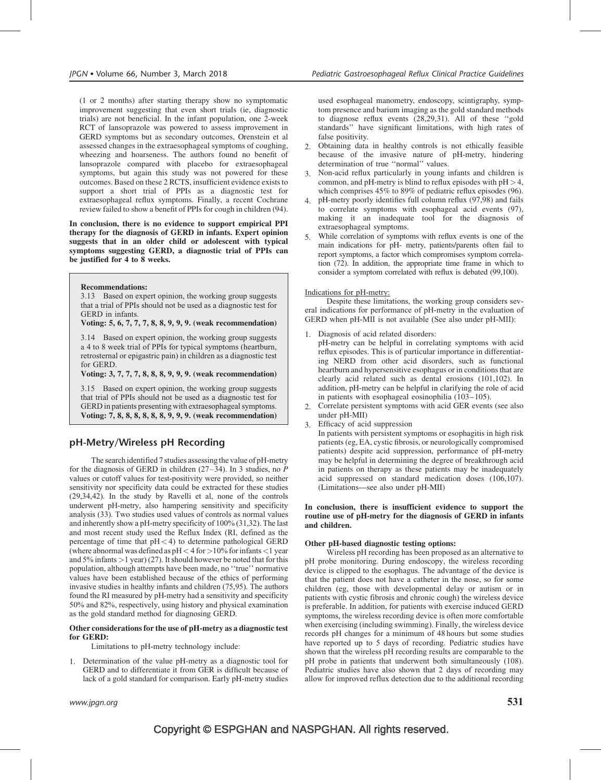(1 or 2 months) after starting therapy show no symptomatic improvement suggesting that even short trials (ie, diagnostic trials) are not beneficial. In the infant population, one 2-week RCT of lansoprazole was powered to assess improvement in GERD symptoms but as secondary outcomes, Orenstein et al assessed changes in the extraesophageal symptoms of coughing, wheezing and hoarseness. The authors found no benefit of lansoprazole compared with placebo for extraesophageal symptoms, but again this study was not powered for these outcomes. Based on these 2 RCTS, insufficient evidence exists to support a short trial of PPIs as a diagnostic test for extraesophageal reflux symptoms. Finally, a recent Cochrane review failed to show a benefit of PPIs for cough in children (94).

In conclusion, there is no evidence to support empirical PPI therapy for the diagnosis of GERD in infants. Expert opinion suggests that in an older child or adolescent with typical symptoms suggesting GERD, a diagnostic trial of PPIs can be justified for 4 to 8 weeks.

#### Recommendations:

3.13 Based on expert opinion, the working group suggests that a trial of PPIs should not be used as a diagnostic test for GERD in infants.

Voting: 5, 6, 7, 7, 7, 8, 8, 9, 9, 9. (weak recommendation)

3.14 Based on expert opinion, the working group suggests a 4 to 8 week trial of PPIs for typical symptoms (heartburn, retrosternal or epigastric pain) in children as a diagnostic test for GERD.

Voting: 3, 7, 7, 7, 8, 8, 8, 9, 9, 9. (weak recommendation)

3.15 Based on expert opinion, the working group suggests that trial of PPIs should not be used as a diagnostic test for GERD in patients presenting with extraesophageal symptoms. Voting: 7, 8, 8, 8, 8, 8, 8, 9, 9, 9. (weak recommendation)

### pH-Metry/Wireless pH Recording

The search identified 7 studies assessing the value of pH-metry for the diagnosis of GERD in children  $(27-34)$ . In 3 studies, no P values or cutoff values for test-positivity were provided, so neither sensitivity nor specificity data could be extracted for these studies (29,34,42). In the study by Ravelli et al, none of the controls underwent pH-metry, also hampering sensitivity and specificity analysis (33). Two studies used values of controls as normal values and inherently show a pH-metry specificity of 100% (31,32). The last and most recent study used the Reflux Index (RI, defined as the percentage of time that pH< 4) to determine pathological GERD (where abnormal was defined as  $pH < 4$  for  $>$  10% for infants  $<$  1 year and 5% infants  $>1$  year) (27). It should however be noted that for this population, although attempts have been made, no ''true'' normative values have been established because of the ethics of performing invasive studies in healthy infants and children (75,95). The authors found the RI measured by pH-metry had a sensitivity and specificity 50% and 82%, respectively, using history and physical examination as the gold standard method for diagnosing GERD.

#### Other considerations for the use of pH-metry as a diagnostic test for GERD:

Limitations to pH-metry technology include:

1. Determination of the value pH-metry as a diagnostic tool for GERD and to differentiate it from GER is difficult because of lack of a gold standard for comparison. Early pH-metry studies

used esophageal manometry, endoscopy, scintigraphy, symptom presence and barium imaging as the gold standard methods to diagnose reflux events (28,29,31). All of these ''gold standards'' have significant limitations, with high rates of false positivity.

- 2. Obtaining data in healthy controls is not ethically feasible because of the invasive nature of pH-metry, hindering determination of true ''normal'' values.
- 3. Non-acid reflux particularly in young infants and children is common, and  $pH$ -metry is blind to reflux episodes with  $pH > 4$ , which comprises 45% to 89% of pediatric reflux episodes (96).
- 4. pH-metry poorly identifies full column reflux (97,98) and fails to correlate symptoms with esophageal acid events (97), making it an inadequate tool for the diagnosis of extraesophageal symptoms.
- 5. While correlation of symptoms with reflux events is one of the main indications for pH- metry, patients/parents often fail to report symptoms, a factor which compromises symptom correlation (72). In addition, the appropriate time frame in which to consider a symptom correlated with reflux is debated (99,100).

#### Indications for pH-metry:

Despite these limitations, the working group considers several indications for performance of pH-metry in the evaluation of GERD when pH-MII is not available (See also under pH-MII):

- 1. Diagnosis of acid related disorders:
- pH-metry can be helpful in correlating symptoms with acid reflux episodes. This is of particular importance in differentiating NERD from other acid disorders, such as functional heartburn and hypersensitive esophagus or in conditions that are clearly acid related such as dental erosions (101,102). In addition, pH-metry can be helpful in clarifying the role of acid in patients with esophageal eosinophilia (103–105).
- 2. Correlate persistent symptoms with acid GER events (see also under pH-MII)
- 3. Efficacy of acid suppression

In patients with persistent symptoms or esophagitis in high risk patients (eg, EA, cystic fibrosis, or neurologically compromised patients) despite acid suppression, performance of pH-metry may be helpful in determining the degree of breakthrough acid in patients on therapy as these patients may be inadequately acid suppressed on standard medication doses (106,107). (Limitations—see also under pH-MII)

#### In conclusion, there is insufficient evidence to support the routine use of pH-metry for the diagnosis of GERD in infants and children.

#### Other pH-based diagnostic testing options:

Wireless pH recording has been proposed as an alternative to pH probe monitoring. During endoscopy, the wireless recording device is clipped to the esophagus. The advantage of the device is that the patient does not have a catheter in the nose, so for some children (eg, those with developmental delay or autism or in patients with cystic fibrosis and chronic cough) the wireless device is preferable. In addition, for patients with exercise induced GERD symptoms, the wireless recording device is often more comfortable when exercising (including swimming). Finally, the wireless device records pH changes for a minimum of 48 hours but some studies have reported up to 5 days of recording. Pediatric studies have shown that the wireless pH recording results are comparable to the pH probe in patients that underwent both simultaneously (108). Pediatric studies have also shown that 2 days of recording may allow for improved reflux detection due to the additional recording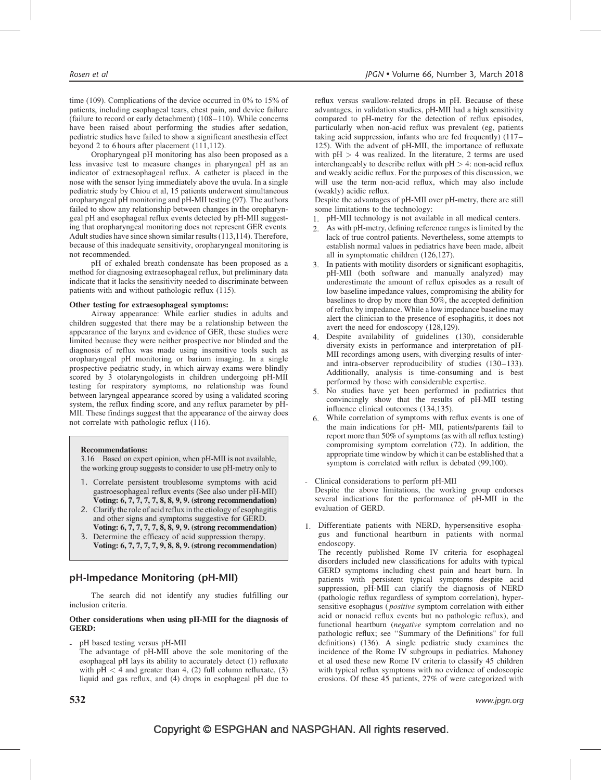time (109). Complications of the device occurred in 0% to 15% of patients, including esophageal tears, chest pain, and device failure (failure to record or early detachment) (108–110). While concerns have been raised about performing the studies after sedation, pediatric studies have failed to show a significant anesthesia effect beyond 2 to 6 hours after placement (111,112).

Oropharyngeal pH monitoring has also been proposed as a less invasive test to measure changes in pharyngeal pH as an indicator of extraesophageal reflux. A catheter is placed in the nose with the sensor lying immediately above the uvula. In a single pediatric study by Chiou et al, 15 patients underwent simultaneous oropharyngeal pH monitoring and pH-MII testing (97). The authors failed to show any relationship between changes in the oropharyngeal pH and esophageal reflux events detected by pH-MII suggesting that oropharyngeal monitoring does not represent GER events. Adult studies have since shown similar results (113,114). Therefore, because of this inadequate sensitivity, oropharyngeal monitoring is not recommended.

pH of exhaled breath condensate has been proposed as a method for diagnosing extraesophageal reflux, but preliminary data indicate that it lacks the sensitivity needed to discriminate between patients with and without pathologic reflux (115).

### Other testing for extraesophageal symptoms:

Airway appearance: While earlier studies in adults and children suggested that there may be a relationship between the appearance of the larynx and evidence of GER, these studies were limited because they were neither prospective nor blinded and the diagnosis of reflux was made using insensitive tools such as oropharyngeal pH monitoring or barium imaging. In a single prospective pediatric study, in which airway exams were blindly scored by 3 otolaryngologists in children undergoing pH-MII testing for respiratory symptoms, no relationship was found between laryngeal appearance scored by using a validated scoring system, the reflux finding score, and any reflux parameter by pH-MII. These findings suggest that the appearance of the airway does not correlate with pathologic reflux (116).

#### Recommendations:

3.16 Based on expert opinion, when pH-MII is not available, the working group suggests to consider to use pH-metry only to

- 1. Correlate persistent troublesome symptoms with acid gastroesophageal reflux events (See also under pH-MII) Voting: 6, 7, 7, 7, 7, 8, 8, 9, 9. (strong recommendation)
- 2. Clarify the role of acid reflux in the etiology of esophagitis and other signs and symptoms suggestive for GERD. Voting: 6, 7, 7, 7, 7, 8, 8, 9, 9. (strong recommendation)
- 3. Determine the efficacy of acid suppression therapy. Voting: 6, 7, 7, 7, 7, 9, 8, 8, 9. (strong recommendation)

### pH-Impedance Monitoring (pH-MII)

The search did not identify any studies fulfilling our inclusion criteria.

#### Other considerations when using pH-MII for the diagnosis of GERD:

- pH based testing versus pH-MII
	- The advantage of pH-MII above the sole monitoring of the esophageal pH lays its ability to accurately detect (1) refluxate with  $pH < 4$  and greater than 4, (2) full column refluxate, (3) liquid and gas reflux, and (4) drops in esophageal pH due to

reflux versus swallow-related drops in pH. Because of these advantages, in validation studies, pH-MII had a high sensitivity compared to pH-metry for the detection of reflux episodes, particularly when non-acid reflux was prevalent (eg, patients taking acid suppression, infants who are fed frequently) (117– 125). With the advent of pH-MII, the importance of refluxate with  $pH > 4$  was realized. In the literature, 2 terms are used interchangeably to describe reflux with  $pH > 4$ : non-acid reflux and weakly acidic reflux. For the purposes of this discussion, we will use the term non-acid reflux, which may also include (weakly) acidic reflux.

Despite the advantages of pH-MII over pH-metry, there are still some limitations to the technology:

- 1. pH-MII technology is not available in all medical centers.
- 2. As with pH-metry, defining reference ranges is limited by the lack of true control patients. Nevertheless, some attempts to establish normal values in pediatrics have been made, albeit all in symptomatic children (126,127).
- 3. In patients with motility disorders or significant esophagitis, pH-MII (both software and manually analyzed) may underestimate the amount of reflux episodes as a result of low baseline impedance values, compromising the ability for baselines to drop by more than 50%, the accepted definition of reflux by impedance. While a low impedance baseline may alert the clinician to the presence of esophagitis, it does not avert the need for endoscopy (128,129).
- 4. Despite availability of guidelines (130), considerable diversity exists in performance and interpretation of pH-MII recordings among users, with diverging results of interand intra-observer reproducibility of studies (130–133). Additionally, analysis is time-consuming and is best performed by those with considerable expertise.
- 5. No studies have yet been performed in pediatrics that convincingly show that the results of pH-MII testing influence clinical outcomes (134,135).
- 6. While correlation of symptoms with reflux events is one of the main indications for pH- MII, patients/parents fail to report more than 50% of symptoms (as with all reflux testing) compromising symptom correlation (72). In addition, the appropriate time window by which it can be established that a symptom is correlated with reflux is debated (99,100).
- Clinical considerations to perform pH-MII Despite the above limitations, the working group endorses several indications for the performance of pH-MII in the evaluation of GERD.
- 1. Differentiate patients with NERD, hypersensitive esophagus and functional heartburn in patients with normal endoscopy.

The recently published Rome IV criteria for esophageal disorders included new classifications for adults with typical GERD symptoms including chest pain and heart burn. In patients with persistent typical symptoms despite acid suppression, pH-MII can clarify the diagnosis of NERD (pathologic reflux regardless of symptom correlation), hypersensitive esophagus (*positive* symptom correlation with either acid or nonacid reflux events but no pathologic reflux), and functional heartburn (negative symptom correlation and no pathologic reflux; see ''Summary of the Definitions" for full definitions) (136). A single pediatric study examines the incidence of the Rome IV subgroups in pediatrics. Mahoney et al used these new Rome IV criteria to classify 45 children with typical reflux symptoms with no evidence of endoscopic erosions. Of these 45 patients, 27% of were categorized with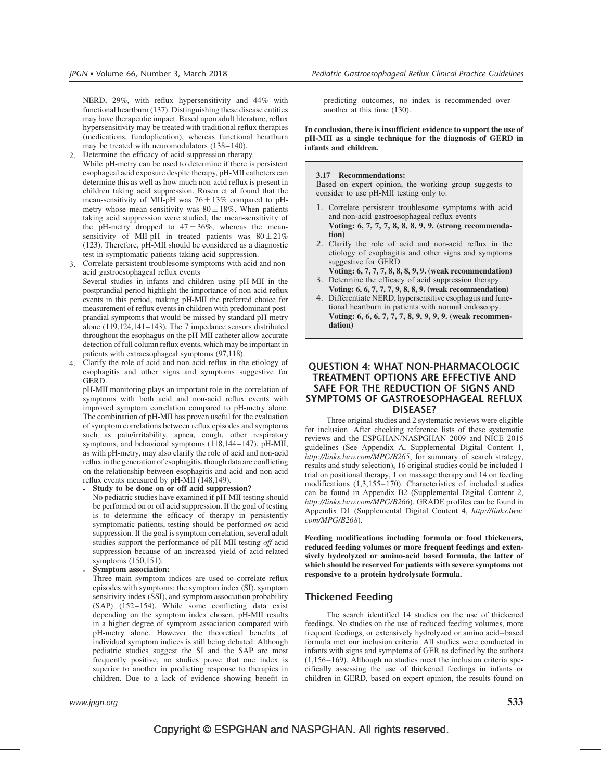NERD, 29%, with reflux hypersensitivity and 44% with functional heartburn (137). Distinguishing these disease entities may have therapeutic impact. Based upon adult literature, reflux hypersensitivity may be treated with traditional reflux therapies (medications, fundoplication), whereas functional heartburn may be treated with neuromodulators (138–140).

2. Determine the efficacy of acid suppression therapy. While pH-metry can be used to determine if there is persistent esophageal acid exposure despite therapy, pH-MII catheters can determine this as well as how much non-acid reflux is present in children taking acid suppression. Rosen et al found that the mean-sensitivity of MII-pH was  $76 \pm 13\%$  compared to pHmetry whose mean-sensitivity was  $80 \pm 18\%$ . When patients taking acid suppression were studied, the mean-sensitivity of the pH-metry dropped to  $47 \pm 36\%$ , whereas the meansensitivity of MII-pH in treated patients was  $80 \pm 21\%$ (123). Therefore, pH-MII should be considered as a diagnostic test in symptomatic patients taking acid suppression.

- 3. Correlate persistent troublesome symptoms with acid and nonacid gastroesophageal reflux events Several studies in infants and children using pH-MII in the postprandial period highlight the importance of non-acid reflux events in this period, making pH-MII the preferred choice for measurement of reflux events in children with predominant postprandial symptoms that would be missed by standard pH-metry alone (119,124,141–143). The 7 impedance sensors distributed throughout the esophagus on the pH-MII catheter allow accurate
- patients with extraesophageal symptoms (97,118). 4. Clarify the role of acid and non-acid reflux in the etiology of esophagitis and other signs and symptoms suggestive for GERD.

detection of full column reflux events, which may be important in

pH-MII monitoring plays an important role in the correlation of symptoms with both acid and non-acid reflux events with improved symptom correlation compared to pH-metry alone. The combination of pH-MII has proven useful for the evaluation of symptom correlations between reflux episodes and symptoms such as pain/irritability, apnea, cough, other respiratory symptoms, and behavioral symptoms (118,144–147). pH-MII, as with pH-metry, may also clarify the role of acid and non-acid reflux in the generation of esophagitis, though data are conflicting on the relationship between esophagitis and acid and non-acid reflux events measured by pH-MII (148,149).

- Study to be done on or off acid suppression? No pediatric studies have examined if pH-MII testing should be performed on or off acid suppression. If the goal of testing is to determine the efficacy of therapy in persistently symptomatic patients, testing should be performed *on* acid suppression. If the goal is symptom correlation, several adult studies support the performance of pH-MII testing off acid suppression because of an increased yield of acid-related symptoms (150,151).

- Symptom association:

Three main symptom indices are used to correlate reflux episodes with symptoms: the symptom index (SI), symptom sensitivity index (SSI), and symptom association probability (SAP) (152–154). While some conflicting data exist depending on the symptom index chosen, pH-MII results in a higher degree of symptom association compared with pH-metry alone. However the theoretical benefits of individual symptom indices is still being debated. Although pediatric studies suggest the SI and the SAP are most frequently positive, no studies prove that one index is superior to another in predicting response to therapies in children. Due to a lack of evidence showing benefit in

predicting outcomes, no index is recommended over another at this time (130).

In conclusion, there is insufficient evidence to support the use of pH-MII as a single technique for the diagnosis of GERD in infants and children.

### 3.17 Recommendations:

Based on expert opinion, the working group suggests to consider to use pH-MII testing only to:

- 1. Correlate persistent troublesome symptoms with acid and non-acid gastroesophageal reflux events Voting: 6, 7, 7, 7, 8, 8, 8, 9, 9. (strong recommendation)
- 2. Clarify the role of acid and non-acid reflux in the etiology of esophagitis and other signs and symptoms suggestive for GERD.
- Voting: 6, 7, 7, 7, 8, 8, 8, 9, 9. (weak recommendation) 3. Determine the efficacy of acid suppression therapy. Voting: 6, 6, 7, 7, 7, 9, 8, 8, 9. (weak recommendation)
- 4. Differentiate NERD, hypersensitive esophagus and functional heartburn in patients with normal endoscopy. Voting: 6, 6, 6, 7, 7, 7, 8, 9, 9, 9, 9. (weak recommendation)

### QUESTION 4: WHAT NON-PHARMACOLOGIC TREATMENT OPTIONS ARE EFFECTIVE AND SAFE FOR THE REDUCTION OF SIGNS AND SYMPTOMS OF GASTROESOPHAGEAL REFLUX DISEASE?

Three original studies and 2 systematic reviews were eligible for inclusion. After checking reference lists of these systematic reviews and the ESPGHAN/NASPGHAN 2009 and NICE 2015 guidelines (See Appendix A, Supplemental Digital Content 1, <http://links.lww.com/MPG/B265>, for summary of search strategy, results and study selection), 16 original studies could be included 1 trial on positional therapy, 1 on massage therapy and 14 on feeding modifications (1,3,155–170). Characteristics of included studies can be found in Appendix B2 (Supplemental Digital Content 2, <http://links.lww.com/MPG/B266>). GRADE profiles can be found in Appendix D1 (Supplemental Digital Content 4, [http://links.lww.](http://links.lww.com/MPG/B268) [com/MPG/B268](http://links.lww.com/MPG/B268)).

Feeding modifications including formula or food thickeners, reduced feeding volumes or more frequent feedings and extensively hydrolyzed or amino-acid based formula, the latter of which should be reserved for patients with severe symptoms not responsive to a protein hydrolysate formula.

### Thickened Feeding

The search identified 14 studies on the use of thickened feedings. No studies on the use of reduced feeding volumes, more frequent feedings, or extensively hydrolyzed or amino acid–based formula met our inclusion criteria. All studies were conducted in infants with signs and symptoms of GER as defined by the authors (1,156–169). Although no studies meet the inclusion criteria specifically assessing the use of thickened feedings in infants or children in GERD, based on expert opinion, the results found on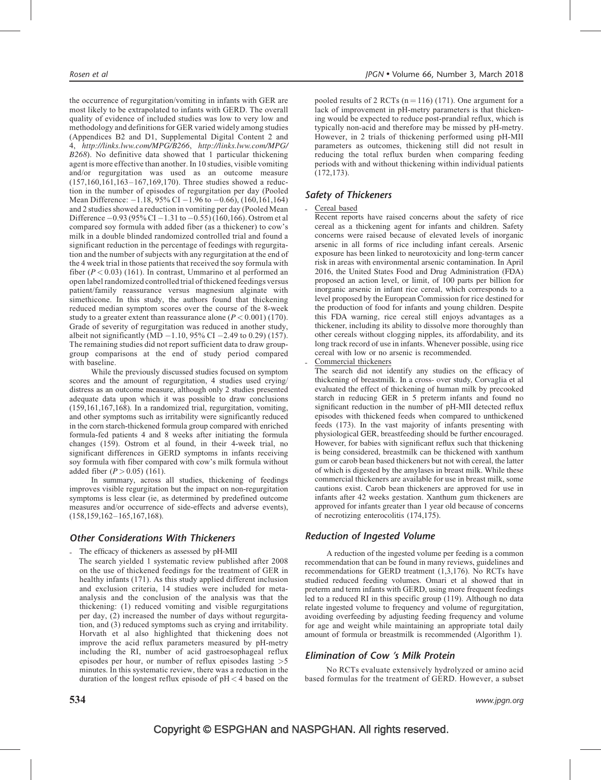the occurrence of regurgitation/vomiting in infants with GER are most likely to be extrapolated to infants with GERD. The overall quality of evidence of included studies was low to very low and methodology and definitions for GER varied widely among studies (Appendices B2 and D1, Supplemental Digital Content 2 and 4, <http://links.lww.com/MPG/B266>, [http://links.lww.com/MPG/](http://links.lww.com/MPG/B268) [B268](http://links.lww.com/MPG/B268)). No definitive data showed that 1 particular thickening agent is more effective than another. In 10 studies, visible vomiting and/or regurgitation was used as an outcome measure (157,160,161,163–167,169,170). Three studies showed a reduction in the number of episodes of regurgitation per day (Pooled Mean Difference:  $-1.18$ , 95% CI  $-1.96$  to  $-0.66$ ), (160,161,164) and 2 studies showed a reduction in vomiting per day (Pooled Mean Difference  $-0.93 (95\% \text{ CI} - 1.31 \text{ to } -0.55) (160,166)$ . Ostrom et al compared soy formula with added fiber (as a thickener) to cow's milk in a double blinded randomized controlled trial and found a significant reduction in the percentage of feedings with regurgitation and the number of subjects with any regurgitation at the end of the 4 week trial in those patients that received the soy formula with fiber  $(P < 0.03)$  (161). In contrast, Ummarino et al performed an open label randomized controlled trial of thickened feedings versus patient/family reassurance versus magnesium alginate with simethicone. In this study, the authors found that thickening reduced median symptom scores over the course of the 8-week study to a greater extent than reassurance alone  $(P < 0.001)$  (170). Grade of severity of regurgitation was reduced in another study, albeit not significantly (MD  $-1.10$ , 95% CI  $-2.49$  to 0.29) (157). The remaining studies did not report sufficient data to draw groupgroup comparisons at the end of study period compared with baseline.

While the previously discussed studies focused on symptom scores and the amount of regurgitation, 4 studies used crying/ distress as an outcome measure, although only 2 studies presented adequate data upon which it was possible to draw conclusions (159,161,167,168). In a randomized trial, regurgitation, vomiting, and other symptoms such as irritability were significantly reduced in the corn starch-thickened formula group compared with enriched formula-fed patients 4 and 8 weeks after initiating the formula changes (159). Ostrom et al found, in their 4-week trial, no significant differences in GERD symptoms in infants receiving soy formula with fiber compared with cow's milk formula without added fiber  $(P > 0.05)$  (161).

In summary, across all studies, thickening of feedings improves visible regurgitation but the impact on non-regurgitation symptoms is less clear (ie, as determined by predefined outcome measures and/or occurrence of side-effects and adverse events), (158,159,162–165,167,168).

### Other Considerations With Thickeners

- The efficacy of thickeners as assessed by pH-MII
- The search yielded 1 systematic review published after 2008 on the use of thickened feedings for the treatment of GER in healthy infants (171). As this study applied different inclusion and exclusion criteria, 14 studies were included for metaanalysis and the conclusion of the analysis was that the thickening: (1) reduced vomiting and visible regurgitations per day, (2) increased the number of days without regurgitation, and (3) reduced symptoms such as crying and irritability. Horvath et al also highlighted that thickening does not improve the acid reflux parameters measured by pH-metry including the RI, number of acid gastroesophageal reflux episodes per hour, or number of reflux episodes lasting >5 minutes. In this systematic review, there was a reduction in the duration of the longest reflux episode of pH < 4 based on the

pooled results of 2 RCTs ( $n = 116$ ) (171). One argument for a lack of improvement in pH-metry parameters is that thickening would be expected to reduce post-prandial reflux, which is typically non-acid and therefore may be missed by pH-metry. However, in 2 trials of thickening performed using pH-MII parameters as outcomes, thickening still did not result in reducing the total reflux burden when comparing feeding periods with and without thickening within individual patients (172,173).

### Safety of Thickeners

### Cereal based

Recent reports have raised concerns about the safety of rice cereal as a thickening agent for infants and children. Safety concerns were raised because of elevated levels of inorganic arsenic in all forms of rice including infant cereals. Arsenic exposure has been linked to neurotoxicity and long-term cancer risk in areas with environmental arsenic contamination. In April 2016, the United States Food and Drug Administration (FDA) proposed an action level, or limit, of 100 parts per billion for inorganic arsenic in infant rice cereal, which corresponds to a level proposed by the European Commission for rice destined for the production of food for infants and young children. Despite this FDA warning, rice cereal still enjoys advantages as a thickener, including its ability to dissolve more thoroughly than other cereals without clogging nipples, its affordability, and its long track record of use in infants. Whenever possible, using rice cereal with low or no arsenic is recommended.

Commercial thickeners

The search did not identify any studies on the efficacy of thickening of breastmilk. In a cross- over study, Corvaglia et al evaluated the effect of thickening of human milk by precooked starch in reducing GER in 5 preterm infants and found no significant reduction in the number of pH-MII detected reflux episodes with thickened feeds when compared to unthickened feeds (173). In the vast majority of infants presenting with physiological GER, breastfeeding should be further encouraged. However, for babies with significant reflux such that thickening is being considered, breastmilk can be thickened with xanthum gum or carob bean based thickeners but not with cereal, the latter of which is digested by the amylases in breast milk. While these commercial thickeners are available for use in breast milk, some cautions exist. Carob bean thickeners are approved for use in infants after 42 weeks gestation. Xanthum gum thickeners are approved for infants greater than 1 year old because of concerns of necrotizing enterocolitis (174,175).

### Reduction of Ingested Volume

A reduction of the ingested volume per feeding is a common recommendation that can be found in many reviews, guidelines and recommendations for GERD treatment (1,3,176). No RCTs have studied reduced feeding volumes. Omari et al showed that in preterm and term infants with GERD, using more frequent feedings led to a reduced RI in this specific group (119). Although no data relate ingested volume to frequency and volume of regurgitation, avoiding overfeeding by adjusting feeding frequency and volume for age and weight while maintaining an appropriate total daily amount of formula or breastmilk is recommended (Algorithm 1).

### Elimination of Cow 's Milk Protein

No RCTs evaluate extensively hydrolyzed or amino acid based formulas for the treatment of GERD. However, a subset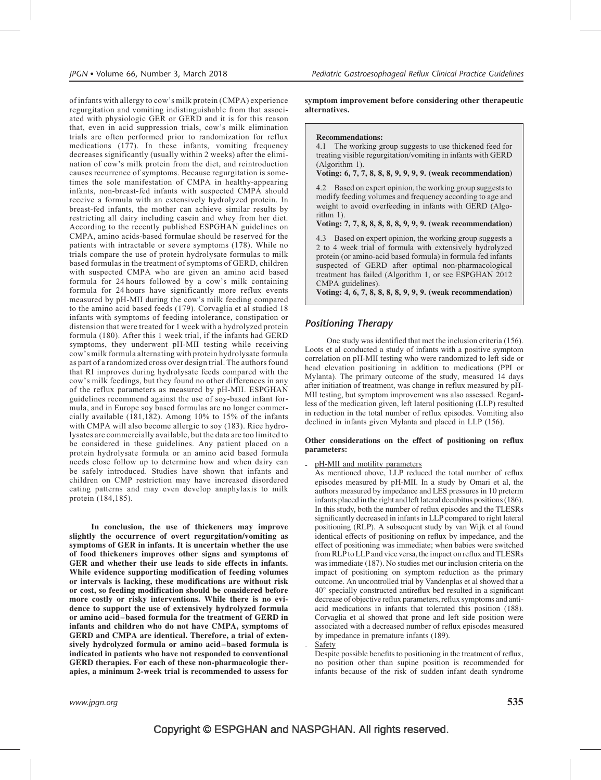of infants with allergy to cow's milk protein (CMPA) experience regurgitation and vomiting indistinguishable from that associated with physiologic GER or GERD and it is for this reason that, even in acid suppression trials, cow's milk elimination trials are often performed prior to randomization for reflux medications (177). In these infants, vomiting frequency decreases significantly (usually within 2 weeks) after the elimination of cow's milk protein from the diet, and reintroduction causes recurrence of symptoms. Because regurgitation is sometimes the sole manifestation of CMPA in healthy-appearing infants, non-breast-fed infants with suspected CMPA should receive a formula with an extensively hydrolyzed protein. In breast-fed infants, the mother can achieve similar results by restricting all dairy including casein and whey from her diet. According to the recently published ESPGHAN guidelines on CMPA, amino acids-based formulae should be reserved for the patients with intractable or severe symptoms (178). While no trials compare the use of protein hydrolysate formulas to milk based formulas in the treatment of symptoms of GERD, children with suspected CMPA who are given an amino acid based formula for 24 hours followed by a cow's milk containing formula for 24 hours have significantly more reflux events measured by pH-MII during the cow's milk feeding compared to the amino acid based feeds (179). Corvaglia et al studied 18 infants with symptoms of feeding intolerance, constipation or distension that were treated for 1 week with a hydrolyzed protein formula (180). After this 1 week trial, if the infants had GERD symptoms, they underwent pH-MII testing while receiving cow's milk formula alternating with protein hydrolysate formula as part of a randomized cross over design trial. The authors found that RI improves during hydrolysate feeds compared with the cow's milk feedings, but they found no other differences in any of the reflux parameters as measured by pH-MII. ESPGHAN guidelines recommend against the use of soy-based infant formula, and in Europe soy based formulas are no longer commercially available (181,182). Among 10% to 15% of the infants with CMPA will also become allergic to soy (183). Rice hydrolysates are commercially available, but the data are too limited to be considered in these guidelines. Any patient placed on a protein hydrolysate formula or an amino acid based formula needs close follow up to determine how and when dairy can be safely introduced. Studies have shown that infants and children on CMP restriction may have increased disordered eating patterns and may even develop anaphylaxis to milk protein (184,185).

In conclusion, the use of thickeners may improve slightly the occurrence of overt regurgitation/vomiting as symptoms of GER in infants. It is uncertain whether the use of food thickeners improves other signs and symptoms of GER and whether their use leads to side effects in infants. While evidence supporting modification of feeding volumes or intervals is lacking, these modifications are without risk or cost, so feeding modification should be considered before more costly or risky interventions. While there is no evidence to support the use of extensively hydrolyzed formula or amino acid–based formula for the treatment of GERD in infants and children who do not have CMPA, symptoms of GERD and CMPA are identical. Therefore, a trial of extensively hydrolyzed formula or amino acid–based formula is indicated in patients who have not responded to conventional GERD therapies. For each of these non-pharmacologic therapies, a minimum 2-week trial is recommended to assess for

symptom improvement before considering other therapeutic alternatives.

#### Recommendations:

4.1 The working group suggests to use thickened feed for treating visible regurgitation/vomiting in infants with GERD (Algorithm 1).

Voting: 6, 7, 7, 8, 8, 8, 9, 9, 9, 9. (weak recommendation)

4.2 Based on expert opinion, the working group suggests to modify feeding volumes and frequency according to age and weight to avoid overfeeding in infants with GERD (Algorithm 1).

### Voting: 7, 7, 8, 8, 8, 8, 8, 9, 9, 9. (weak recommendation)

4.3 Based on expert opinion, the working group suggests a 2 to 4 week trial of formula with extensively hydrolyzed protein (or amino-acid based formula) in formula fed infants suspected of GERD after optimal non-pharmacological treatment has failed (Algorithm 1, or see ESPGHAN 2012 CMPA guidelines).

Voting: 4, 6, 7, 8, 8, 8, 8, 9, 9, 9. (weak recommendation)

### Positioning Therapy

One study was identified that met the inclusion criteria (156). Loots et al conducted a study of infants with a positive symptom correlation on pH-MII testing who were randomized to left side or head elevation positioning in addition to medications (PPI or Mylanta). The primary outcome of the study, measured 14 days after initiation of treatment, was change in reflux measured by pH-MII testing, but symptom improvement was also assessed. Regardless of the medication given, left lateral positioning (LLP) resulted in reduction in the total number of reflux episodes. Vomiting also declined in infants given Mylanta and placed in LLP (156).

#### Other considerations on the effect of positioning on reflux parameters:

pH-MII and motility parameters

As mentioned above, LLP reduced the total number of reflux episodes measured by pH-MII. In a study by Omari et al, the authors measured by impedance and LES pressures in 10 preterm infants placed in the right and left lateral decubitus positions (186). In this study, both the number of reflux episodes and the TLESRs significantly decreased in infants in LLP compared to right lateral positioning (RLP). A subsequent study by van Wijk et al found identical effects of positioning on reflux by impedance, and the effect of positioning was immediate; when babies were switched from RLP to LLP and vice versa, the impact on reflux and TLESRs was immediate (187). No studies met our inclusion criteria on the impact of positioning on symptom reduction as the primary outcome. An uncontrolled trial by Vandenplas et al showed that a  $40^\circ$  specially constructed antireflux bed resulted in a significant decrease of objective reflux parameters, reflux symptoms and antiacid medications in infants that tolerated this position (188). Corvaglia et al showed that prone and left side position were associated with a decreased number of reflux episodes measured by impedance in premature infants (189). **Safety** 

Despite possible benefits to positioning in the treatment of reflux, no position other than supine position is recommended for infants because of the risk of sudden infant death syndrome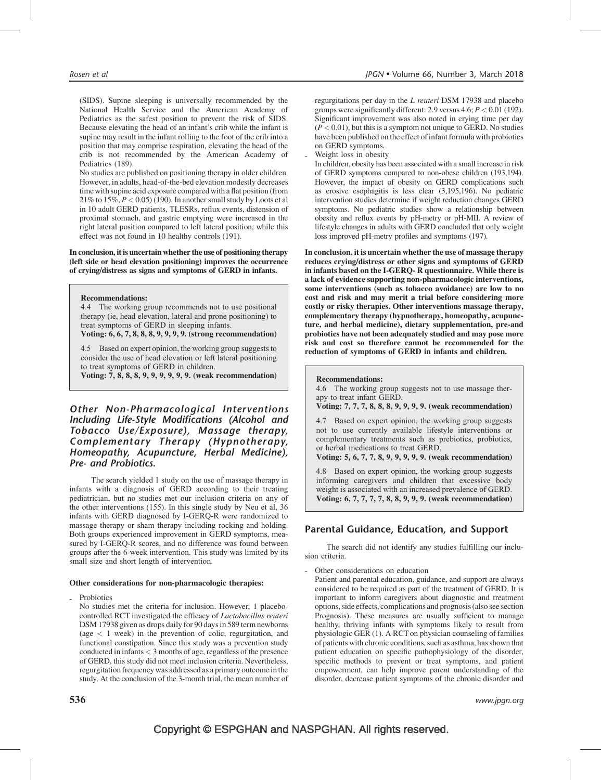Rosen et al JPGN • Volume 66, Number 3, March 2018

(SIDS). Supine sleeping is universally recommended by the National Health Service and the American Academy of Pediatrics as the safest position to prevent the risk of SIDS. Because elevating the head of an infant's crib while the infant is supine may result in the infant rolling to the foot of the crib into a position that may comprise respiration, elevating the head of the crib is not recommended by the American Academy of Pediatrics (189).

No studies are published on positioning therapy in older children. However, in adults, head-of-the-bed elevation modestly decreases time with supine acid exposure compared with a flat position (from 21% to  $15\%, P < 0.05$ ) (190). In another small study by Loots et al in 10 adult GERD patients, TLESRs, reflux events, distension of proximal stomach, and gastric emptying were increased in the right lateral position compared to left lateral position, while this effect was not found in 10 healthy controls (191).

In conclusion, it is uncertain whether the use of positioning therapy (left side or head elevation positioning) improves the occurrence of crying/distress as signs and symptoms of GERD in infants.

### Recommendations:

4.4 The working group recommends not to use positional therapy (ie, head elevation, lateral and prone positioning) to treat symptoms of GERD in sleeping infants.

Voting: 6, 6, 7, 8, 8, 8, 9, 9, 9, 9. (strong recommendation)

4.5 Based on expert opinion, the working group suggests to consider the use of head elevation or left lateral positioning to treat symptoms of GERD in children.

Voting: 7, 8, 8, 8, 9, 9, 9, 9, 9, 9. (weak recommendation)

Other Non-Pharmacological Interventions Including Life-Style Modifications (Alcohol and Tobacco Use/Exposure), Massage therapy, Complementary Therapy (Hypnotherapy, Homeopathy, Acupuncture, Herbal Medicine), Pre- and Probiotics.

The search yielded 1 study on the use of massage therapy in infants with a diagnosis of GERD according to their treating pediatrician, but no studies met our inclusion criteria on any of the other interventions (155). In this single study by Neu et al, 36 infants with GERD diagnosed by I-GERQ-R were randomized to massage therapy or sham therapy including rocking and holding. Both groups experienced improvement in GERD symptoms, measured by I-GERQ-R scores, and no difference was found between groups after the 6-week intervention. This study was limited by its small size and short length of intervention.

#### Other considerations for non-pharmacologic therapies:

Probiotics

No studies met the criteria for inclusion. However, 1 placebocontrolled RCT investigated the efficacy of Lactobacillus reuteri DSM 17938 given as drops daily for 90 days in 589 term newborns (age < 1 week) in the prevention of colic, regurgitation, and functional constipation. Since this study was a prevention study conducted in infants < 3 months of age, regardless of the presence of GERD, this study did not meet inclusion criteria. Nevertheless, regurgitation frequency was addressed as a primary outcomein the study. At the conclusion of the 3-month trial, the mean number of regurgitations per day in the L reuteri DSM 17938 and placebo groups were significantly different: 2.9 versus  $4.6; P < 0.01$  (192). Significant improvement was also noted in crying time per day  $(P < 0.01)$ , but this is a symptom not unique to GERD. No studies have been published on the effect of infant formula with probiotics on GERD symptoms.

Weight loss in obesity

In children, obesity has been associated with a small increase in risk of GERD symptoms compared to non-obese children (193,194). However, the impact of obesity on GERD complications such as erosive esophagitis is less clear (3,195,196). No pediatric intervention studies determine if weight reduction changes GERD symptoms. No pediatric studies show a relationship between obesity and reflux events by pH-metry or pH-MII. A review of lifestyle changes in adults with GERD concluded that only weight loss improved pH-metry profiles and symptoms (197).

In conclusion, it is uncertain whether the use of massage therapy reduces crying/distress or other signs and symptoms of GERD in infants based on the I-GERQ- R questionnaire. While there is a lack of evidence supporting non-pharmacologic interventions, some interventions (such as tobacco avoidance) are low to no cost and risk and may merit a trial before considering more costly or risky therapies. Other interventions massage therapy, complementary therapy (hypnotherapy, homeopathy, acupuncture, and herbal medicine), dietary supplementation, pre-and probiotics have not been adequately studied and may pose more risk and cost so therefore cannot be recommended for the reduction of symptoms of GERD in infants and children.

#### Recommendations:

4.6 The working group suggests not to use massage therapy to treat infant GERD.

Voting: 7, 7, 7, 8, 8, 8, 9, 9, 9, 9. (weak recommendation)

4.7 Based on expert opinion, the working group suggests not to use currently available lifestyle interventions or complementary treatments such as prebiotics, probiotics, or herbal medications to treat GERD.

Voting: 5, 6, 7, 7, 8, 9, 9, 9, 9, 9. (weak recommendation)

4.8 Based on expert opinion, the working group suggests informing caregivers and children that excessive body weight is associated with an increased prevalence of GERD. Voting: 6, 7, 7, 7, 7, 8, 8, 9, 9, 9. (weak recommendation)

### Parental Guidance, Education, and Support

The search did not identify any studies fulfilling our inclusion criteria.

Other considerations on education

Patient and parental education, guidance, and support are always considered to be required as part of the treatment of GERD. It is important to inform caregivers about diagnostic and treatment options, side effects, complications and prognosis (also see section Prognosis). These measures are usually sufficient to manage healthy, thriving infants with symptoms likely to result from physiologic GER (1). A RCT on physician counseling of families of patients with chronic conditions, such as asthma, has shown that patient education on specific pathophysiology of the disorder, specific methods to prevent or treat symptoms, and patient empowerment, can help improve parent understanding of the disorder, decrease patient symptoms of the chronic disorder and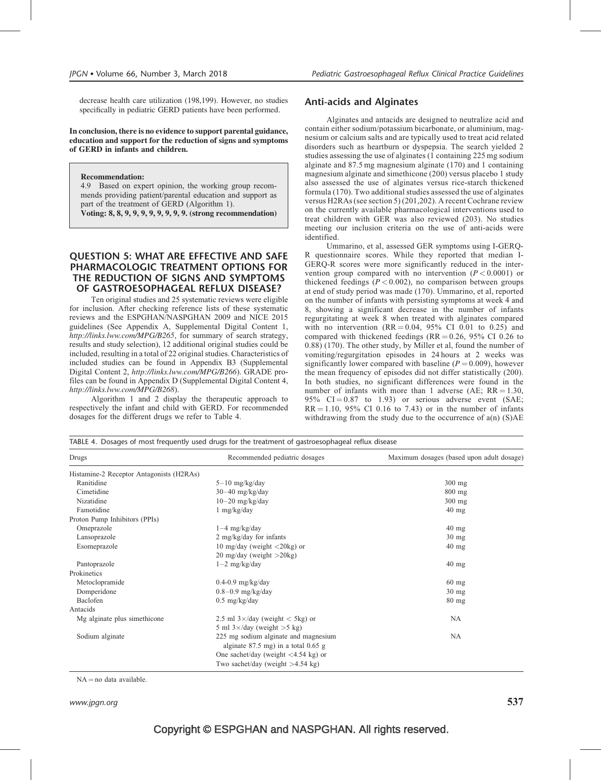decrease health care utilization (198,199). However, no studies specifically in pediatric GERD patients have been performed.

In conclusion, there is no evidence to support parental guidance, education and support for the reduction of signs and symptoms of GERD in infants and children.

Recommendation:

4.9 Based on expert opinion, the working group recommends providing patient/parental education and support as part of the treatment of GERD (Algorithm 1).

Voting: 8, 8, 9, 9, 9, 9, 9, 9, 9, 9. (strong recommendation)

### QUESTION 5: WHAT ARE EFFECTIVE AND SAFE PHARMACOLOGIC TREATMENT OPTIONS FOR THE REDUCTION OF SIGNS AND SYMPTOMS OF GASTROESOPHAGEAL REFLUX DISEASE?

Ten original studies and 25 systematic reviews were eligible for inclusion. After checking reference lists of these systematic reviews and the ESPGHAN/NASPGHAN 2009 and NICE 2015 guidelines (See Appendix A, Supplemental Digital Content 1, <http://links.lww.com/MPG/B265>, for summary of search strategy, results and study selection), 12 additional original studies could be included, resulting in a total of 22 original studies. Characteristics of included studies can be found in Appendix B3 (Supplemental Digital Content 2, <http://links.lww.com/MPG/B266>). GRADE profiles can be found in Appendix D (Supplemental Digital Content 4, <http://links.lww.com/MPG/B268>).

Algorithm 1 and 2 display the therapeutic approach to respectively the infant and child with GERD. For recommended dosages for the different drugs we refer to Table 4.

TABLE 4. Dosages of most frequently used drugs for the treatment of gastroesophageal reflux disease

### Anti-acids and Alginates

Alginates and antacids are designed to neutralize acid and contain either sodium/potassium bicarbonate, or aluminium, magnesium or calcium salts and are typically used to treat acid related disorders such as heartburn or dyspepsia. The search yielded 2 studies assessing the use of alginates (1 containing 225 mg sodium alginate and 87.5 mg magnesium alginate (170) and 1 containing magnesium alginate and simethicone (200) versus placebo 1 study also assessed the use of alginates versus rice-starch thickened formula (170). Two additional studies assessed the use of alginates versus H2RAs (see section 5) (201,202). A recent Cochrane review on the currently available pharmacological interventions used to treat children with GER was also reviewed (203). No studies meeting our inclusion criteria on the use of anti-acids were identified.

Ummarino, et al, assessed GER symptoms using I-GERQ-R questionnaire scores. While they reported that median I-GERQ-R scores were more significantly reduced in the intervention group compared with no intervention  $(P < 0.0001)$  or thickened feedings ( $P < 0.002$ ), no comparison between groups at end of study period was made (170). Ummarino, et al, reported on the number of infants with persisting symptoms at week 4 and 8, showing a significant decrease in the number of infants regurgitating at week 8 when treated with alginates compared with no intervention  $(RR = 0.04, 95\% \text{ CI } 0.01 \text{ to } 0.25)$  and compared with thickened feedings ( $RR = 0.26$ , 95% CI 0.26 to 0.88) (170). The other study, by Miller et al, found the number of vomiting/regurgitation episodes in 24 hours at 2 weeks was significantly lower compared with baseline  $(P = 0.009)$ , however the mean frequency of episodes did not differ statistically (200). In both studies, no significant differences were found in the number of infants with more than 1 adverse (AE;  $RR = 1.30$ , 95%  $CI = 0.87$  to 1.93) or serious adverse event (SAE;  $RR = 1.10$ , 95% CI 0.16 to 7.43) or in the number of infants withdrawing from the study due to the occurrence of  $a(n)$  (S)AE

| Drugs                                    | Recommended pediatric dosages                                                 | Maximum dosages (based upon adult dosage) |
|------------------------------------------|-------------------------------------------------------------------------------|-------------------------------------------|
| Histamine-2 Receptor Antagonists (H2RAs) |                                                                               |                                           |
| Ranitidine                               | $5-10$ mg/kg/day                                                              | $300$ mg                                  |
| Cimetidine                               | $30-40$ mg/kg/day                                                             | $800$ mg                                  |
| Nizatidine                               | $10-20$ mg/kg/day                                                             | $300$ mg                                  |
| Famotidine                               | $1$ mg/kg/day                                                                 | $40$ mg                                   |
| Proton Pump Inhibitors (PPIs)            |                                                                               |                                           |
| Omeprazole                               | $1-4$ mg/kg/day                                                               | $40$ mg                                   |
| Lansoprazole                             | $2 \text{ mg/kg/day}$ for infants                                             | $30 \text{ mg}$                           |
| Esomeprazole                             | 10 mg/day (weight $\langle 20 \text{kg} \rangle$ or                           | $40$ mg                                   |
|                                          | 20 mg/day (weight >20kg)                                                      |                                           |
| Pantoprazole                             | $1-2$ mg/kg/day                                                               | $40$ mg                                   |
| Prokinetics                              |                                                                               |                                           |
| Metoclopramide                           | $0.4-0.9$ mg/kg/day                                                           | $60$ mg                                   |
| Domperidone                              | $0.8-0.9$ mg/kg/day                                                           | $30 \text{ mg}$                           |
| Baclofen                                 | $0.5 \text{ mg/kg/day}$                                                       | $80$ mg                                   |
| Antacids                                 |                                                                               |                                           |
| Mg alginate plus simethicone             | 2.5 ml $3 \times$ /day (weight < 5kg) or                                      | NA                                        |
|                                          | 5 ml $3 \times$ /day (weight > 5 kg)                                          |                                           |
| Sodium alginate                          | 225 mg sodium alginate and magnesium<br>alginate $87.5$ mg) in a total 0.65 g | <b>NA</b>                                 |
|                                          | One sachet/day (weight $\langle 4.54 \text{ kg} \rangle$ or                   |                                           |
|                                          | Two sachet/day (weight $>4.54$ kg)                                            |                                           |

 $NA = no$  data available.

www.jpgn.org  $537$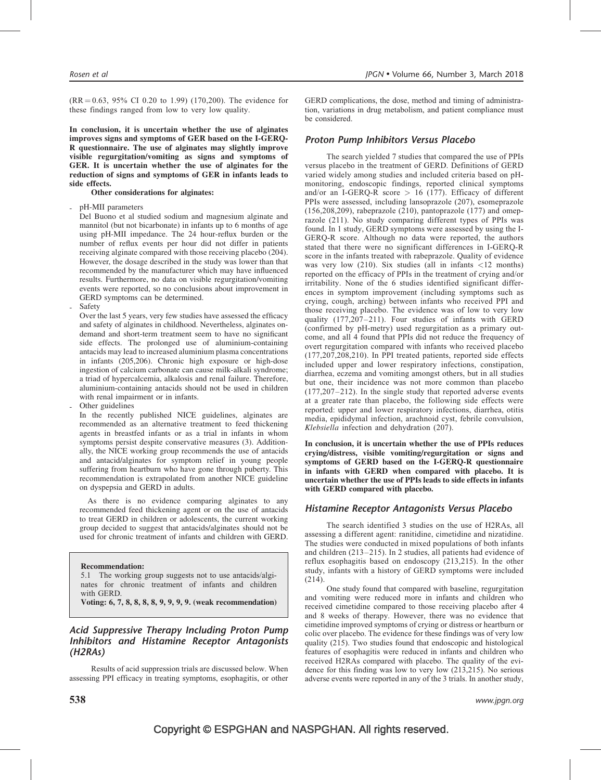$(RR = 0.63, 95\% \text{ CI } 0.20 \text{ to } 1.99)$  (170,200). The evidence for these findings ranged from low to very low quality.

In conclusion, it is uncertain whether the use of alginates improves signs and symptoms of GER based on the I-GERQ-R questionnaire. The use of alginates may slightly improve visible regurgitation/vomiting as signs and symptoms of GER. It is uncertain whether the use of alginates for the reduction of signs and symptoms of GER in infants leads to side effects.

### Other considerations for alginates:

pH-MII parameters

Del Buono et al studied sodium and magnesium alginate and mannitol (but not bicarbonate) in infants up to 6 months of age using pH-MII impedance. The 24 hour-reflux burden or the number of reflux events per hour did not differ in patients receiving alginate compared with those receiving placebo (204). However, the dosage described in the study was lower than that recommended by the manufacturer which may have influenced results. Furthermore, no data on visible regurgitation/vomiting events were reported, so no conclusions about improvement in GERD symptoms can be determined.

**Safety** 

Over the last 5 years, very few studies have assessed the efficacy and safety of alginates in childhood. Nevertheless, alginates ondemand and short-term treatment seem to have no significant side effects. The prolonged use of aluminium-containing antacids may lead to increased aluminium plasma concentrations in infants (205,206). Chronic high exposure or high-dose ingestion of calcium carbonate can cause milk-alkali syndrome; a triad of hypercalcemia, alkalosis and renal failure. Therefore, aluminium-containing antacids should not be used in children with renal impairment or in infants.

Other guidelines

In the recently published NICE guidelines, alginates are recommended as an alternative treatment to feed thickening agents in breastfed infants or as a trial in infants in whom symptoms persist despite conservative measures (3). Additionally, the NICE working group recommends the use of antacids and antacid/alginates for symptom relief in young people suffering from heartburn who have gone through puberty. This recommendation is extrapolated from another NICE guideline on dyspepsia and GERD in adults.

As there is no evidence comparing alginates to any recommended feed thickening agent or on the use of antacids to treat GERD in children or adolescents, the current working group decided to suggest that antacids/alginates should not be used for chronic treatment of infants and children with GERD.

#### Recommendation:

5.1 The working group suggests not to use antacids/alginates for chronic treatment of infants and children with GERD.

Voting: 6, 7, 8, 8, 8, 8, 9, 9, 9, 9. (weak recommendation)

### Acid Suppressive Therapy Including Proton Pump Inhibitors and Histamine Receptor Antagonists (H2RAs)

Results of acid suppression trials are discussed below. When assessing PPI efficacy in treating symptoms, esophagitis, or other GERD complications, the dose, method and timing of administration, variations in drug metabolism, and patient compliance must be considered.

### Proton Pump Inhibitors Versus Placebo

The search yielded 7 studies that compared the use of PPIs versus placebo in the treatment of GERD. Definitions of GERD varied widely among studies and included criteria based on pHmonitoring, endoscopic findings, reported clinical symptoms and/or an I-GERQ-R score  $> 16$  (177). Efficacy of different PPIs were assessed, including lansoprazole (207), esomeprazole (156,208,209), rabeprazole (210), pantoprazole (177) and omeprazole (211). No study comparing different types of PPIs was found. In 1 study, GERD symptoms were assessed by using the I-GERQ-R score. Although no data were reported, the authors stated that there were no significant differences in I-GERQ-R score in the infants treated with rabeprazole. Quality of evidence was very low (210). Six studies (all in infants <12 months) reported on the efficacy of PPIs in the treatment of crying and/or irritability. None of the 6 studies identified significant differences in symptom improvement (including symptoms such as crying, cough, arching) between infants who received PPI and those receiving placebo. The evidence was of low to very low quality (177,207–211). Four studies of infants with GERD (confirmed by pH-metry) used regurgitation as a primary outcome, and all 4 found that PPIs did not reduce the frequency of overt regurgitation compared with infants who received placebo (177,207,208,210). In PPI treated patients, reported side effects included upper and lower respiratory infections, constipation, diarrhea, eczema and vomiting amongst others, but in all studies but one, their incidence was not more common than placebo (177,207–212). In the single study that reported adverse events at a greater rate than placebo, the following side effects were reported: upper and lower respiratory infections, diarrhea, otitis media, epididymal infection, arachnoid cyst, febrile convulsion, Klebsiella infection and dehydration (207).

In conclusion, it is uncertain whether the use of PPIs reduces crying/distress, visible vomiting/regurgitation or signs and symptoms of GERD based on the I-GERQ-R questionnaire in infants with GERD when compared with placebo. It is uncertain whether the use of PPIs leads to side effects in infants with GERD compared with placebo.

### Histamine Receptor Antagonists Versus Placebo

The search identified 3 studies on the use of H2RAs, all assessing a different agent: ranitidine, cimetidine and nizatidine. The studies were conducted in mixed populations of both infants and children (213–215). In 2 studies, all patients had evidence of reflux esophagitis based on endoscopy (213,215). In the other study, infants with a history of GERD symptoms were included (214).

One study found that compared with baseline, regurgitation and vomiting were reduced more in infants and children who received cimetidine compared to those receiving placebo after 4 and 8 weeks of therapy. However, there was no evidence that cimetidine improved symptoms of crying or distress or heartburn or colic over placebo. The evidence for these findings was of very low quality (215). Two studies found that endoscopic and histological features of esophagitis were reduced in infants and children who received H2RAs compared with placebo. The quality of the evidence for this finding was low to very low (213,215). No serious adverse events were reported in any of the 3 trials. In another study,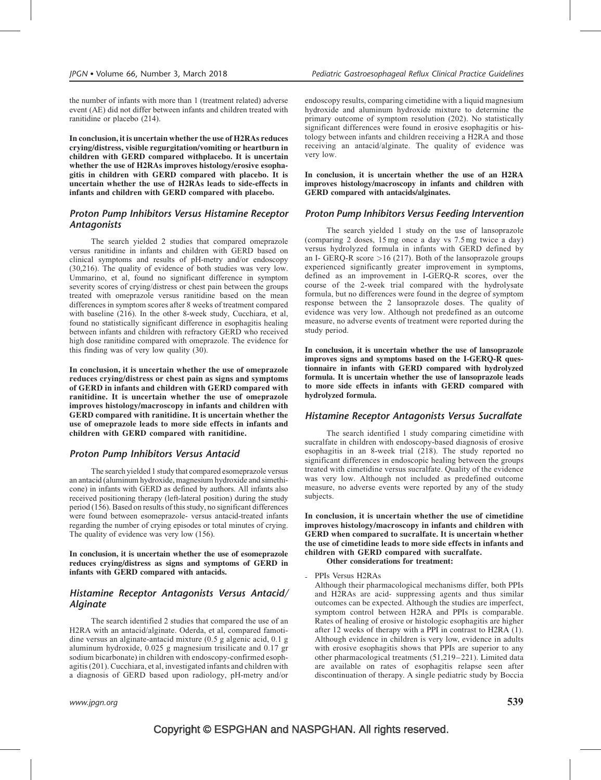the number of infants with more than 1 (treatment related) adverse event (AE) did not differ between infants and children treated with ranitidine or placebo (214).

In conclusion, it is uncertain whether the use of H2RAs reduces crying/distress, visible regurgitation/vomiting or heartburn in children with GERD compared withplacebo. It is uncertain whether the use of H2RAs improves histology/erosive esophagitis in children with GERD compared with placebo. It is uncertain whether the use of H2RAs leads to side-effects in infants and children with GERD compared with placebo.

### Proton Pump Inhibitors Versus Histamine Receptor **Antagonists**

The search yielded 2 studies that compared omeprazole versus ranitidine in infants and children with GERD based on clinical symptoms and results of pH-metry and/or endoscopy (30,216). The quality of evidence of both studies was very low. Ummarino, et al, found no significant difference in symptom severity scores of crying/distress or chest pain between the groups treated with omeprazole versus ranitidine based on the mean differences in symptom scores after 8 weeks of treatment compared with baseline (216). In the other 8-week study, Cucchiara, et al, found no statistically significant difference in esophagitis healing between infants and children with refractory GERD who received high dose ranitidine compared with omeprazole. The evidence for this finding was of very low quality (30).

In conclusion, it is uncertain whether the use of omeprazole reduces crying/distress or chest pain as signs and symptoms of GERD in infants and children with GERD compared with ranitidine. It is uncertain whether the use of omeprazole improves histology/macroscopy in infants and children with GERD compared with ranitidine. It is uncertain whether the use of omeprazole leads to more side effects in infants and children with GERD compared with ranitidine.

### Proton Pump Inhibitors Versus Antacid

The search yielded 1 study that compared esomeprazole versus an antacid (aluminum hydroxide, magnesium hydroxide and simethicone) in infants with GERD as defined by authors. All infants also received positioning therapy (left-lateral position) during the study period (156). Based on results of this study, no significant differences were found between esomeprazole- versus antacid-treated infants regarding the number of crying episodes or total minutes of crying. The quality of evidence was very low (156).

In conclusion, it is uncertain whether the use of esomeprazole reduces crying/distress as signs and symptoms of GERD in infants with GERD compared with antacids.

### Histamine Receptor Antagonists Versus Antacid/ Alginate

The search identified 2 studies that compared the use of an H2RA with an antacid/alginate. Oderda, et al, compared famotidine versus an alginate-antacid mixture (0.5 g algenic acid, 0.1 g aluminum hydroxide, 0.025 g magnesium trisilicate and 0.17 gr sodium bicarbonate) in children with endoscopy-confirmed esophagitis (201). Cucchiara, et al, investigated infants and children with a diagnosis of GERD based upon radiology, pH-metry and/or

endoscopy results, comparing cimetidine with a liquid magnesium hydroxide and aluminum hydroxide mixture to determine the primary outcome of symptom resolution (202). No statistically significant differences were found in erosive esophagitis or histology between infants and children receiving a H2RA and those receiving an antacid/alginate. The quality of evidence was very low.

In conclusion, it is uncertain whether the use of an H2RA improves histology/macroscopy in infants and children with GERD compared with antacids/alginates.

### Proton Pump Inhibitors Versus Feeding Intervention

The search yielded 1 study on the use of lansoprazole (comparing 2 doses, 15 mg once a day vs 7.5 mg twice a day) versus hydrolyzed formula in infants with GERD defined by an I- GERQ-R score  $>16$  (217). Both of the lansoprazole groups experienced significantly greater improvement in symptoms, defined as an improvement in I-GERQ-R scores, over the course of the 2-week trial compared with the hydrolysate formula, but no differences were found in the degree of symptom response between the 2 lansoprazole doses. The quality of evidence was very low. Although not predefined as an outcome measure, no adverse events of treatment were reported during the study period.

In conclusion, it is uncertain whether the use of lansoprazole improves signs and symptoms based on the I-GERQ-R questionnaire in infants with GERD compared with hydrolyzed formula. It is uncertain whether the use of lansoprazole leads to more side effects in infants with GERD compared with hydrolyzed formula.

### Histamine Receptor Antagonists Versus Sucralfate

The search identified 1 study comparing cimetidine with sucralfate in children with endoscopy-based diagnosis of erosive esophagitis in an 8-week trial (218). The study reported no significant differences in endoscopic healing between the groups treated with cimetidine versus sucralfate. Quality of the evidence was very low. Although not included as predefined outcome measure, no adverse events were reported by any of the study subjects.

In conclusion, it is uncertain whether the use of cimetidine improves histology/macroscopy in infants and children with GERD when compared to sucralfate. It is uncertain whether the use of cimetidine leads to more side effects in infants and children with GERD compared with sucralfate. Other considerations for treatment:

- PPIs Versus H2RAs

Although their pharmacological mechanisms differ, both PPIs and H2RAs are acid- suppressing agents and thus similar outcomes can be expected. Although the studies are imperfect, symptom control between H2RA and PPIs is comparable. Rates of healing of erosive or histologic esophagitis are higher after 12 weeks of therapy with a PPI in contrast to H2RA (1). Although evidence in children is very low, evidence in adults with erosive esophagitis shows that PPIs are superior to any other pharmacological treatments (51,219–221). Limited data are available on rates of esophagitis relapse seen after discontinuation of therapy. A single pediatric study by Boccia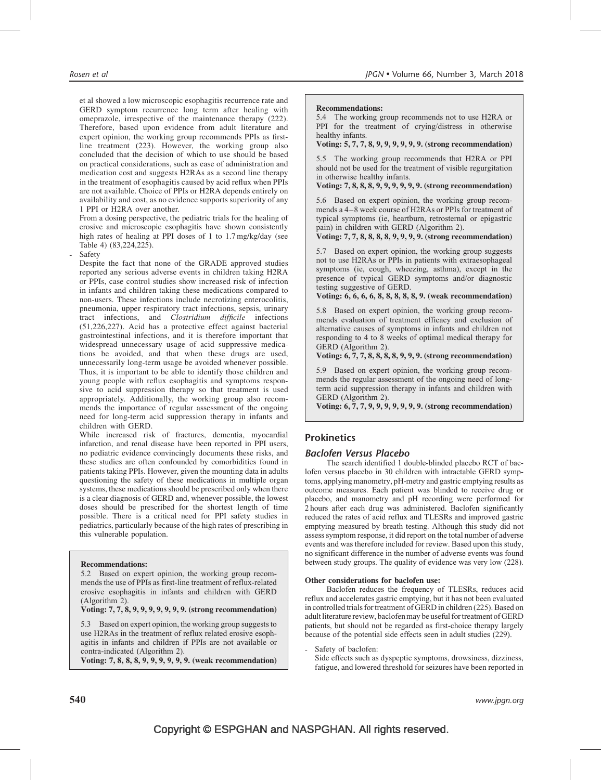et al showed a low microscopic esophagitis recurrence rate and GERD symptom recurrence long term after healing with omeprazole, irrespective of the maintenance therapy (222). Therefore, based upon evidence from adult literature and expert opinion, the working group recommends PPIs as firstline treatment (223). However, the working group also concluded that the decision of which to use should be based on practical considerations, such as ease of administration and medication cost and suggests H2RAs as a second line therapy in the treatment of esophagitis caused by acid reflux when PPIs are not available. Choice of PPIs or H2RA depends entirely on availability and cost, as no evidence supports superiority of any 1 PPI or H2RA over another.

From a dosing perspective, the pediatric trials for the healing of erosive and microscopic esophagitis have shown consistently high rates of healing at PPI doses of 1 to 1.7 mg/kg/day (see Table 4) (83,224,225).

**Safety** 

Despite the fact that none of the GRADE approved studies reported any serious adverse events in children taking H2RA or PPIs, case control studies show increased risk of infection in infants and children taking these medications compared to non-users. These infections include necrotizing enterocolitis, pneumonia, upper respiratory tract infections, sepsis, urinary tract infections, and Clostridium difficile infections (51,226,227). Acid has a protective effect against bacterial gastrointestinal infections, and it is therefore important that widespread unnecessary usage of acid suppressive medications be avoided, and that when these drugs are used, unnecessarily long-term usage be avoided whenever possible. Thus, it is important to be able to identify those children and young people with reflux esophagitis and symptoms responsive to acid suppression therapy so that treatment is used appropriately. Additionally, the working group also recommends the importance of regular assessment of the ongoing need for long-term acid suppression therapy in infants and children with GERD.

While increased risk of fractures, dementia, myocardial infarction, and renal disease have been reported in PPI users, no pediatric evidence convincingly documents these risks, and these studies are often confounded by comorbidities found in patients taking PPIs. However, given the mounting data in adults questioning the safety of these medications in multiple organ systems, these medications should be prescribed only when there is a clear diagnosis of GERD and, whenever possible, the lowest doses should be prescribed for the shortest length of time possible. There is a critical need for PPI safety studies in pediatrics, particularly because of the high rates of prescribing in this vulnerable population.

#### Recommendations:

5.2 Based on expert opinion, the working group recommends the use of PPIs as first-line treatment of reflux-related erosive esophagitis in infants and children with GERD (Algorithm 2).

### Voting: 7, 7, 8, 9, 9, 9, 9, 9, 9, 9. (strong recommendation)

5.3 Based on expert opinion, the working group suggests to use H2RAs in the treatment of reflux related erosive esophagitis in infants and children if PPIs are not available or contra-indicated (Algorithm 2).

Voting: 7, 8, 8, 8, 9, 9, 9, 9, 9, 9. (weak recommendation)

#### Recommendations:

5.4 The working group recommends not to use H2RA or PPI for the treatment of crying/distress in otherwise healthy infants.

### Voting: 5, 7, 7, 8, 9, 9, 9, 9, 9, 9. (strong recommendation)

5.5 The working group recommends that H2RA or PPI should not be used for the treatment of visible regurgitation in otherwise healthy infants.

Voting: 7, 8, 8, 8, 9, 9, 9, 9, 9, 9. (strong recommendation)

5.6 Based on expert opinion, the working group recommends a 4–8 week course of H2RAs or PPIs for treatment of typical symptoms (ie, heartburn, retrosternal or epigastric pain) in children with GERD (Algorithm 2).

Voting: 7, 7, 8, 8, 8, 8, 9, 9, 9, 9. (strong recommendation)

5.7 Based on expert opinion, the working group suggests not to use H2RAs or PPIs in patients with extraesophageal symptoms (ie, cough, wheezing, asthma), except in the presence of typical GERD symptoms and/or diagnostic testing suggestive of GERD.

Voting: 6, 6, 6, 6, 8, 8, 8, 8, 8, 9. (weak recommendation)

5.8 Based on expert opinion, the working group recommends evaluation of treatment efficacy and exclusion of alternative causes of symptoms in infants and children not responding to 4 to 8 weeks of optimal medical therapy for GERD (Algorithm 2).

Voting: 6, 7, 7, 8, 8, 8, 8, 9, 9, 9. (strong recommendation)

5.9 Based on expert opinion, the working group recommends the regular assessment of the ongoing need of longterm acid suppression therapy in infants and children with GERD (Algorithm 2).

Voting: 6, 7, 7, 9, 9, 9, 9, 9, 9, 9. (strong recommendation)

### **Prokinetics**

### Baclofen Versus Placebo

The search identified 1 double-blinded placebo RCT of baclofen versus placebo in 30 children with intractable GERD symptoms, applying manometry, pH-metry and gastric emptying results as outcome measures. Each patient was blinded to receive drug or placebo, and manometry and pH recording were performed for 2 hours after each drug was administered. Baclofen significantly reduced the rates of acid reflux and TLESRs and improved gastric emptying measured by breath testing. Although this study did not assess symptom response, it did report on the total number of adverse events and was therefore included for review. Based upon this study, no significant difference in the number of adverse events was found between study groups. The quality of evidence was very low (228).

#### Other considerations for baclofen use:

Baclofen reduces the frequency of TLESRs, reduces acid reflux and accelerates gastric emptying, but it has not been evaluated in controlled trials for treatment of GERD in children (225). Based on adult literature review, baclofen may be useful for treatment of GERD patients, but should not be regarded as first-choice therapy largely because of the potential side effects seen in adult studies (229).

Safety of baclofen:

Side effects such as dyspeptic symptoms, drowsiness, dizziness, fatigue, and lowered threshold for seizures have been reported in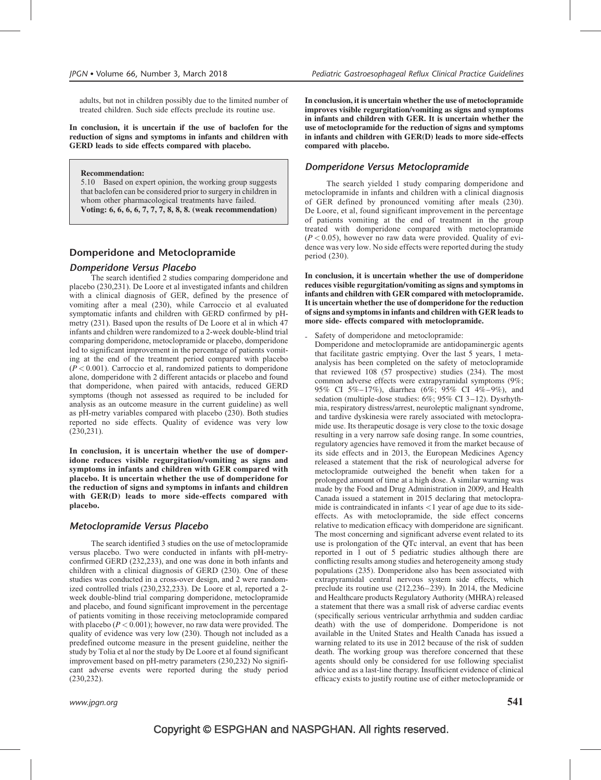adults, but not in children possibly due to the limited number of treated children. Such side effects preclude its routine use.

In conclusion, it is uncertain if the use of baclofen for the reduction of signs and symptoms in infants and children with GERD leads to side effects compared with placebo.

Recommendation:

5.10 Based on expert opinion, the working group suggests that baclofen can be considered prior to surgery in children in whom other pharmacological treatments have failed. Voting: 6, 6, 6, 6, 7, 7, 7, 8, 8, 8. (weak recommendation)

### Domperidone and Metoclopramide

### Domperidone Versus Placebo

The search identified 2 studies comparing domperidone and placebo (230,231). De Loore et al investigated infants and children with a clinical diagnosis of GER, defined by the presence of vomiting after a meal (230), while Carroccio et al evaluated symptomatic infants and children with GERD confirmed by pHmetry (231). Based upon the results of De Loore et al in which 47 infants and children were randomized to a 2-week double-blind trial comparing domperidone, metoclopramide or placebo, domperidone led to significant improvement in the percentage of patients vomiting at the end of the treatment period compared with placebo  $(P<0.001)$ . Carroccio et al, randomized patients to domperidone alone, domperidone with 2 different antacids or placebo and found that domperidone, when paired with antacids, reduced GERD symptoms (though not assessed as required to be included for analysis as an outcome measure in the current guideline) as well as pH-metry variables compared with placebo (230). Both studies reported no side effects. Quality of evidence was very low (230,231).

In conclusion, it is uncertain whether the use of domperidone reduces visible regurgitation/vomiting as signs and symptoms in infants and children with GER compared with placebo. It is uncertain whether the use of domperidone for the reduction of signs and symptoms in infants and children with GER(D) leads to more side-effects compared with placebo.

### Metoclopramide Versus Placebo

The search identified 3 studies on the use of metoclopramide versus placebo. Two were conducted in infants with pH-metryconfirmed GERD (232,233), and one was done in both infants and children with a clinical diagnosis of GERD (230). One of these studies was conducted in a cross-over design, and 2 were randomized controlled trials (230,232,233). De Loore et al, reported a 2 week double-blind trial comparing domperidone, metoclopramide and placebo, and found significant improvement in the percentage of patients vomiting in those receiving metoclopramide compared with placebo ( $P < 0.001$ ); however, no raw data were provided. The quality of evidence was very low (230). Though not included as a predefined outcome measure in the present guideline, neither the study by Tolia et al nor the study by De Loore et al found significant improvement based on pH-metry parameters (230,232) No significant adverse events were reported during the study period (230,232).

In conclusion, it is uncertain whether the use of metoclopramide improves visible regurgitation/vomiting as signs and symptoms in infants and children with GER. It is uncertain whether the use of metoclopramide for the reduction of signs and symptoms in infants and children with GER(D) leads to more side-effects compared with placebo.

### Domperidone Versus Metoclopramide

The search yielded 1 study comparing domperidone and metoclopramide in infants and children with a clinical diagnosis of GER defined by pronounced vomiting after meals (230). De Loore, et al, found significant improvement in the percentage of patients vomiting at the end of treatment in the group treated with domperidone compared with metoclopramide  $(P < 0.05)$ , however no raw data were provided. Quality of evidence was very low. No side effects were reported during the study period (230).

In conclusion, it is uncertain whether the use of domperidone reduces visible regurgitation/vomiting as signs and symptoms in infants and children with GER compared with metoclopramide. It is uncertain whether the use of domperidone for the reduction of signs and symptoms in infants and children with GER leads to more side- effects compared with metoclopramide.

Safety of domperidone and metoclopramide:

Domperidone and metoclopramide are antidopaminergic agents that facilitate gastric emptying. Over the last 5 years, 1 metaanalysis has been completed on the safety of metoclopramide that reviewed 108 (57 prospective) studies (234). The most common adverse effects were extrapyramidal symptoms (9%; 95% CI 5%–17%), diarrhea (6%; 95% CI 4%–9%), and sedation (multiple-dose studies: 6%; 95% CI 3–12). Dysrhythmia, respiratory distress/arrest, neuroleptic malignant syndrome, and tardive dyskinesia were rarely associated with metoclopramide use. Its therapeutic dosage is very close to the toxic dosage resulting in a very narrow safe dosing range. In some countries, regulatory agencies have removed it from the market because of its side effects and in 2013, the European Medicines Agency released a statement that the risk of neurological adverse for metoclopramide outweighed the benefit when taken for a prolonged amount of time at a high dose. A similar warning was made by the Food and Drug Administration in 2009, and Health Canada issued a statement in 2015 declaring that metoclopramide is contraindicated in infants  $<$ 1 year of age due to its sideeffects. As with metoclopramide, the side effect concerns relative to medication efficacy with domperidone are significant. The most concerning and significant adverse event related to its use is prolongation of the QTc interval, an event that has been reported in 1 out of 5 pediatric studies although there are conflicting results among studies and heterogeneity among study populations (235). Domperidone also has been associated with extrapyramidal central nervous system side effects, which preclude its routine use (212,236–239). In 2014, the Medicine and Healthcare products Regulatory Authority (MHRA) released a statement that there was a small risk of adverse cardiac events (specifically serious ventricular arrhythmia and sudden cardiac death) with the use of domperidone. Domperidone is not available in the United States and Health Canada has issued a warning related to its use in 2012 because of the risk of sudden death. The working group was therefore concerned that these agents should only be considered for use following specialist advice and as a last-line therapy. Insufficient evidence of clinical efficacy exists to justify routine use of either metoclopramide or

www.jpgn.org  $541$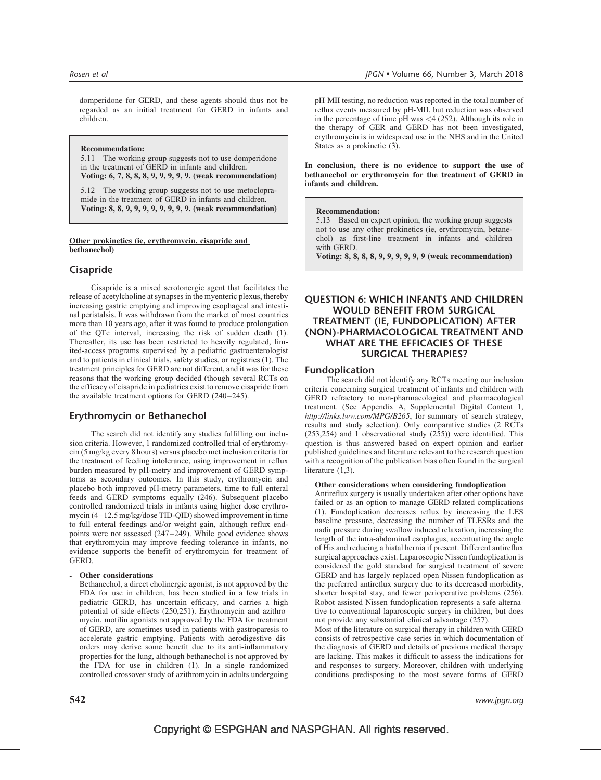domperidone for GERD, and these agents should thus not be regarded as an initial treatment for GERD in infants and children.

Recommendation:

5.11 The working group suggests not to use domperidone in the treatment of GERD in infants and children. Voting: 6, 7, 8, 8, 8, 9, 9, 9, 9, 9. (weak recommendation)

5.12 The working group suggests not to use metoclopramide in the treatment of GERD in infants and children. Voting: 8, 8, 9, 9, 9, 9, 9, 9, 9, 9. (weak recommendation)

#### Other prokinetics (ie, erythromycin, cisapride and bethanechol)

### Cisapride

Cisapride is a mixed serotonergic agent that facilitates the release of acetylcholine at synapses in the myenteric plexus, thereby increasing gastric emptying and improving esophageal and intestinal peristalsis. It was withdrawn from the market of most countries more than 10 years ago, after it was found to produce prolongation of the QTc interval, increasing the risk of sudden death (1). Thereafter, its use has been restricted to heavily regulated, limited-access programs supervised by a pediatric gastroenterologist and to patients in clinical trials, safety studies, or registries (1). The treatment principles for GERD are not different, and it was for these reasons that the working group decided (though several RCTs on the efficacy of cisapride in pediatrics exist to remove cisapride from the available treatment options for GERD (240–245).

### Erythromycin or Bethanechol

The search did not identify any studies fulfilling our inclusion criteria. However, 1 randomized controlled trial of erythromycin (5 mg/kg every 8 hours) versus placebo met inclusion criteria for the treatment of feeding intolerance, using improvement in reflux burden measured by pH-metry and improvement of GERD symptoms as secondary outcomes. In this study, erythromycin and placebo both improved pH-metry parameters, time to full enteral feeds and GERD symptoms equally (246). Subsequent placebo controlled randomized trials in infants using higher dose erythromycin (4–12.5 mg/kg/dose TID-QID) showed improvement in time to full enteral feedings and/or weight gain, although reflux endpoints were not assessed (247–249). While good evidence shows that erythromycin may improve feeding tolerance in infants, no evidence supports the benefit of erythromycin for treatment of GERD.

#### Other considerations

Bethanechol, a direct cholinergic agonist, is not approved by the FDA for use in children, has been studied in a few trials in pediatric GERD, has uncertain efficacy, and carries a high potential of side effects (250,251). Erythromycin and azithromycin, motilin agonists not approved by the FDA for treatment of GERD, are sometimes used in patients with gastroparesis to accelerate gastric emptying. Patients with aerodigestive disorders may derive some benefit due to its anti-inflammatory properties for the lung, although bethanechol is not approved by the FDA for use in children (1). In a single randomized controlled crossover study of azithromycin in adults undergoing

pH-MII testing, no reduction was reported in the total number of reflux events measured by pH-MII, but reduction was observed in the percentage of time  $pH$  was <4 (252). Although its role in the therapy of GER and GERD has not been investigated, erythromycin is in widespread use in the NHS and in the United States as a prokinetic (3).

In conclusion, there is no evidence to support the use of bethanechol or erythromycin for the treatment of GERD in infants and children.

#### Recommendation:

5.13 Based on expert opinion, the working group suggests not to use any other prokinetics (ie, erythromycin, betanechol) as first-line treatment in infants and children with GERD.

Voting: 8, 8, 8, 8, 9, 9, 9, 9, 9, 9 (weak recommendation)

### QUESTION 6: WHICH INFANTS AND CHILDREN WOULD BENEFIT FROM SURGICAL TREATMENT (IE, FUNDOPLICATION) AFTER (NON)-PHARMACOLOGICAL TREATMENT AND WHAT ARE THE EFFICACIES OF THESE SURGICAL THERAPIES?

### Fundoplication

The search did not identify any RCTs meeting our inclusion criteria concerning surgical treatment of infants and children with GERD refractory to non-pharmacological and pharmacological treatment. (See Appendix A, Supplemental Digital Content 1, <http://links.lww.com/MPG/B265>, for summary of search strategy, results and study selection). Only comparative studies (2 RCTs (253,254) and 1 observational study (255)) were identified. This question is thus answered based on expert opinion and earlier published guidelines and literature relevant to the research question with a recognition of the publication bias often found in the surgical literature (1,3).

- Other considerations when considering fundoplication

Antireflux surgery is usually undertaken after other options have failed or as an option to manage GERD-related complications (1). Fundoplication decreases reflux by increasing the LES baseline pressure, decreasing the number of TLESRs and the nadir pressure during swallow induced relaxation, increasing the length of the intra-abdominal esophagus, accentuating the angle of His and reducing a hiatal hernia if present. Different antireflux surgical approaches exist. Laparoscopic Nissen fundoplication is considered the gold standard for surgical treatment of severe GERD and has largely replaced open Nissen fundoplication as the preferred antireflux surgery due to its decreased morbidity, shorter hospital stay, and fewer perioperative problems (256). Robot-assisted Nissen fundoplication represents a safe alternative to conventional laparoscopic surgery in children, but does not provide any substantial clinical advantage (257).

Most of the literature on surgical therapy in children with GERD consists of retrospective case series in which documentation of the diagnosis of GERD and details of previous medical therapy are lacking. This makes it difficult to assess the indications for and responses to surgery. Moreover, children with underlying conditions predisposing to the most severe forms of GERD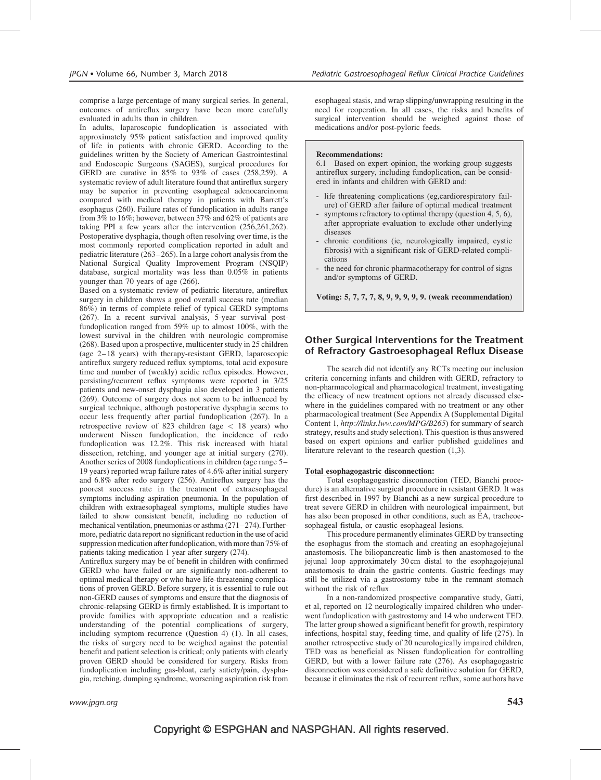comprise a large percentage of many surgical series. In general, outcomes of antireflux surgery have been more carefully evaluated in adults than in children.

In adults, laparoscopic fundoplication is associated with approximately 95% patient satisfaction and improved quality of life in patients with chronic GERD. According to the guidelines written by the Society of American Gastrointestinal and Endoscopic Surgeons (SAGES), surgical procedures for GERD are curative in 85% to 93% of cases (258,259). A systematic review of adult literature found that antireflux surgery may be superior in preventing esophageal adenocarcinoma compared with medical therapy in patients with Barrett's esophagus (260). Failure rates of fundoplication in adults range from 3% to 16%; however, between 37% and 62% of patients are taking PPI a few years after the intervention (256,261,262). Postoperative dysphagia, though often resolving over time, is the most commonly reported complication reported in adult and pediatric literature (263–265). In a large cohort analysis from the National Surgical Quality Improvement Program (NSQIP) database, surgical mortality was less than 0.05% in patients younger than 70 years of age (266).

Based on a systematic review of pediatric literature, antireflux surgery in children shows a good overall success rate (median 86%) in terms of complete relief of typical GERD symptoms (267). In a recent survival analysis, 5-year survival postfundoplication ranged from 59% up to almost 100%, with the lowest survival in the children with neurologic compromise (268). Based upon a prospective, multicenter study in 25 children (age 2–18 years) with therapy-resistant GERD, laparoscopic antireflux surgery reduced reflux symptoms, total acid exposure time and number of (weakly) acidic reflux episodes. However, persisting/recurrent reflux symptoms were reported in 3/25 patients and new-onset dysphagia also developed in 3 patients (269). Outcome of surgery does not seem to be influenced by surgical technique, although postoperative dysphagia seems to occur less frequently after partial fundoplication (267). In a retrospective review of 823 children (age < 18 years) who underwent Nissen fundoplication, the incidence of redo fundoplication was 12.2%. This risk increased with hiatal dissection, retching, and younger age at initial surgery (270). Another series of 2008 fundoplications in children (age range 5– 19 years) reported wrap failure rates of 4.6% after initial surgery and 6.8% after redo surgery (256). Antireflux surgery has the poorest success rate in the treatment of extraesophageal symptoms including aspiration pneumonia. In the population of children with extraesophageal symptoms, multiple studies have failed to show consistent benefit, including no reduction of mechanical ventilation, pneumonias or asthma (271–274). Furthermore, pediatric data report no significant reduction in the use of acid suppression medication after fundoplication, with more than 75% of patients taking medication 1 year after surgery (274).

Antireflux surgery may be of benefit in children with confirmed GERD who have failed or are significantly non-adherent to optimal medical therapy or who have life-threatening complications of proven GERD. Before surgery, it is essential to rule out non-GERD causes of symptoms and ensure that the diagnosis of chronic-relapsing GERD is firmly established. It is important to provide families with appropriate education and a realistic understanding of the potential complications of surgery, including symptom recurrence (Question 4) (1). In all cases, the risks of surgery need to be weighed against the potential benefit and patient selection is critical; only patients with clearly proven GERD should be considered for surgery. Risks from fundoplication including gas-bloat, early satiety/pain, dysphagia, retching, dumping syndrome, worsening aspiration risk from

esophageal stasis, and wrap slipping/unwrapping resulting in the need for reoperation. In all cases, the risks and benefits of surgical intervention should be weighed against those of medications and/or post-pyloric feeds.

#### Recommendations:

6.1 Based on expert opinion, the working group suggests antireflux surgery, including fundoplication, can be considered in infants and children with GERD and:

- life threatening complications (eg,cardiorespiratory failure) of GERD after failure of optimal medical treatment
- symptoms refractory to optimal therapy (question 4, 5, 6), after appropriate evaluation to exclude other underlying diseases
- chronic conditions (ie, neurologically impaired, cystic fibrosis) with a significant risk of GERD-related complications
- the need for chronic pharmacotherapy for control of signs and/or symptoms of GERD.

Voting: 5, 7, 7, 7, 8, 9, 9, 9, 9, 9. (weak recommendation)

### Other Surgical Interventions for the Treatment of Refractory Gastroesophageal Reflux Disease

The search did not identify any RCTs meeting our inclusion criteria concerning infants and children with GERD, refractory to non-pharmacological and pharmacological treatment, investigating the efficacy of new treatment options not already discussed elsewhere in the guidelines compared with no treatment or any other pharmacological treatment (See Appendix A (Supplemental Digital Content 1, <http://links.lww.com/MPG/B265>) for summary of search strategy, results and study selection). This question is thus answered based on expert opinions and earlier published guidelines and literature relevant to the research question (1,3).

#### Total esophagogastric disconnection:

Total esophagogastric disconnection (TED, Bianchi procedure) is an alternative surgical procedure in resistant GERD. It was first described in 1997 by Bianchi as a new surgical procedure to treat severe GERD in children with neurological impairment, but has also been proposed in other conditions, such as EA, tracheoesophageal fistula, or caustic esophageal lesions.

This procedure permanently eliminates GERD by transecting the esophagus from the stomach and creating an esophagojejunal anastomosis. The biliopancreatic limb is then anastomosed to the jejunal loop approximately 30 cm distal to the esophagojejunal anastomosis to drain the gastric contents. Gastric feedings may still be utilized via a gastrostomy tube in the remnant stomach without the risk of reflux.

In a non-randomized prospective comparative study, Gatti, et al, reported on 12 neurologically impaired children who underwent fundoplication with gastrostomy and 14 who underwent TED. The latter group showed a significant benefit for growth, respiratory infections, hospital stay, feeding time, and quality of life (275). In another retrospective study of 20 neurologically impaired children, TED was as beneficial as Nissen fundoplication for controlling GERD, but with a lower failure rate (276). As esophagogastric disconnection was considered a safe definitive solution for GERD, because it eliminates the risk of recurrent reflux, some authors have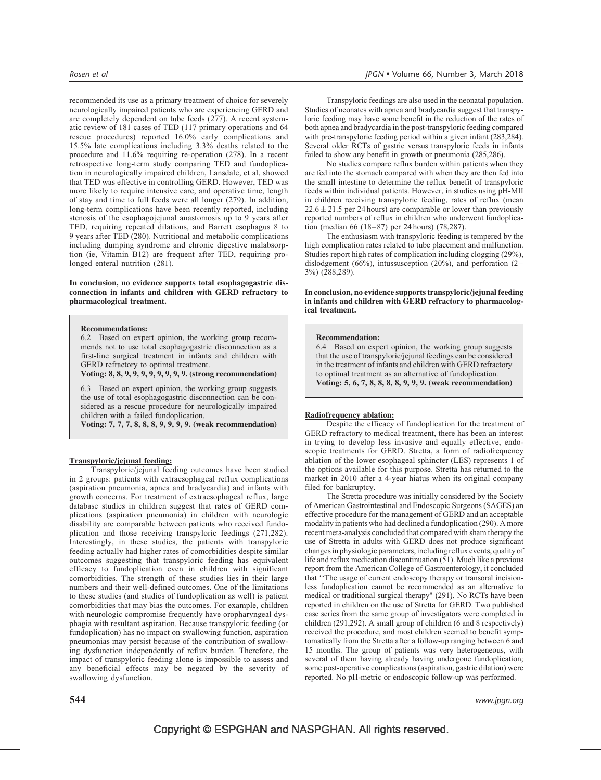recommended its use as a primary treatment of choice for severely neurologically impaired patients who are experiencing GERD and are completely dependent on tube feeds (277). A recent systematic review of 181 cases of TED (117 primary operations and 64 rescue procedures) reported 16.0% early complications and 15.5% late complications including 3.3% deaths related to the procedure and 11.6% requiring re-operation (278). In a recent retrospective long-term study comparing TED and fundoplication in neurologically impaired children, Lansdale, et al, showed that TED was effective in controlling GERD. However, TED was more likely to require intensive care, and operative time, length of stay and time to full feeds were all longer (279). In addition, long-term complications have been recently reported, including stenosis of the esophagojejunal anastomosis up to 9 years after TED, requiring repeated dilations, and Barrett esophagus 8 to 9 years after TED (280). Nutritional and metabolic complications including dumping syndrome and chronic digestive malabsorption (ie, Vitamin B12) are frequent after TED, requiring prolonged enteral nutrition  $(281)$ .

#### In conclusion, no evidence supports total esophagogastric disconnection in infants and children with GERD refractory to pharmacological treatment.

#### Recommendations:

6.2 Based on expert opinion, the working group recommends not to use total esophagogastric disconnection as a first-line surgical treatment in infants and children with GERD refractory to optimal treatment.

Voting: 8, 8, 9, 9, 9, 9, 9, 9, 9, 9. (strong recommendation)

6.3 Based on expert opinion, the working group suggests the use of total esophagogastric disconnection can be considered as a rescue procedure for neurologically impaired children with a failed fundoplication.

Voting: 7, 7, 7, 8, 8, 8, 9, 9, 9, 9. (weak recommendation)

### Transpyloric/jejunal feeding:

Transpyloric/jejunal feeding outcomes have been studied in 2 groups: patients with extraesophageal reflux complications (aspiration pneumonia, apnea and bradycardia) and infants with growth concerns. For treatment of extraesophageal reflux, large database studies in children suggest that rates of GERD complications (aspiration pneumonia) in children with neurologic disability are comparable between patients who received fundoplication and those receiving transpyloric feedings (271,282). Interestingly, in these studies, the patients with transpyloric feeding actually had higher rates of comorbidities despite similar outcomes suggesting that transpyloric feeding has equivalent efficacy to fundoplication even in children with significant comorbidities. The strength of these studies lies in their large numbers and their well-defined outcomes. One of the limitations to these studies (and studies of fundoplication as well) is patient comorbidities that may bias the outcomes. For example, children with neurologic compromise frequently have oropharyngeal dysphagia with resultant aspiration. Because transpyloric feeding (or fundoplication) has no impact on swallowing function, aspiration pneumonias may persist because of the contribution of swallowing dysfunction independently of reflux burden. Therefore, the impact of transpyloric feeding alone is impossible to assess and any beneficial effects may be negated by the severity of swallowing dysfunction.

Transpyloric feedings are also used in the neonatal population. Studies of neonates with apnea and bradycardia suggest that transpyloric feeding may have some benefit in the reduction of the rates of both apnea and bradycardia in the post-transpyloric feeding compared with pre-transpyloric feeding period within a given infant (283,284). Several older RCTs of gastric versus transpyloric feeds in infants failed to show any benefit in growth or pneumonia (285,286).

No studies compare reflux burden within patients when they are fed into the stomach compared with when they are then fed into the small intestine to determine the reflux benefit of transpyloric feeds within individual patients. However, in studies using pH-MII in children receiving transpyloric feeding, rates of reflux (mean  $22.6 \pm 21.5$  per 24 hours) are comparable or lower than previously reported numbers of reflux in children who underwent fundoplication (median 66 (18–87) per 24 hours) (78,287).

The enthusiasm with transpyloric feeding is tempered by the high complication rates related to tube placement and malfunction. Studies report high rates of complication including clogging (29%), dislodgement (66%), intussusception (20%), and perforation (2– 3%) (288,289).

#### In conclusion, no evidence supports transpyloric/jejunal feeding in infants and children with GERD refractory to pharmacological treatment.

#### Recommendation:

6.4 Based on expert opinion, the working group suggests that the use of transpyloric/jejunal feedings can be considered in the treatment of infants and children with GERD refractory to optimal treatment as an alternative of fundoplication. Voting: 5, 6, 7, 8, 8, 8, 8, 9, 9, 9. (weak recommendation)

#### Radiofrequency ablation:

Despite the efficacy of fundoplication for the treatment of GERD refractory to medical treatment, there has been an interest in trying to develop less invasive and equally effective, endoscopic treatments for GERD. Stretta, a form of radiofrequency ablation of the lower esophageal sphincter (LES) represents 1 of the options available for this purpose. Stretta has returned to the market in 2010 after a 4-year hiatus when its original company filed for bankruptcy.

The Stretta procedure was initially considered by the Society of American Gastrointestinal and Endoscopic Surgeons (SAGES) an effective procedure for the management of GERD and an acceptable modality in patients who had declined a fundoplication (290). A more recent meta-analysis concluded that compared with sham therapy the use of Stretta in adults with GERD does not produce significant changes in physiologic parameters, including reflux events, quality of life and reflux medication discontinuation (51). Much like a previous report from the American College of Gastroenterology, it concluded that ''The usage of current endoscopy therapy or transoral incisionless fundoplication cannot be recommended as an alternative to medical or traditional surgical therapy" (291). No RCTs have been reported in children on the use of Stretta for GERD. Two published case series from the same group of investigators were completed in children (291,292). A small group of children (6 and 8 respectively) received the procedure, and most children seemed to benefit symptomatically from the Stretta after a follow-up ranging between 6 and 15 months. The group of patients was very heterogeneous, with several of them having already having undergone fundoplication; some post-operative complications (aspiration, gastric dilation) were reported. No pH-metric or endoscopic follow-up was performed.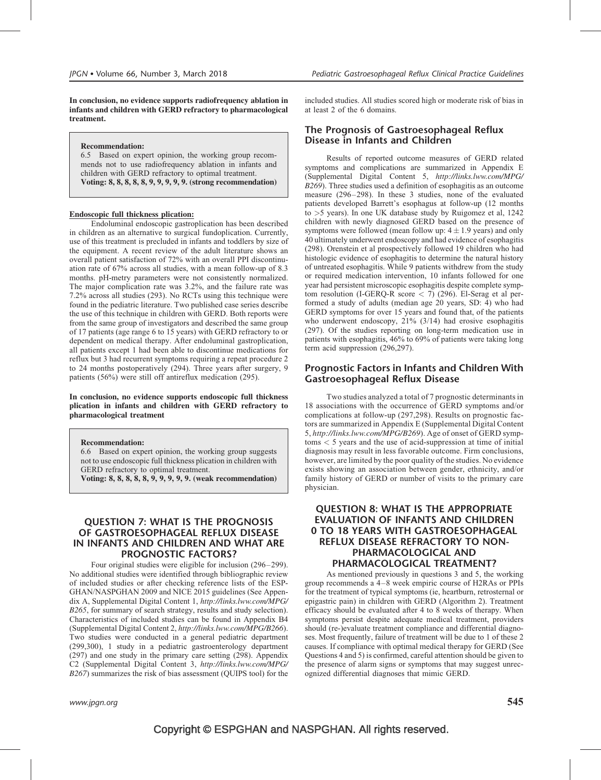In conclusion, no evidence supports radiofrequency ablation in infants and children with GERD refractory to pharmacological treatment.

#### Recommendation:

6.5 Based on expert opinion, the working group recommends not to use radiofrequency ablation in infants and children with GERD refractory to optimal treatment. Voting: 8, 8, 8, 8, 8, 9, 9, 9, 9, 9. (strong recommendation)

#### Endoscopic full thickness plication:

Endoluminal endoscopic gastroplication has been described in children as an alternative to surgical fundoplication. Currently, use of this treatment is precluded in infants and toddlers by size of the equipment. A recent review of the adult literature shows an overall patient satisfaction of 72% with an overall PPI discontinuation rate of 67% across all studies, with a mean follow-up of 8.3 months. pH-metry parameters were not consistently normalized. The major complication rate was 3.2%, and the failure rate was 7.2% across all studies (293). No RCTs using this technique were found in the pediatric literature. Two published case series describe the use of this technique in children with GERD. Both reports were from the same group of investigators and described the same group of 17 patients (age range 6 to 15 years) with GERD refractory to or dependent on medical therapy. After endoluminal gastroplication, all patients except 1 had been able to discontinue medications for reflux but 3 had recurrent symptoms requiring a repeat procedure 2 to 24 months postoperatively (294). Three years after surgery, 9 patients (56%) were still off antireflux medication (295).

#### In conclusion, no evidence supports endoscopic full thickness plication in infants and children with GERD refractory to pharmacological treatment

#### Recommendation:

6.6 Based on expert opinion, the working group suggests not to use endoscopic full thickness plication in children with GERD refractory to optimal treatment.

Voting: 8, 8, 8, 8, 8, 9, 9, 9, 9, 9. (weak recommendation)

### QUESTION 7: WHAT IS THE PROGNOSIS OF GASTROESOPHAGEAL REFLUX DISEASE IN INFANTS AND CHILDREN AND WHAT ARE PROGNOSTIC FACTORS?

Four original studies were eligible for inclusion (296–299). No additional studies were identified through bibliographic review of included studies or after checking reference lists of the ESP-GHAN/NASPGHAN 2009 and NICE 2015 guidelines (See Appendix A, Supplemental Digital Content 1, [http://links.lww.com/MPG/](http://links.lww.com/MPG/B265) [B265](http://links.lww.com/MPG/B265), for summary of search strategy, results and study selection). Characteristics of included studies can be found in Appendix B4 (Supplemental Digital Content 2, <http://links.lww.com/MPG/B266>). Two studies were conducted in a general pediatric department (299,300), 1 study in a pediatric gastroenterology department (297) and one study in the primary care setting (298). Appendix C2 (Supplemental Digital Content 3, [http://links.lww.com/MPG/](http://links.lww.com/MPG/B267) [B267](http://links.lww.com/MPG/B267)) summarizes the risk of bias assessment (QUIPS tool) for the

### The Prognosis of Gastroesophageal Reflux Disease in Infants and Children

Results of reported outcome measures of GERD related symptoms and complications are summarized in Appendix E (Supplemental Digital Content 5, [http://links.lww.com/MPG/](http://links.lww.com/MPG/B269) [B269](http://links.lww.com/MPG/B269)). Three studies used a definition of esophagitis as an outcome measure (296–298). In these 3 studies, none of the evaluated patients developed Barrett's esophagus at follow-up (12 months to >5 years). In one UK database study by Ruigomez et al, 1242 children with newly diagnosed GERD based on the presence of symptoms were followed (mean follow up:  $4 \pm 1.9$  years) and only 40 ultimately underwent endoscopy and had evidence of esophagitis (298). Orenstein et al prospectively followed 19 children who had histologic evidence of esophagitis to determine the natural history of untreated esophagitis. While 9 patients withdrew from the study or required medication intervention, 10 infants followed for one year had persistent microscopic esophagitis despite complete symptom resolution (I-GERQ-R score  $\lt 7$ ) (296). El-Serag et al performed a study of adults (median age 20 years, SD: 4) who had GERD symptoms for over 15 years and found that, of the patients who underwent endoscopy, 21% (3/14) had erosive esophagitis (297). Of the studies reporting on long-term medication use in patients with esophagitis, 46% to 69% of patients were taking long term acid suppression (296,297).

### Prognostic Factors in Infants and Children With Gastroesophageal Reflux Disease

Two studies analyzed a total of 7 prognostic determinants in 18 associations with the occurrence of GERD symptoms and/or complications at follow-up (297,298). Results on prognostic factors are summarized in Appendix E (Supplemental Digital Content 5, <http://links.lww.com/MPG/B269>). Age of onset of GERD symptoms < 5 years and the use of acid-suppression at time of initial diagnosis may result in less favorable outcome. Firm conclusions, however, are limited by the poor quality of the studies. No evidence exists showing an association between gender, ethnicity, and/or family history of GERD or number of visits to the primary care physician.

### QUESTION 8: WHAT IS THE APPROPRIATE EVALUATION OF INFANTS AND CHILDREN 0 TO 18 YEARS WITH GASTROESOPHAGEAL REFLUX DISEASE REFRACTORY TO NON-PHARMACOLOGICAL AND PHARMACOLOGICAL TREATMENT?

As mentioned previously in questions 3 and 5, the working group recommends a 4–8 week empiric course of H2RAs or PPIs for the treatment of typical symptoms (ie, heartburn, retrosternal or epigastric pain) in children with GERD (Algorithm 2). Treatment efficacy should be evaluated after 4 to 8 weeks of therapy. When symptoms persist despite adequate medical treatment, providers should (re-)evaluate treatment compliance and differential diagnoses. Most frequently, failure of treatment will be due to 1 of these 2 causes. If compliance with optimal medical therapy for GERD (See Questions 4 and 5) is confirmed, careful attention should be given to the presence of alarm signs or symptoms that may suggest unrecognized differential diagnoses that mimic GERD.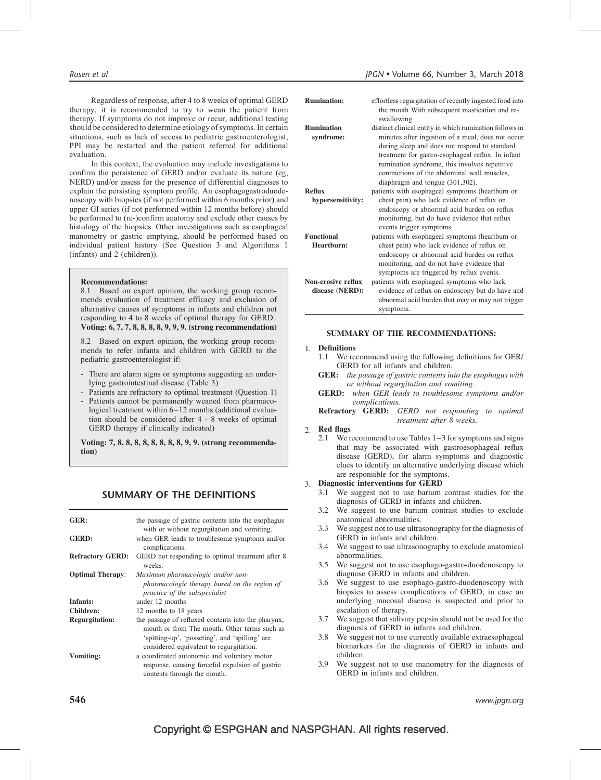Regardless of response, after 4 to 8 weeks of optimal GERD therapy, it is recommended to try to wean the patient from therapy. If symptoms do not improve or recur, additional testing should be considered to determine etiology of symptoms. In certain situations, such as lack of access to pediatric gastroenterologist, PPI may be restarted and the patient referred for additional evaluation.

In this context, the evaluation may include investigations to confirm the persistence of GERD and/or evaluate its nature (eg, NERD) and/or assess for the presence of differential diagnoses to explain the persisting symptom profile. An esophagogastroduodenoscopy with biopsies (if not performed within 6 months prior) and upper GI series (if not performed within 12 months before) should be performed to (re-)confirm anatomy and exclude other causes by histology of the biopsies. Other investigations such as esophageal manometry or gastric emptying, should be performed based on individual patient history (See Question 3 and Algorithms 1 (infants) and 2 (children)).

#### Recommendations:

8.1 Based on expert opinion, the working group recommends evaluation of treatment efficacy and exclusion of alternative causes of symptoms in infants and children not responding to 4 to 8 weeks of optimal therapy for GERD. Voting: 6, 7, 7, 8, 8, 8, 8, 9, 9, 9. (strong recommendation)

8.2 Based on expert opinion, the working group recommends to refer infants and children with GERD to the pediatric gastroenterologist if:

- There are alarm signs or symptoms suggesting an underlying gastrointestinal disease (Table 3)
- Patients are refractory to optimal treatment (Question 1)
- Patients cannot be permanently weaned from pharmacological treatment within 6–12 months (additional evaluation should be considered after 4 - 8 weeks of optimal GERD therapy if clinically indicated)

Voting: 7, 8, 8, 8, 8, 8, 8, 8, 8, 9, 9. (strong recommendation)

### SUMMARY OF THE DEFINITIONS

| GER:                    | the passage of gastric contents into the esophagus<br>with or without regurgitation and vomiting.                                                                                               |
|-------------------------|-------------------------------------------------------------------------------------------------------------------------------------------------------------------------------------------------|
| <b>GERD:</b>            | when GER leads to troublesome symptoms and/or<br>complications.                                                                                                                                 |
| <b>Refractory GERD:</b> | GERD not responding to optimal treatment after 8<br>weeks.                                                                                                                                      |
| <b>Optimal Therapy:</b> | Maximum pharmacologic and/or non-                                                                                                                                                               |
|                         | pharmacologic therapy based on the region of<br>practice of the subspecialist                                                                                                                   |
| Infants:                | under 12 months                                                                                                                                                                                 |
| Children:               | 12 months to 18 years                                                                                                                                                                           |
| <b>Regurgitation:</b>   | the passage of refluxed contents into the pharynx,<br>mouth or from The mouth. Other terms such as<br>'spitting-up', 'posseting', and 'spilling' are<br>considered equivalent to regurgitation. |
| <b>Vomiting:</b>        | a coordinated autonomic and voluntary motor<br>response, causing forceful expulsion of gastric<br>contents through the mouth.                                                                   |

| <b>Rumination:</b> | effortless regurgitation of recently ingested food into                                                                                                                                                                                                 |
|--------------------|---------------------------------------------------------------------------------------------------------------------------------------------------------------------------------------------------------------------------------------------------------|
|                    | the mouth With subsequent mastication and re-<br>swallowing.                                                                                                                                                                                            |
| <b>Rumination</b>  | distinct clinical entity in which rumination follows in                                                                                                                                                                                                 |
| syndrome:          | minutes after ingestion of a meal, does not occur<br>during sleep and does not respond to standard<br>treatment for gastro-esophageal reflux. In infant<br>rumination syndrome, this involves repetitive<br>contractions of the abdominal wall muscles, |
|                    | diaphragm and tongue (301,302).                                                                                                                                                                                                                         |
| <b>Reflux</b>      | patients with esophageal symptoms (heartburn or                                                                                                                                                                                                         |
| hypersensitivity:  | chest pain) who lack evidence of reflux on<br>endoscopy or abnormal acid burden on reflux<br>monitoring, but do have evidence that reflux                                                                                                               |
|                    | events trigger symptoms.                                                                                                                                                                                                                                |
| <b>Functional</b>  | patients with esophageal symptoms (heartburn or                                                                                                                                                                                                         |
| Heartburn:         | chest pain) who lack evidence of reflux on                                                                                                                                                                                                              |
|                    | endoscopy or abnormal acid burden on reflux<br>monitoring, and do not have evidence that<br>symptoms are triggered by reflux events.                                                                                                                    |
| Non-erosive reflux | patients with esophageal symptoms who lack                                                                                                                                                                                                              |
| disease (NERD):    | evidence of reflux on endoscopy but do have and<br>abnormal acid burden that may or may not trigger<br>symptoms.                                                                                                                                        |

#### SUMMARY OF THE RECOMMENDATIONS:

### 1. Definitions

- 1.1 We recommend using the following definitions for GER/ GERD for all infants and children.
- **GER:** the passage of gastric contents into the esophagus with or without regurgitation and vomiting.
- GERD: when GER leads to troublesome symptoms and/or complications.

Refractory GERD: GERD not responding to optimal treatment after 8 weeks.

#### 2. Red flags

2.1 We recommend to use Tables 1–3 for symptoms and signs that may be associated with gastroesophageal reflux disease (GERD), for alarm symptoms and diagnostic clues to identify an alternative underlying disease which are responsible for the symptoms.

#### 3. Diagnostic interventions for GERD

- 3.1 We suggest not to use barium contrast studies for the diagnosis of GERD in infants and children.
- 3.2 We suggest to use barium contrast studies to exclude anatomical abnormalities.
- 3.3 We suggest not to use ultrasonography for the diagnosis of GERD in infants and children.
- 3.4 We suggest to use ultrasonography to exclude anatomical abnormalities.
- 3.5 We suggest not to use esophago-gastro-duodenoscopy to diagnose GERD in infants and children.
- 3.6 We suggest to use esophago-gastro-duodenoscopy with biopsies to assess complications of GERD, in case an underlying mucosal disease is suspected and prior to escalation of therapy.
- 3.7 We suggest that salivary pepsin should not be used for the diagnosis of GERD in infants and children.
- 3.8 We suggest not to use currently available extraesophageal biomarkers for the diagnosis of GERD in infants and children.
- 3.9 We suggest not to use manometry for the diagnosis of GERD in infants and children.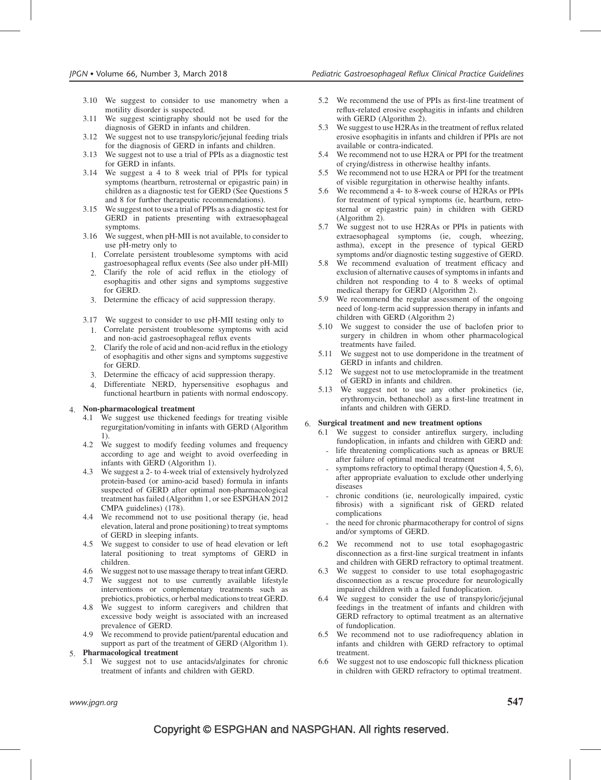- 3.10 We suggest to consider to use manometry when a motility disorder is suspected.
- 3.11 We suggest scintigraphy should not be used for the diagnosis of GERD in infants and children.
- 3.12 We suggest not to use transpyloric/jejunal feeding trials for the diagnosis of GERD in infants and children.
- 3.13 We suggest not to use a trial of PPIs as a diagnostic test for GERD in infants.
- 3.14 We suggest a 4 to 8 week trial of PPIs for typical symptoms (heartburn, retrosternal or epigastric pain) in children as a diagnostic test for GERD (See Questions 5 and 8 for further therapeutic recommendations).
- 3.15 We suggest not to use a trial of PPIs as a diagnostic test for GERD in patients presenting with extraesophageal symptoms.
- 3.16 We suggest, when pH-MII is not available, to consider to use pH-metry only to
	- 1. Correlate persistent troublesome symptoms with acid gastroesophageal reflux events (See also under pH-MII)
	- 2. Clarify the role of acid reflux in the etiology of esophagitis and other signs and symptoms suggestive for GERD.
	- 3. Determine the efficacy of acid suppression therapy.
- 3.17 We suggest to consider to use pH-MII testing only to 1. Correlate persistent troublesome symptoms with acid and non-acid gastroesophageal reflux events
	- 2. Clarify the role of acid and non-acid reflux in the etiology of esophagitis and other signs and symptoms suggestive for GERD.
	- 3. Determine the efficacy of acid suppression therapy.
	- 4. Differentiate NERD, hypersensitive esophagus and functional heartburn in patients with normal endoscopy.

#### 4. Non-pharmacological treatment

- 4.1 We suggest use thickened feedings for treating visible regurgitation/vomiting in infants with GERD (Algorithm 1).
- 4.2 We suggest to modify feeding volumes and frequency according to age and weight to avoid overfeeding in infants with GERD (Algorithm 1).
- 4.3 We suggest a 2- to 4-week trial of extensively hydrolyzed protein-based (or amino-acid based) formula in infants suspected of GERD after optimal non-pharmacological treatment has failed (Algorithm 1, or see ESPGHAN 2012 CMPA guidelines) (178).
- 4.4 We recommend not to use positional therapy (ie, head elevation, lateral and prone positioning) to treat symptoms of GERD in sleeping infants.
- 4.5 We suggest to consider to use of head elevation or left lateral positioning to treat symptoms of GERD in children.
- 4.6 We suggest not to use massage therapy to treat infant GERD.
- 4.7 We suggest not to use currently available lifestyle interventions or complementary treatments such as prebiotics, probiotics, or herbal medications to treat GERD.
- 4.8 We suggest to inform caregivers and children that excessive body weight is associated with an increased prevalence of GERD.
- 4.9 We recommend to provide patient/parental education and support as part of the treatment of GERD (Algorithm 1).

#### 5. Pharmacological treatment

5.1 We suggest not to use antacids/alginates for chronic treatment of infants and children with GERD.

- 5.2 We recommend the use of PPIs as first-line treatment of reflux-related erosive esophagitis in infants and children with GERD (Algorithm 2).
- 5.3 We suggest to use H2RAs in the treatment of reflux related erosive esophagitis in infants and children if PPIs are not available or contra-indicated.
- 5.4 We recommend not to use H2RA or PPI for the treatment of crying/distress in otherwise healthy infants.
- 5.5 We recommend not to use H2RA or PPI for the treatment of visible regurgitation in otherwise healthy infants.
- 5.6 We recommend a 4- to 8-week course of H2RAs or PPIs for treatment of typical symptoms (ie, heartburn, retrosternal or epigastric pain) in children with GERD (Algorithm 2).
- 5.7 We suggest not to use H2RAs or PPIs in patients with extraesophageal symptoms (ie, cough, wheezing, asthma), except in the presence of typical GERD symptoms and/or diagnostic testing suggestive of GERD.
- 5.8 We recommend evaluation of treatment efficacy and exclusion of alternative causes of symptoms in infants and children not responding to 4 to 8 weeks of optimal medical therapy for GERD (Algorithm 2).
- 5.9 We recommend the regular assessment of the ongoing need of long-term acid suppression therapy in infants and children with GERD (Algorithm 2)
- 5.10 We suggest to consider the use of baclofen prior to surgery in children in whom other pharmacological treatments have failed.
- 5.11 We suggest not to use domperidone in the treatment of GERD in infants and children.
- 5.12 We suggest not to use metoclopramide in the treatment of GERD in infants and children.
- 5.13 We suggest not to use any other prokinetics (ie, erythromycin, bethanechol) as a first-line treatment in infants and children with GERD.

### 6. Surgical treatment and new treatment options

- 6.1 We suggest to consider antireflux surgery, including fundoplication, in infants and children with GERD and:
	- life threatening complications such as apneas or BRUE after failure of optimal medical treatment
	- symptoms refractory to optimal therapy (Question 4, 5, 6), after appropriate evaluation to exclude other underlying diseases
	- chronic conditions (ie, neurologically impaired, cystic fibrosis) with a significant risk of GERD related complications
- the need for chronic pharmacotherapy for control of signs and/or symptoms of GERD.
- 6.2 We recommend not to use total esophagogastric disconnection as a first-line surgical treatment in infants and children with GERD refractory to optimal treatment.
- 6.3 We suggest to consider to use total esophagogastric disconnection as a rescue procedure for neurologically impaired children with a failed fundoplication.
- 6.4 We suggest to consider the use of transpyloric/jejunal feedings in the treatment of infants and children with GERD refractory to optimal treatment as an alternative of fundoplication.
- 6.5 We recommend not to use radiofrequency ablation in infants and children with GERD refractory to optimal treatment.
- 6.6 We suggest not to use endoscopic full thickness plication in children with GERD refractory to optimal treatment.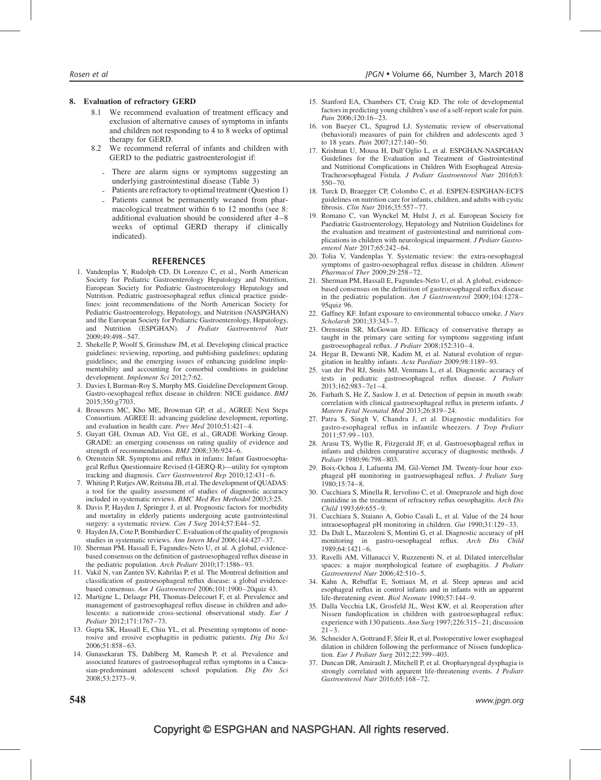#### 8. Evaluation of refractory GERD

- 8.1 We recommend evaluation of treatment efficacy and exclusion of alternative causes of symptoms in infants and children not responding to 4 to 8 weeks of optimal therapy for GERD.
- 8.2 We recommend referral of infants and children with GERD to the pediatric gastroenterologist if:
	- There are alarm signs or symptoms suggesting an underlying gastrointestinal disease (Table 3)
	- Patients are refractory to optimal treatment (Question 1)
	- Patients cannot be permanently weaned from pharmacological treatment within 6 to 12 months (see 8: additional evaluation should be considered after 4–8 weeks of optimal GERD therapy if clinically indicated).

#### **REFERENCES**

- 1. Vandenplas Y, Rudolph CD, Di Lorenzo C, et al., North American Society for Pediatric Gastroenterology Hepatology and Nutrition, European Society for Pediatric Gastroenterology Hepatology and Nutrition. Pediatric gastroesophageal reflux clinical practice guidelines: joint recommendations of the North American Society for Pediatric Gastroenterology, Hepatology, and Nutrition (NASPGHAN) and the European Society for Pediatric Gastroenterology, Hepatology, and Nutrition (ESPGHAN). J Pediatr Gastroenterol Nutr 2009;49:498–547.
- 2. Shekelle P, Woolf S, Grimshaw JM, et al. Developing clinical practice guidelines: reviewing, reporting, and publishing guidelines; updating guidelines; and the emerging issues of enhancing guideline implementability and accounting for comorbid conditions in guideline development. Implement Sci 2012;7:62.
- 3. Davies I, Burman-Roy S, Murphy MS. Guideline Development Group. Gastro-oesophageal reflux disease in children: NICE guidance. BMJ 2015;350:g7703.
- 4. Brouwers MC, Kho ME, Browman GP, et al., AGREE Next Steps Consortium. AGREE II: advancing guideline development, reporting, and evaluation in health care. Prev Med 2010;51:421–4.
- 5. Guyatt GH, Oxman AD, Vist GE, et al., GRADE Working Group. GRADE: an emerging consensus on rating quality of evidence and strength of recommendations. BMJ 2008;336:924–6.
- 6. Orenstein SR. Symptoms and reflux in infants: Infant Gastroesophageal Reflux Questionnaire Revised (I-GERQ-R)—utility for symptom tracking and diagnosis. Curr Gastroenterol Rep 2010;12:431-6.
- 7. Whiting P, Rutjes AW, Reitsma JB, et al. The development of QUADAS: a tool for the quality assessment of studies of diagnostic accuracy included in systematic reviews. BMC Med Res Methodol 2003;3:25.
- 8. Davis P, Hayden J, Springer J, et al. Prognostic factors for morbidity and mortality in elderly patients undergoing acute gastrointestinal surgery: a systematic review. Can J Surg 2014;57:E44-52.
- 9. Hayden JA, Cote P, Bombardier C. Evaluation of the quality of prognosis studies in systematic reviews. Ann Intern Med 2006;144:427–37.
- 10. Sherman PM, Hassall E, Fagundes-Neto U, et al. A global, evidencebased consensus on the definition of gastroesophageal reflux disease in the pediatric population. Arch Pediatr 2010;17:1586-93.
- 11. Vakil N, van Zanten SV, Kahrilas P, et al. The Montreal definition and classification of gastroesophageal reflux disease: a global evidencebased consensus. Am J Gastroenterol 2006;101:1900–20quiz 43.
- 12. Martigne L, Delaage PH, Thomas-Delecourt F, et al. Prevalence and management of gastroesophageal reflux disease in children and adolescents: a nationwide cross-sectional observational study. Eur J Pediatr 2012;171:1767–73.
- 13. Gupta SK, Hassall E, Chiu YL, et al. Presenting symptoms of nonerosive and erosive esophagitis in pediatric patients. Dig Dis Sci 2006;51:858–63.
- 14. Gunasekaran TS, Dahlberg M, Ramesh P, et al. Prevalence and associated features of gastroesophageal reflux symptoms in a Caucasian-predominant adolescent school population. Dig Dis Sci 2008;53:2373–9.
- 15. Stanford EA, Chambers CT, Craig KD. The role of developmental factors in predicting young children's use of a self-report scale for pain. Pain 2006;120:16–23.
- 16. von Baeyer CL, Spagrud LJ. Systematic review of observational (behavioral) measures of pain for children and adolescents aged 3 to 18 years. Pain 2007;127:140–50.
- 17. Krishnan U, Mousa H, Dall'Oglio L, et al. ESPGHAN-NASPGHAN Guidelines for the Evaluation and Treatment of Gastrointestinal and Nutritional Complications in Children With Esophageal Atresia-Tracheoesophageal Fistula. J Pediatr Gastroenterol Nutr 2016;63: 550–70.
- 18. Turck D, Braegger CP, Colombo C, et al. ESPEN-ESPGHAN-ECFS guidelines on nutrition care for infants, children, and adults with cystic fibrosis. Clin Nutr 2016;35:557–77.
- 19. Romano C, van Wynckel M, Hulst J, et al. European Society for Paediatric Gastroenterology, Hepatology and Nutrition Guidelines for the evaluation and treatment of gastrointestinal and nutritional complications in children with neurological impairment. J Pediatr Gastroenterol Nutr 2017;65:242–64.
- 20. Tolia V, Vandenplas Y. Systematic review: the extra-oesophageal symptoms of gastro-oesophageal reflux disease in children. Aliment Pharmacol Ther 2009;29:258–72.
- 21. Sherman PM, Hassall E, Fagundes-Neto U, et al. A global, evidencebased consensus on the definition of gastroesophageal reflux disease in the pediatric population. Am J Gastroenterol 2009;104:1278– 95quiz 96.
- 22. Gaffney KF. Infant exposure to environmental tobacco smoke. J Nurs Scholarsh 2001;33:343–7.
- 23. Orenstein SR, McGowan JD. Efficacy of conservative therapy as taught in the primary care setting for symptoms suggesting infant gastroesophageal reflux. J Pediatr 2008;152:310–4.
- 24. Hegar B, Dewanti NR, Kadim M, et al. Natural evolution of regurgitation in healthy infants. Acta Paediatr 2009;98:1189–93.
- 25. van der Pol RJ, Smits MJ, Venmans L, et al. Diagnostic accuracy of tests in pediatric gastroesophageal reflux disease. J Pediatr 2013;162:983–7e1–4.
- 26. Farhath S, He Z, Saslow J, et al. Detection of pepsin in mouth swab: correlation with clinical gastroesophageal reflux in preterm infants. J Matern Fetal Neonatal Med 2013;26:819–24.
- 27. Patra S, Singh V, Chandra J, et al. Diagnostic modalities for gastro-esophageal reflux in infantile wheezers. J Trop Pediatr  $2011:57:99 - 103$ .
- 28. Arasu TS, Wyllie R, Fitzgerald JF, et al. Gastroesophageal reflux in infants and children comparative accuracy of diagnostic methods. J Pediatr 1980;96:798–803.
- 29. Boix-Ochoa J, Lafuenta JM, Gil-Vernet JM. Twenty-four hour exophageal pH monitoring in gastroesophageal reflux. J Pediatr Surg 1980;15:74–8.
- 30. Cucchiara S, Minella R, Iervolino C, et al. Omeprazole and high dose ranitidine in the treatment of refractory reflux oesophagitis. Arch Dis Child 1993;69:655–9.
- 31. Cucchiara S, Staiano A, Gobio Casali L, et al. Value of the 24 hour intraoesophageal pH monitoring in children. Gut 1990;31:129–33.
- 32. Da Dalt L, Mazzoleni S, Montini G, et al. Diagnostic accuracy of pH monitoring in gastro-oesophageal reflux. Arch Dis Child  $1989.64.1421 - 6$
- 33. Ravelli AM, Villanacci V, Ruzzenenti N, et al. Dilated intercellular spaces: a major morphological feature of esophagitis. *J Pediatr* Gastroenterol Nutr 2006;42:510–5.
- 34. Kahn A, Rebuffat E, Sottiaux M, et al. Sleep apneas and acid esophageal reflux in control infants and in infants with an apparent life-threatening event. Biol Neonate 1990;57:144–9.
- 35. Dalla Vecchia LK, Grosfeld JL, West KW, et al. Reoperation after Nissen fundoplication in children with gastroesophageal reflux: experience with 130 patients. Ann Surg 1997;226:315-21; discussion  $21 - 3$ .
- 36. Schneider A, Gottrand F, Sfeir R, et al. Postoperative lower esophageal dilation in children following the performance of Nissen fundoplication. Eur J Pediatr Surg 2012;22:399–403.
- 37. Duncan DR, Amirault J, Mitchell P, et al. Oropharyngeal dysphagia is strongly correlated with apparent life-threatening events. J Pediatr Gastroenterol Nutr 2016;65:168–72.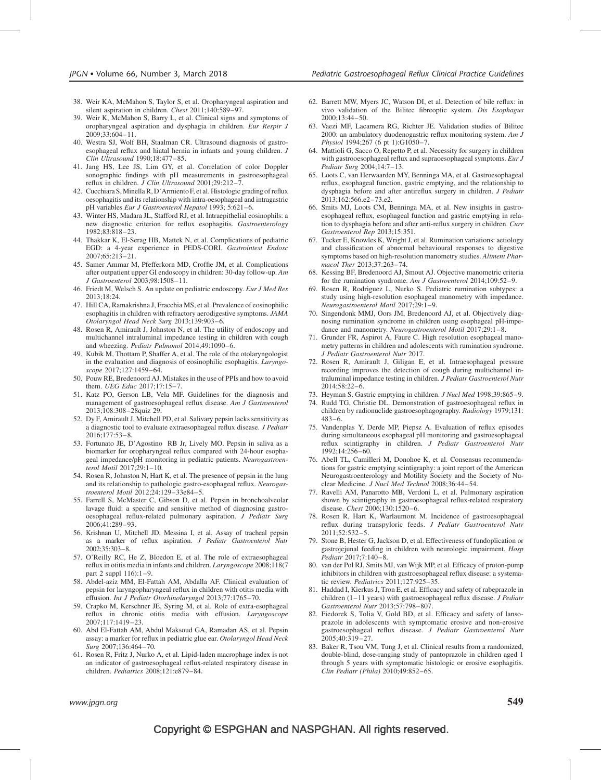- 38. Weir KA, McMahon S, Taylor S, et al. Oropharyngeal aspiration and silent aspiration in children. Chest 2011;140:589–97.
- 39. Weir K, McMahon S, Barry L, et al. Clinical signs and symptoms of oropharyngeal aspiration and dysphagia in children. Eur Respir J 2009;33:604–11.
- 40. Westra SJ, Wolf BH, Staalman CR. Ultrasound diagnosis of gastroesophageal reflux and hiatal hernia in infants and young children. J Clin Ultrasound 1990;18:477–85.
- 41. Jang HS, Lee JS, Lim GY, et al. Correlation of color Doppler sonographic findings with pH measurements in gastroesophageal reflux in children. J Clin Ultrasound 2001;29:212–7.
- 42. Cucchiara S,Minella R, D'Armiento F, et al. Histologic grading of reflux oesophagitis and its relationship with intra-oesophageal and intragastric pH variables Eur J Gastroenterol Hepatol 1993; 5:621-6.
- 43. Winter HS, Madara JL, Stafford RJ, et al. Intraepithelial eosinophils: a new diagnostic criterion for reflux esophagitis. Gastroenterology 1982;83:818–23.
- 44. Thakkar K, El-Serag HB, Mattek N, et al. Complications of pediatric EGD: a 4-year experience in PEDS-CORI. Gastrointest Endosc 2007;65:213–21.
- 45. Samer Ammar M, Pfefferkorn MD, Croffie JM, et al. Complications after outpatient upper GI endoscopy in children: 30-day follow-up. Am J Gastroenterol 2003;98:1508–11.
- 46. Friedt M, Welsch S. An update on pediatric endoscopy. Eur J Med Res 2013;18:24.
- 47. Hill CA, Ramakrishna J, Fracchia MS, et al. Prevalence of eosinophilic esophagitis in children with refractory aerodigestive symptoms. JAMA Otolaryngol Head Neck Surg 2013;139:903–6.
- 48. Rosen R, Amirault J, Johnston N, et al. The utility of endoscopy and multichannel intraluminal impedance testing in children with cough and wheezing. Pediatr Pulmonol 2014;49:1090–6.
- 49. Kubik M, Thottam P, Shaffer A, et al. The role of the otolaryngologist in the evaluation and diagnosis of eosinophilic esophagitis. Laryngoscope 2017;127:1459–64.
- 50. Pouw RE, Bredenoord AJ. Mistakes in the use of PPIs and how to avoid them. UEG Educ 2017;17:15-7.
- 51. Katz PO, Gerson LB, Vela MF. Guidelines for the diagnosis and management of gastroesophageal reflux disease. Am J Gastroenterol 2013;108:308–28quiz 29.
- 52. Dy F, Amirault J, Mitchell PD, et al. Salivary pepsin lacks sensitivity as a diagnostic tool to evaluate extraesophageal reflux disease. J Pediatr 2016;177:53–8.
- 53. Fortunato JE, D'Agostino RB Jr, Lively MO. Pepsin in saliva as a biomarker for oropharyngeal reflux compared with 24-hour esophageal impedance/pH monitoring in pediatric patients. Neurogastroenterol Motil 2017;29:1–10.
- 54. Rosen R, Johnston N, Hart K, et al. The presence of pepsin in the lung and its relationship to pathologic gastro-esophageal reflux. Neurogastroenterol Motil 2012;24:129–33e84–5.
- 55. Farrell S, McMaster C, Gibson D, et al. Pepsin in bronchoalveolar lavage fluid: a specific and sensitive method of diagnosing gastrooesophageal reflux-related pulmonary aspiration. J Pediatr Surg 2006;41:289–93.
- 56. Krishnan U, Mitchell JD, Messina I, et al. Assay of tracheal pepsin as a marker of reflux aspiration. J Pediatr Gastroenterol Nutr 2002;35:303–8.
- 57. O'Reilly RC, He Z, Bloedon E, et al. The role of extraesophageal reflux in otitis media in infants and children. Laryngoscope 2008;118(7 part 2 suppl 116):1–9.
- 58. Abdel-aziz MM, El-Fattah AM, Abdalla AF. Clinical evaluation of pepsin for laryngopharyngeal reflux in children with otitis media with effusion. Int J Pediatr Otorhinolaryngol 2013;77:1765–70.
- 59. Crapko M, Kerschner JE, Syring M, et al. Role of extra-esophageal reflux in chronic otitis media with effusion. Laryngoscope 2007;117:1419–23.
- 60. Abd El-Fattah AM, Abdul Maksoud GA, Ramadan AS, et al. Pepsin assay: a marker for reflux in pediatric glue ear. Otolaryngol Head Neck Surg 2007;136:464–70.
- 61. Rosen R, Fritz J, Nurko A, et al. Lipid-laden macrophage index is not an indicator of gastroesophageal reflux-related respiratory disease in children. Pediatrics 2008;121:e879–84.
- 62. Barrett MW, Myers JC, Watson DI, et al. Detection of bile reflux: in vivo validation of the Bilitec fibreoptic system. Dis Esophagus 2000;13:44–50.
- 63. Vaezi MF, Lacamera RG, Richter JE. Validation studies of Bilitec 2000: an ambulatory duodenogastric reflux monitoring system. Am J Physiol 1994;267 (6 pt 1):G1050–7.
- 64. Mattioli G, Sacco O, Repetto P, et al. Necessity for surgery in children with gastrooesophageal reflux and supraoesophageal symptoms. Eur J Pediatr Surg 2004;14:7–13.
- 65. Loots C, van Herwaarden MY, Benninga MA, et al. Gastroesophageal reflux, esophageal function, gastric emptying, and the relationship to dysphagia before and after antireflux surgery in children. J Pediatr 2013;162:566.e2–73.e2.
- 66. Smits MJ, Loots CM, Benninga MA, et al. New insights in gastroesophageal reflux, esophageal function and gastric emptying in relation to dysphagia before and after anti-reflux surgery in children. Curr Gastroenterol Rep 2013;15:351.
- 67. Tucker E, Knowles K, Wright J, et al. Rumination variations: aetiology and classification of abnormal behavioural responses to digestive symptoms based on high-resolution manometry studies. Aliment Pharmacol Ther 2013;37:263–74.
- 68. Kessing BF, Bredenoord AJ, Smout AJ. Objective manometric criteria for the rumination syndrome. Am J Gastroenterol 2014;109:52–9.
- 69. Rosen R, Rodriguez L, Nurko S. Pediatric rumination subtypes: a study using high-resolution esophageal manometry with impedance. Neurogastroenterol Motil 2017;29:1–9.
- 70. Singendonk MMJ, Oors JM, Bredenoord AJ, et al. Objectively diagnosing rumination syndrome in children using esophageal pH-impedance and manometry. Neurogastroenterol Motil 2017;29:1–8.
- 71. Grunder FR, Aspirot A, Faure C. High resolution esophageal manometry patterns in children and adolescents with rumination syndrome. J Pediatr Gastroenterol Nutr 2017.
- 72. Rosen R, Amirault J, Giligan E, et al. Intraesophageal pressure recording improves the detection of cough during multichannel intraluminal impedance testing in children. J Pediatr Gastroenterol Nutr 2014;58:22–6.
- 73. Heyman S. Gastric emptying in children. J Nucl Med 1998;39:865–9.
- 74. Rudd TG, Christie DL. Demonstration of gastroesophageal reflux in children by radionuclide gastroesophagography. Radiology 1979;131: 483–6.
- 75. Vandenplas Y, Derde MP, Piepsz A. Evaluation of reflux episodes during simultaneous esophageal pH monitoring and gastroesophageal reflux scintigraphy in children. J Pediatr Gastroenterol Nutr 1992;14:256–60.
- 76. Abell TL, Camilleri M, Donohoe K, et al. Consensus recommendations for gastric emptying scintigraphy: a joint report of the American Neurogastroenterology and Motility Society and the Society of Nuclear Medicine. J Nucl Med Technol 2008;36:44–54.
- 77. Ravelli AM, Panarotto MB, Verdoni L, et al. Pulmonary aspiration shown by scintigraphy in gastroesophageal reflux-related respiratory disease. Chest 2006;130:1520–6.
- 78. Rosen R, Hart K, Warlaumont M. Incidence of gastroesophageal reflux during transpyloric feeds. J Pediatr Gastroenterol Nutr 2011;52:532–5.
- 79. Stone B, Hester G, Jackson D, et al. Effectiveness of fundoplication or gastrojejunal feeding in children with neurologic impairment. Hosp Pediatr 2017;7:140–8.
- 80. van der Pol RJ, Smits MJ, van Wijk MP, et al. Efficacy of proton-pump inhibitors in children with gastroesophageal reflux disease: a systematic review. Pediatrics 2011;127:925–35.
- 81. Haddad I, Kierkus J, Tron E, et al. Efficacy and safety of rabeprazole in children (1–11 years) with gastroesophageal reflux disease. *J Pediatr* Gastroenterol Nutr 2013;57:798–807.
- 82. Fiedorek S, Tolia V, Gold BD, et al. Efficacy and safety of lansoprazole in adolescents with symptomatic erosive and non-erosive gastroesophageal reflux disease. J Pediatr Gastroenterol Nutr 2005;40:319–27.
- 83. Baker R, Tsou VM, Tung J, et al. Clinical results from a randomized, double-blind, dose-ranging study of pantoprazole in children aged 1 through 5 years with symptomatic histologic or erosive esophagitis. Clin Pediatr (Phila) 2010;49:852–65.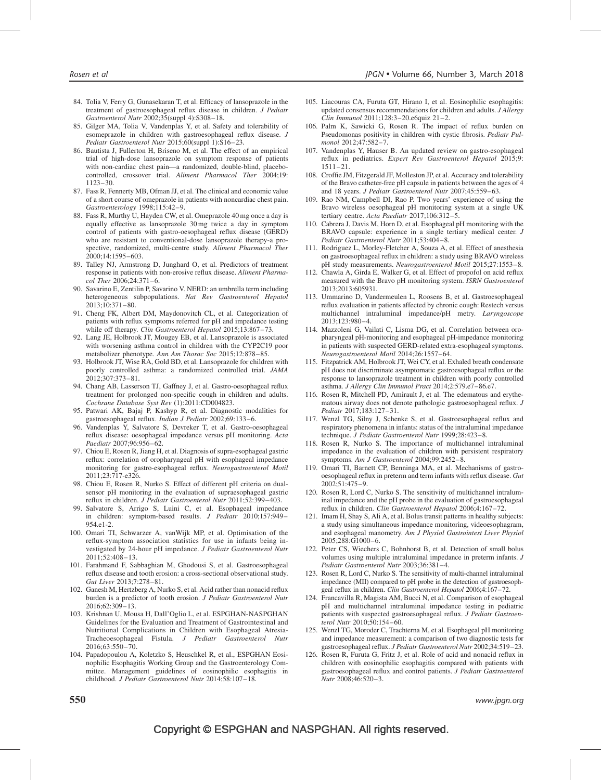- 84. Tolia V, Ferry G, Gunasekaran T, et al. Efficacy of lansoprazole in the treatment of gastroesophageal reflux disease in children. J Pediatr Gastroenterol Nutr 2002;35(suppl 4):S308–18.
- 85. Gilger MA, Tolia V, Vandenplas Y, et al. Safety and tolerability of esomeprazole in children with gastroesophageal reflux disease. J Pediatr Gastroenterol Nutr 2015;60(suppl 1):S16–23.
- 86. Bautista J, Fullerton H, Briseno M, et al. The effect of an empirical trial of high-dose lansoprazole on symptom response of patients with non-cardiac chest pain—a randomized, double-blind, placebocontrolled, crossover trial. Aliment Pharmacol Ther 2004;19: 1123–30.
- 87. Fass R, Fennerty MB, Ofman JJ, et al. The clinical and economic value of a short course of omeprazole in patients with noncardiac chest pain. Gastroenterology 1998;115:42–9.
- 88. Fass R, Murthy U, Hayden CW, et al. Omeprazole 40 mg once a day is equally effective as lansoprazole 30 mg twice a day in symptom control of patients with gastro-oesophageal reflux disease (GERD) who are resistant to conventional-dose lansoprazole therapy-a prospective, randomized, multi-centre study. Aliment Pharmacol Ther 2000;14:1595–603.
- 89. Talley NJ, Armstrong D, Junghard O, et al. Predictors of treatment response in patients with non-erosive reflux disease. Aliment Pharmacol Ther 2006;24:371–6.
- 90. Savarino E, Zentilin P, Savarino V. NERD: an umbrella term including heterogeneous subpopulations. Nat Rev Gastroenterol Hepatol  $2013:10:371-80.$
- 91. Cheng FK, Albert DM, Maydonovitch CL, et al. Categorization of patients with reflux symptoms referred for pH and impedance testing while off therapy. Clin Gastroenterol Hepatol 2015;13:867-73.
- 92. Lang JE, Holbrook JT, Mougey EB, et al. Lansoprazole is associated with worsening asthma control in children with the CYP2C19 poor metabolizer phenotype. Ann Am Thorac Soc 2015;12:878–85.
- 93. Holbrook JT, Wise RA, Gold BD, et al. Lansoprazole for children with poorly controlled asthma: a randomized controlled trial. JAMA 2012;307:373–81.
- 94. Chang AB, Lasserson TJ, Gaffney J, et al. Gastro-oesophageal reflux treatment for prolonged non-specific cough in children and adults. Cochrane Database Syst Rev (1):2011:CD004823.
- 95. Patwari AK, Bajaj P, Kashyp R, et al. Diagnostic modalities for gastroesophageal reflux. Indian J Pediatr 2002;69:133–6.
- 96. Vandenplas Y, Salvatore S, Devreker T, et al. Gastro-oesophageal reflux disease: oesophageal impedance versus pH monitoring. Acta Paediatr 2007;96:956–62.
- 97. Chiou E, Rosen R, Jiang H, et al. Diagnosis of supra-esophageal gastric reflux: correlation of oropharyngeal pH with esophageal impedance monitoring for gastro-esophageal reflux. Neurogastroenterol Motil 2011;23:717-e326.
- 98. Chiou E, Rosen R, Nurko S. Effect of different pH criteria on dualsensor pH monitoring in the evaluation of supraesophageal gastric reflux in children. J Pediatr Gastroenterol Nutr 2011;52:399–403.
- 99. Salvatore S, Arrigo S, Luini C, et al. Esophageal impedance in children: symptom-based results. J Pediatr 2010;157:949-954.e1-2.
- 100. Omari TI, Schwarzer A, vanWijk MP, et al. Optimisation of the reflux-symptom association statistics for use in infants being investigated by 24-hour pH impedance. J Pediatr Gastroenterol Nutr 2011;52:408–13.
- 101. Farahmand F, Sabbaghian M, Ghodousi S, et al. Gastroesophageal reflux disease and tooth erosion: a cross-sectional observational study. Gut Liver 2013;7:278–81.
- 102. Ganesh M, Hertzberg A, Nurko S, et al. Acid rather than nonacid reflux burden is a predictor of tooth erosion. J Pediatr Gastroenterol Nutr 2016;62:309–13.
- 103. Krishnan U, Mousa H, Dall'Oglio L, et al. ESPGHAN-NASPGHAN Guidelines for the Evaluation and Treatment of Gastrointestinal and Nutritional Complications in Children with Esophageal Atresia-Tracheoesophageal Fistula. J Pediatr Gastroenterol Nutr 2016;63:550–70.
- 104. Papadopoulou A, Koletzko S, Heuschkel R, et al., ESPGHAN Eosinophilic Esophagitis Working Group and the Gastroenterology Committee. Management guidelines of eosinophilic esophagitis in childhood. J Pediatr Gastroenterol Nutr 2014;58:107–18.
- 105. Liacouras CA, Furuta GT, Hirano I, et al. Eosinophilic esophagitis: updated consensus recommendations for children and adults. J Allergy Clin Immunol 2011;128:3–20.e6quiz 21–2.
- 106. Palm K, Sawicki G, Rosen R. The impact of reflux burden on Pseudomonas positivity in children with cystic fibrosis. Pediatr Pulmonol 2012;47:582–7.
- 107. Vandenplas Y, Hauser B. An updated review on gastro-esophageal reflux in pediatrics. Expert Rev Gastroenterol Hepatol 2015;9: 1511–21.
- 108. Croffie JM, Fitzgerald JF, Molleston JP, et al. Accuracy and tolerability of the Bravo catheter-free pH capsule in patients between the ages of 4 and 18 years. J Pediatr Gastroenterol Nutr 2007;45:559–63.
- 109. Rao NM, Campbell DI, Rao P. Two years' experience of using the Bravo wireless oesophageal pH monitoring system at a single UK tertiary centre. Acta Paediatr 2017;106:312–5.
- 110. Cabrera J, Davis M, Horn D, et al. Esophageal pH monitoring with the BRAVO capsule: experience in a single tertiary medical center. J Pediatr Gastroenterol Nutr 2011;53:404–8.
- 111. Rodriguez L, Morley-Fletcher A, Souza A, et al. Effect of anesthesia on gastroesophageal reflux in children: a study using BRAVO wireless pH study measurements. Neurogastroenterol Motil 2015;27:1553–8.
- 112. Chawla A, Girda E, Walker G, et al. Effect of propofol on acid reflux measured with the Bravo pH monitoring system. ISRN Gastroenterol 2013;2013:605931.
- 113. Ummarino D, Vandermeulen L, Roosens B, et al. Gastroesophageal reflux evaluation in patients affected by chronic cough: Restech versus multichannel intraluminal impedance/pH metry. Laryngoscope 2013;123:980–4.
- 114. Mazzoleni G, Vailati C, Lisma DG, et al. Correlation between oropharyngeal pH-monitoring and esophageal pH-impedance monitoring in patients with suspected GERD-related extra-esophageal symptoms. Neurogastroenterol Motil 2014;26:1557–64.
- 115. Fitzpatrick AM, Holbrook JT, Wei CY, et al. Exhaled breath condensate pH does not discriminate asymptomatic gastroesophageal reflux or the response to lansoprazole treatment in children with poorly controlled asthma. J Allergy Clin Immunol Pract 2014;2:579.e7–86.e7.
- 116. Rosen R, Mitchell PD, Amirault J, et al. The edematous and erythematous airway does not denote pathologic gastroesophageal reflux. J Pediatr 2017;183:127–31.
- 117. Wenzl TG, Silny J, Schenke S, et al. Gastroesophageal reflux and respiratory phenomena in infants: status of the intraluminal impedance technique. J Pediatr Gastroenterol Nutr 1999;28:423-8.
- 118. Rosen R, Nurko S. The importance of multichannel intraluminal impedance in the evaluation of children with persistent respiratory symptoms. Am J Gastroenterol 2004;99:2452–8.
- 119. Omari TI, Barnett CP, Benninga MA, et al. Mechanisms of gastrooesophageal reflux in preterm and term infants with reflux disease. Gut 2002;51:475–9.
- 120. Rosen R, Lord C, Nurko S. The sensitivity of multichannel intraluminal impedance and the pH probe in the evaluation of gastroesophageal reflux in children. Clin Gastroenterol Hepatol 2006;4:167–72.
- 121. Imam H, Shay S, Ali A, et al. Bolus transit patterns in healthy subjects: a study using simultaneous impedance monitoring, videoesophagram, and esophageal manometry. Am J Physiol Gastrointest Liver Physiol 2005;288:G1000–6.
- 122. Peter CS, Wiechers C, Bohnhorst B, et al. Detection of small bolus volumes using multiple intraluminal impedance in preterm infants. J Pediatr Gastroenterol Nutr 2003;36:381–4.
- 123. Rosen R, Lord C, Nurko S. The sensitivity of multi-channel intraluminal impedance (MII) compared to pH probe in the detection of gastroesophgeal reflux in children. Clin Gastroenterol Hepatol 2006;4:167–72.
- 124. Francavilla R, Magista AM, Bucci N, et al. Comparison of esophageal pH and multichannel intraluminal impedance testing in pediatric patients with suspected gastroesophageal reflux. J Pediatr Gastroenterol Nutr 2010;50:154–60.
- 125. Wenzl TG, Moroder C, Trachterna M, et al. Esophageal pH monitoring and impedance measurement: a comparison of two diagnostic tests for gastroesophageal reflux. J Pediatr Gastroenterol Nutr 2002;34:519–23.
- 126. Rosen R, Furuta G, Fritz J, et al. Role of acid and nonacid reflux in children with eosinophilic esophagitis compared with patients with gastroesophageal reflux and control patients. J Pediatr Gastroenterol Nutr 2008;46:520–3.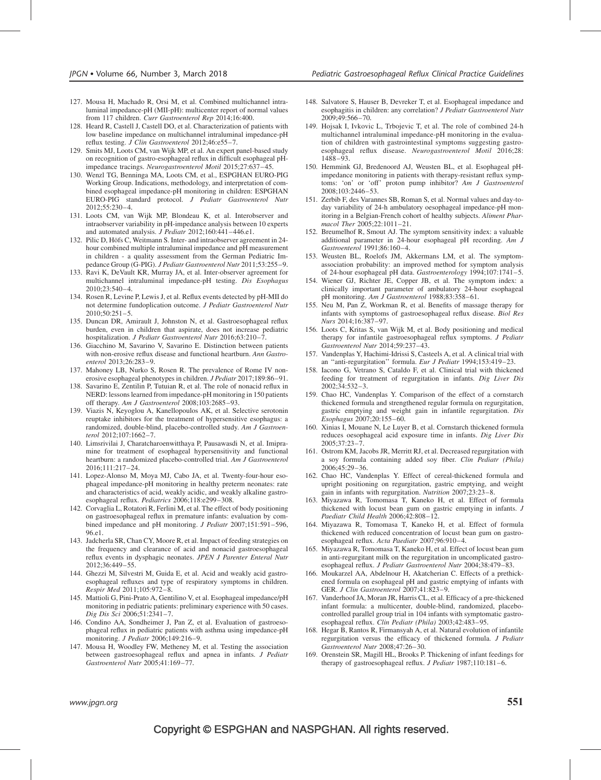- 127. Mousa H, Machado R, Orsi M, et al. Combined multichannel intraluminal impedance-pH (MII-pH): multicenter report of normal values from 117 children. Curr Gastroenterol Rep 2014;16:400.
- 128. Heard R, Castell J, Castell DO, et al. Characterization of patients with low baseline impedance on multichannel intraluminal impedance-pH reflux testing. J Clin Gastroenterol 2012;46:e55–7.
- 129. Smits MJ, Loots CM, van Wijk MP, et al. An expert panel-based study on recognition of gastro-esophageal reflux in difficult esophageal pHimpedance tracings. Neurogastroenterol Motil 2015;27:637–45.
- 130. Wenzl TG, Benninga MA, Loots CM, et al., ESPGHAN EURO-PIG Working Group. Indications, methodology, and interpretation of combined esophageal impedance-pH monitoring in children: ESPGHAN EURO-PIG standard protocol. J Pediatr Gastroenterol Nutr 2012;55:230–4.
- 131. Loots CM, van Wijk MP, Blondeau K, et al. Interobserver and intraobserver variability in pH-impedance analysis between 10 experts and automated analysis. J Pediatr 2012;160:441–446.e1.
- 132. Pilic D, Höfs C, Weitmann S. Inter- and intraobserver agreement in 24hour combined multiple intraluminal impedance and pH measurement in children - a quality assessment from the German Pediatric Impedance Group (G-PIG). J Pediatr Gastroenterol Nutr 2011;53:255-9.
- 133. Ravi K, DeVault KR, Murray JA, et al. Inter-observer agreement for multichannel intraluminal impedance-pH testing. Dis Esophagus 2010;23:540–4.
- 134. Rosen R, Levine P, Lewis J, et al. Reflux events detected by pH-MII do not determine fundoplication outcome. J Pediatr Gastroenterol Nutr  $2010:50:251-5$ .
- 135. Duncan DR, Amirault J, Johnston N, et al. Gastroesophageal reflux burden, even in children that aspirate, does not increase pediatric hospitalization. J Pediatr Gastroenterol Nutr 2016;63:210-7.
- 136. Giacchino M, Savarino V, Savarino E. Distinction between patients with non-erosive reflux disease and functional heartburn. Ann Gastroenterol 2013;26:283–9.
- 137. Mahoney LB, Nurko S, Rosen R. The prevalence of Rome IV nonerosive esophageal phenotypes in children. J Pediatr 2017;189:86–91.
- 138. Savarino E, Zentilin P, Tutuian R, et al. The role of nonacid reflux in NERD: lessons learned from impedance-pH monitoring in 150 patients off therapy. Am J Gastroenterol 2008;103:2685–93.
- 139. Viazis N, Keyoglou A, Kanellopoulos AK, et al. Selective serotonin reuptake inhibitors for the treatment of hypersensitive esophagus: a randomized, double-blind, placebo-controlled study. Am J Gastroenterol 2012;107:1662–7.
- 140. Limsrivilai J, Charatcharoenwitthaya P, Pausawasdi N, et al. Imipramine for treatment of esophageal hypersensitivity and functional heartburn: a randomized placebo-controlled trial. Am J Gastroenterol 2016;111:217–24.
- 141. Lopez-Alonso M, Moya MJ, Cabo JA, et al. Twenty-four-hour esophageal impedance-pH monitoring in healthy preterm neonates: rate and characteristics of acid, weakly acidic, and weakly alkaline gastroesophageal reflux. Pediatrics 2006;118:e299–308.
- 142. Corvaglia L, Rotatori R, Ferlini M, et al. The effect of body positioning on gastroesophageal reflux in premature infants: evaluation by combined impedance and pH monitoring. *J Pediatr* 2007;151:591-596, 96.e1.
- 143. Jadcherla SR, Chan CY, Moore R, et al. Impact of feeding strategies on the frequency and clearance of acid and nonacid gastroesophageal reflux events in dysphagic neonates. JPEN J Parenter Enteral Nutr 2012;36:449–55.
- 144. Ghezzi M, Silvestri M, Guida E, et al. Acid and weakly acid gastroesophageal refluxes and type of respiratory symptoms in children. Respir Med 2011;105:972–8.
- 145. Mattioli G, Pini-Prato A, Gentilino V, et al. Esophageal impedance/pH monitoring in pediatric patients: preliminary experience with 50 cases. Dig Dis Sci 2006;51:2341–7.
- 146. Condino AA, Sondheimer J, Pan Z, et al. Evaluation of gastroesophageal reflux in pediatric patients with asthma using impedance-pH monitoring. J Pediatr 2006;149:216–9.
- 147. Mousa H, Woodley FW, Metheney M, et al. Testing the association between gastroesophageal reflux and apnea in infants. J Pediatr Gastroenterol Nutr 2005;41:169–77.
- 148. Salvatore S, Hauser B, Devreker T, et al. Esophageal impedance and esophagitis in children: any correlation? J Pediatr Gastroenterol Nutr 2009;49:566–70.
- 149. Hojsak I, Ivkovic L, Trbojevic T, et al. The role of combined 24-h multichannel intraluminal impedance-pH monitoring in the evaluation of children with gastrointestinal symptoms suggesting gastroesophageal reflux disease. Neurogastroenterol Motil 2016;28: 1488–93.
- 150. Hemmink GJ, Bredenoord AJ, Weusten BL, et al. Esophageal pHimpedance monitoring in patients with therapy-resistant reflux symptoms: 'on' or 'off' proton pump inhibitor? Am J Gastroenterol 2008;103:2446–53.
- 151. Zerbib F, des Varannes SB, Roman S, et al. Normal values and day-today variability of 24-h ambulatory oesophageal impedance-pH monitoring in a Belgian-French cohort of healthy subjects. Aliment Pharmacol Ther 2005;22:1011–21.
- 152. Breumelhof R, Smout AJ. The symptom sensitivity index: a valuable additional parameter in 24-hour esophageal pH recording. Am J Gastroenterol 1991;86:160–4.
- 153. Weusten BL, Roelofs JM, Akkermans LM, et al. The symptomassociation probability: an improved method for symptom analysis of 24-hour esophageal pH data. Gastroenterology 1994;107:1741–5.
- 154. Wiener GJ, Richter JE, Copper JB, et al. The symptom index: a clinically important parameter of ambulatory 24-hour esophageal pH monitoring. Am J Gastroenterol 1988;83:358–61.
- 155. Neu M, Pan Z, Workman R, et al. Benefits of massage therapy for infants with symptoms of gastroesophageal reflux disease. Biol Res Nurs 2014;16:387–97.
- 156. Loots C, Kritas S, van Wijk M, et al. Body positioning and medical therapy for infantile gastroesophageal reflux symptoms. J Pediatr Gastroenterol Nutr 2014;59:237–43.
- 157. Vandenplas Y, Hachimi-Idrissi S, Casteels A, et al. A clinical trial with an ''anti-regurgitation'' formula. Eur J Pediatr 1994;153:419–23.
- 158. Iacono G, Vetrano S, Cataldo F, et al. Clinical trial with thickened feeding for treatment of regurgitation in infants. Dig Liver Dis 2002;34:532–3.
- 159. Chao HC, Vandenplas Y. Comparison of the effect of a cornstarch thickened formula and strengthened regular formula on regurgitation, gastric emptying and weight gain in infantile regurgitation. Dis Esophagus 2007;20:155–60.
- 160. Xinias I, Mouane N, Le Luyer B, et al. Cornstarch thickened formula reduces oesophageal acid exposure time in infants. Dig Liver Dis 2005;37:23–7.
- 161. Ostrom KM, Jacobs JR, Merritt RJ, et al. Decreased regurgitation with a soy formula containing added soy fiber. Clin Pediatr (Phila) 2006;45:29–36.
- 162. Chao HC, Vandenplas Y. Effect of cereal-thickened formula and upright positioning on regurgitation, gastric emptying, and weight gain in infants with regurgitation. Nutrition 2007;23:23–8.
- 163. Miyazawa R, Tomomasa T, Kaneko H, et al. Effect of formula thickened with locust bean gum on gastric emptying in infants. J Paediatr Child Health 2006;42:808–12.
- 164. Miyazawa R, Tomomasa T, Kaneko H, et al. Effect of formula thickened with reduced concentration of locust bean gum on gastroesophageal reflux. Acta Paediatr 2007;96:910–4.
- 165. Miyazawa R, Tomomasa T, Kaneko H, et al. Effect of locust bean gum in anti-regurgitant milk on the regurgitation in uncomplicated gastroesophageal reflux. J Pediatr Gastroenterol Nutr 2004;38:479–83.
- 166. Moukarzel AA, Abdelnour H, Akatcherian C. Effects of a prethickened formula on esophageal pH and gastric emptying of infants with GER. J Clin Gastroenterol 2007;41:823–9.
- 167. Vanderhoof JA, Moran JR, Harris CL, et al. Efficacy of a pre-thickened infant formula: a multicenter, double-blind, randomized, placebocontrolled parallel group trial in 104 infants with symptomatic gastroesophageal reflux. Clin Pediatr (Phila) 2003;42:483–95.
- 168. Hegar B, Rantos R, Firmansyah A, et al. Natural evolution of infantile regurgitation versus the efficacy of thickened formula. J Pediatr Gastroenterol Nutr 2008;47:26–30.
- 169. Orenstein SR, Magill HL, Brooks P. Thickening of infant feedings for therapy of gastroesophageal reflux. J Pediatr 1987;110:181-6.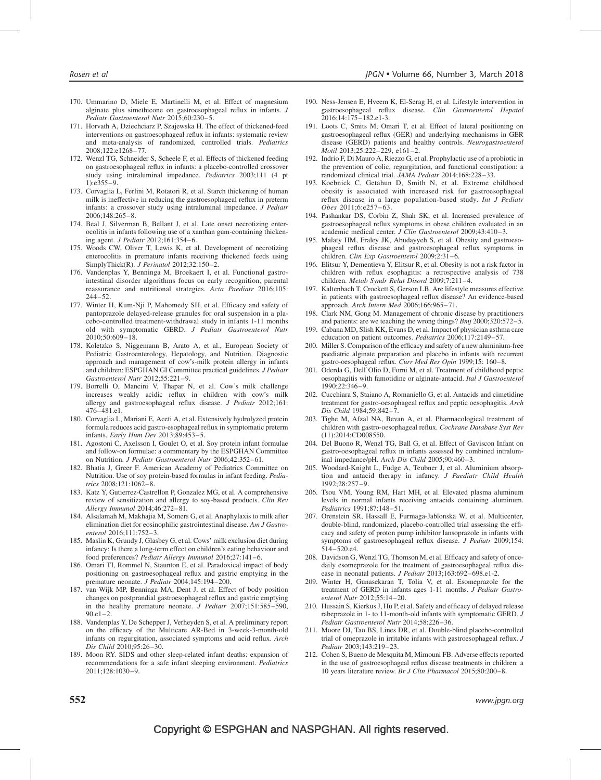- 170. Ummarino D, Miele E, Martinelli M, et al. Effect of magnesium alginate plus simethicone on gastroesophageal reflux in infants. J Pediatr Gastroenterol Nutr 2015;60:230–5.
- 171. Horvath A, Dziechciarz P, Szajewska H. The effect of thickened-feed interventions on gastroesophageal reflux in infants: systematic review and meta-analysis of randomized, controlled trials. Pediatrics 2008;122:e1268–77.
- 172. Wenzl TG, Schneider S, Scheele F, et al. Effects of thickened feeding on gastroesophageal reflux in infants: a placebo-controlled crossover study using intraluminal impedance. Pediatrics 2003;111 (4 pt 1):e355–9.
- 173. Corvaglia L, Ferlini M, Rotatori R, et al. Starch thickening of human milk is ineffective in reducing the gastroesophageal reflux in preterm infants: a crossover study using intraluminal impedance. J Pediatr 2006;148:265–8.
- 174. Beal J, Silverman B, Bellant J, et al. Late onset necrotizing enterocolitis in infants following use of a xanthan gum-containing thickening agent. J Pediatr 2012;161:354–6.
- 175. Woods CW, Oliver T, Lewis K, et al. Development of necrotizing enterocolitis in premature infants receiving thickened feeds using SimplyThick(R). *J Perinatol* 2012;32:150-2.
- 176. Vandenplas Y, Benninga M, Broekaert I, et al. Functional gastrointestinal disorder algorithms focus on early recognition, parental reassurance and nutritional strategies. Acta Paediatr 2016;105: 244–52.
- 177. Winter H, Kum-Nji P, Mahomedy SH, et al. Efficacy and safety of pantoprazole delayed-release granules for oral suspension in a placebo-controlled treatment-withdrawal study in infants 1-11 months old with symptomatic GERD. J Pediatr Gastroenterol Nutr  $2010:50:609-18$ .
- 178. Koletzko S, Niggemann B, Arato A, et al., European Society of Pediatric Gastroenterology, Hepatology, and Nutrition. Diagnostic approach and management of cow's-milk protein allergy in infants and children: ESPGHAN GI Committee practical guidelines. J Pediatr Gastroenterol Nutr 2012;55:221–9.
- 179. Borrelli O, Mancini V, Thapar N, et al. Cow's milk challenge increases weakly acidic reflux in children with cow's milk allergy and gastroesophageal reflux disease. J Pediatr 2012;161: 476–481.e1.
- 180. Corvaglia L, Mariani E, Aceti A, et al. Extensively hydrolyzed protein formula reduces acid gastro-esophageal reflux in symptomatic preterm infants. Early Hum Dev 2013;89:453–5.
- 181. Agostoni C, Axelsson I, Goulet O, et al. Soy protein infant formulae and follow-on formulae: a commentary by the ESPGHAN Committee on Nutrition. J Pediatr Gastroenterol Nutr 2006;42:352–61.
- 182. Bhatia J, Greer F. American Academy of Pediatrics Committee on Nutrition. Use of soy protein-based formulas in infant feeding. Pediatrics 2008;121:1062–8.
- 183. Katz Y, Gutierrez-Castrellon P, Gonzalez MG, et al. A comprehensive review of sensitization and allergy to soy-based products. Clin Rev Allergy Immunol 2014;46:272–81.
- 184. Alsalamah M, Makhajia M, Somers G, et al. Anaphylaxis to milk after elimination diet for eosinophilic gastrointestinal disease. Am J Gastroenterol 2016;111:752–3.
- 185. Maslin K, Grundy J, Glasbey G, et al. Cows' milk exclusion diet during infancy: Is there a long-term effect on children's eating behaviour and food preferences? Pediatr Allergy Immunol 2016;27:141–6.
- 186. Omari TI, Rommel N, Staunton E, et al. Paradoxical impact of body positioning on gastroesophageal reflux and gastric emptying in the premature neonate. J Pediatr 2004;145:194–200.
- 187. van Wijk MP, Benninga MA, Dent J, et al. Effect of body position changes on postprandial gastroesophageal reflux and gastric emptying in the healthy premature neonate. *J Pediatr* 2007;151:585-590,  $90.e1 - 2.$
- 188. Vandenplas Y, De Schepper J, Verheyden S, et al. A preliminary report on the efficacy of the Multicare AR-Bed in 3-week-3-month-old infants on regurgitation, associated symptoms and acid reflux. Arch Dis Child 2010;95:26–30.
- 189. Moon RY. SIDS and other sleep-related infant deaths: expansion of recommendations for a safe infant sleeping environment. Pediatrics 2011;128:1030–9.
- 190. Ness-Jensen E, Hveem K, El-Serag H, et al. Lifestyle intervention in gastroesophageal reflux disease. Clin Gastroenterol Hepatol 2016;14:175–182.e1-3.
- 191. Loots C, Smits M, Omari T, et al. Effect of lateral positioning on gastroesophageal reflux (GER) and underlying mechanisms in GER disease (GERD) patients and healthy controls. Neurogastroenterol Motil 2013;25:222–229, e161–2.
- 192. Indrio F, Di Mauro A, Riezzo G, et al. Prophylactic use of a probiotic in the prevention of colic, regurgitation, and functional constipation: a randomized clinical trial. JAMA Pediatr 2014;168:228–33.
- 193. Koebnick C, Getahun D, Smith N, et al. Extreme childhood obesity is associated with increased risk for gastroesophageal reflux disease in a large population-based study. Int J Pediatr Obes 2011;6:e257–63.
- 194. Pashankar DS, Corbin Z, Shah SK, et al. Increased prevalence of gastroesophageal reflux symptoms in obese children evaluated in an academic medical center. J Clin Gastroenterol 2009;43:410–3.
- 195. Malaty HM, Fraley JK, Abudayyeh S, et al. Obesity and gastroesophageal reflux disease and gastroesophageal reflux symptoms in children. Clin Exp Gastroenterol 2009;2:31–6.
- 196. Elitsur Y, Dementieva Y, Elitsur R, et al. Obesity is not a risk factor in children with reflux esophagitis: a retrospective analysis of 738 children. Metab Syndr Relat Disord 2009;7:211–4.
- 197. Kaltenbach T, Crockett S, Gerson LB. Are lifestyle measures effective in patients with gastroesophageal reflux disease? An evidence-based approach. Arch Intern Med 2006;166:965–71.
- 198. Clark NM, Gong M. Management of chronic disease by practitioners and patients: are we teaching the wrong things? Bmj 2000;320:572–5.
- 199. Cabana MD, Slish KK, Evans D, et al. Impact of physician asthma care education on patient outcomes. Pediatrics 2006;117:2149–57.
- 200. Miller S. Comparison of the efficacy and safety of a new aluminium-free paediatric alginate preparation and placebo in infants with recurrent gastro-oesophageal reflux. Curr Med Res Opin 1999;15: 160–8.
- 201. Oderda G, Dell'Olio D, Forni M, et al. Treatment of childhood peptic oesophagitis with famotidine or alginate-antacid. Ital J Gastroenterol 1990;22:346–9.
- 202. Cucchiara S, Staiano A, Romaniello G, et al. Antacids and cimetidine treatment for gastro-oesophageal reflux and peptic oesophagitis. Arch Dis Child 1984;59:842–7.
- 203. Tighe M, Afzal NA, Bevan A, et al. Pharmacological treatment of children with gastro-oesophageal reflux. Cochrane Database Syst Rev (11):2014:CD008550.
- 204. Del Buono R, Wenzl TG, Ball G, et al. Effect of Gaviscon Infant on gastro-oesophageal reflux in infants assessed by combined intraluminal impedance/pH. Arch Dis Child 2005;90:460–3.
- 205. Woodard-Knight L, Fudge A, Teubner J, et al. Aluminium absorption and antacid therapy in infancy. J Paediatr Child Health 1992;28:257–9.
- 206. Tsou VM, Young RM, Hart MH, et al. Elevated plasma aluminum levels in normal infants receiving antacids containing aluminum. Pediatrics 1991;87:148–51.
- 207. Orenstein SR, Hassall E, Furmaga-Jablonska W, et al. Multicenter, double-blind, randomized, placebo-controlled trial assessing the efficacy and safety of proton pump inhibitor lansoprazole in infants with symptoms of gastroesophageal reflux disease. J Pediatr 2009;154: 514–520.e4.
- 208. Davidson G, Wenzl TG, Thomson M, et al. Efficacy and safety of oncedaily esomeprazole for the treatment of gastroesophageal reflux disease in neonatal patients. J Pediatr 2013;163:692–698.e1-2.
- 209. Winter H, Gunasekaran T, Tolia V, et al. Esomeprazole for the treatment of GERD in infants ages 1-11 months. J Pediatr Gastroenterol Nutr 2012;55:14–20.
- 210. Hussain S, Kierkus J, Hu P, et al. Safety and efficacy of delayed release rabeprazole in 1- to 11-month-old infants with symptomatic GERD. J Pediatr Gastroenterol Nutr 2014;58:226–36.
- 211. Moore DJ, Tao BS, Lines DR, et al. Double-blind placebo-controlled trial of omeprazole in irritable infants with gastroesophageal reflux. J Pediatr 2003;143:219–23.
- 212. Cohen S, Bueno de Mesquita M, Mimouni FB. Adverse effects reported in the use of gastroesophageal reflux disease treatments in children: a 10 years literature review. Br J Clin Pharmacol 2015;80:200–8.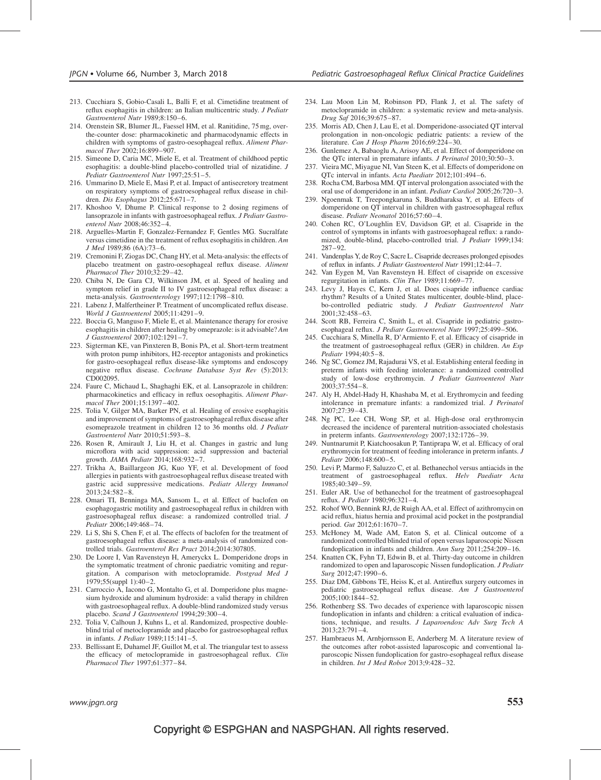- 213. Cucchiara S, Gobio-Casali L, Balli F, et al. Cimetidine treatment of reflux esophagitis in children: an Italian multicentric study. J Pediatr Gastroenterol Nutr 1989;8:150–6.
- 214. Orenstein SR, Blumer JL, Faessel HM, et al. Ranitidine, 75 mg, overthe-counter dose: pharmacokinetic and pharmacodynamic effects in children with symptoms of gastro-oesophageal reflux. Aliment Pharmacol Ther 2002;16:899–907.
- 215. Simeone D, Caria MC, Miele E, et al. Treatment of childhood peptic esophagitis: a double-blind placebo-controlled trial of nizatidine. J Pediatr Gastroenterol Nutr 1997;25:51–5.
- 216. Ummarino D, Miele E, Masi P, et al. Impact of antisecretory treatment on respiratory symptoms of gastroesophageal reflux disease in children. Dis Esophagus 2012;25:671–7.
- 217. Khoshoo V, Dhume P. Clinical response to 2 dosing regimens of lansoprazole in infants with gastroesophageal reflux. J Pediatr Gastroenterol Nutr 2008;46:352–4.
- 218. Arguelles-Martin F, Gonzalez-Fernandez F, Gentles MG. Sucralfate versus cimetidine in the treatment of reflux esophagitis in children. Am J Med 1989;86 (6A):73–6.
- 219. Cremonini F, Ziogas DC, Chang HY, et al. Meta-analysis: the effects of placebo treatment on gastro-oesophageal reflux disease. Aliment Pharmacol Ther 2010;32:29–42.
- 220. Chiba N, De Gara CJ, Wilkinson JM, et al. Speed of healing and symptom relief in grade II to IV gastroesophageal reflux disease: a meta-analysis. Gastroenterology 1997;112:1798–810.
- 221. Labenz J, Malfertheiner P. Treatment of uncomplicated reflux disease. World J Gastroenterol 2005;11:4291–9.
- 222. Boccia G, Manguso F, Miele E, et al. Maintenance therapy for erosive esophagitis in children after healing by omeprazole: is it advisable? Am J Gastroenterol 2007;102:1291–7.
- 223. Sigterman KE, van Pinxteren B, Bonis PA, et al. Short-term treatment with proton pump inhibitors, H2-receptor antagonists and prokinetics for gastro-oesophageal reflux disease-like symptoms and endoscopy negative reflux disease. Cochrane Database Syst Rev (5):2013: CD002095.
- 224. Faure C, Michaud L, Shaghaghi EK, et al. Lansoprazole in children: pharmacokinetics and efficacy in reflux oesophagitis. Aliment Pharmacol Ther 2001;15:1397–402.
- 225. Tolia V, Gilger MA, Barker PN, et al. Healing of erosive esophagitis and improvement of symptoms of gastroesophageal reflux disease after esomeprazole treatment in children 12 to 36 months old. J Pediatr Gastroenterol Nutr 2010;51:593–8.
- 226. Rosen R, Amirault J, Liu H, et al. Changes in gastric and lung microflora with acid suppression: acid suppression and bacterial growth. JAMA Pediatr 2014;168:932–7.
- 227. Trikha A, Baillargeon JG, Kuo YF, et al. Development of food allergies in patients with gastroesophageal reflux disease treated with gastric acid suppressive medications. Pediatr Allergy Immunol 2013;24:582–8.
- 228. Omari TI, Benninga MA, Sansom L, et al. Effect of baclofen on esophagogastric motility and gastroesophageal reflux in children with gastroesophageal reflux disease: a randomized controlled trial. J Pediatr 2006;149:468–74.
- 229. Li S, Shi S, Chen F, et al. The effects of baclofen for the treatment of gastroesophageal reflux disease: a meta-analysis of randomized controlled trials. Gastroenterol Res Pract 2014;2014:307805.
- 230. De Loore I, Van Ravensteyn H, Ameryckx L. Domperidone drops in the symptomatic treatment of chronic paediatric vomiting and regurgitation. A comparison with metoclopramide. Postgrad Med J 1979;55(suppl 1):40–2.
- 231. Carroccio A, Iacono G, Montalto G, et al. Domperidone plus magnesium hydroxide and aluminum hydroxide: a valid therapy in children with gastroesophageal reflux. A double-blind randomized study versus placebo. Scand J Gastroenterol 1994;29:300–4.
- 232. Tolia V, Calhoun J, Kuhns L, et al. Randomized, prospective doubleblind trial of metoclopramide and placebo for gastroesophageal reflux in infants. J Pediatr 1989;115:141–5.
- 233. Bellissant E, Duhamel JF, Guillot M, et al. The triangular test to assess the efficacy of metoclopramide in gastroesophageal reflux. Clin Pharmacol Ther 1997;61:377–84.
- 234. Lau Moon Lin M, Robinson PD, Flank J, et al. The safety of metoclopramide in children: a systematic review and meta-analysis. Drug Saf 2016;39:675–87.
- 235. Morris AD, Chen J, Lau E, et al. Domperidone-associated QT interval prolongation in non-oncologic pediatric patients: a review of the literature. Can J Hosp Pharm 2016;69:224–30.
- 236. Gunlemez A, Babaoglu A, Arisoy AE, et al. Effect of domperidone on the QTc interval in premature infants. J Perinatol 2010;30:50-3.
- 237. Vieira MC, Miyague NI, Van Steen K, et al. Effects of domperidone on QTc interval in infants. Acta Paediatr 2012;101:494–6.
- 238. Rocha CM, Barbosa MM. QT interval prolongation associated with the oral use of domperidone in an infant. Pediatr Cardiol 2005;26:720–3.
- 239. Ngoenmak T, Treepongkaruna S, Buddharaksa Y, et al. Effects of domperidone on QT interval in children with gastroesophageal reflux disease. Pediatr Neonatol 2016;57:60–4.
- 240. Cohen RC, O'Loughlin EV, Davidson GP, et al. Cisapride in the control of symptoms in infants with gastroesophageal reflux: a randomized, double-blind, placebo-controlled trial. J Pediatr 1999;134: 287–92.
- 241. Vandenplas Y, de Roy C, Sacre L. Cisapride decreases prolonged episodes of reflux in infants. J Pediatr Gastroenterol Nutr 1991;12:44–7.
- 242. Van Eygen M, Van Ravensteyn H. Effect of cisapride on excessive regurgitation in infants. Clin Ther 1989;11:669–77.
- 243. Levy J, Hayes C, Kern J, et al. Does cisapride influence cardiac rhythm? Results of a United States multicenter, double-blind, placebo-controlled pediatric study. J Pediatr Gastroenterol Nutr 2001;32:458–63.
- 244. Scott RB, Ferreira C, Smith L, et al. Cisapride in pediatric gastroesophageal reflux. J Pediatr Gastroenterol Nutr 1997;25:499–506.
- 245. Cucchiara S, Minella R, D'Armiento F, et al. Efficacy of cisapride in the treatment of gastroesophageal reflux (GER) in children. An Esp Pediatr 1994;40:5–8.
- 246. Ng SC, Gomez JM, Rajadurai VS, et al. Establishing enteral feeding in preterm infants with feeding intolerance: a randomized controlled study of low-dose erythromycin. J Pediatr Gastroenterol Nutr 2003;37:554–8.
- 247. Aly H, Abdel-Hady H, Khashaba M, et al. Erythromycin and feeding intolerance in premature infants: a randomized trial. J Perinatol 2007;27:39–43.
- 248. Ng PC, Lee CH, Wong SP, et al. High-dose oral erythromycin decreased the incidence of parenteral nutrition-associated cholestasis in preterm infants. Gastroenterology 2007;132:1726–39.
- 249. Nuntnarumit P, Kiatchoosakun P, Tantiprapa W, et al. Efficacy of oral erythromycin for treatment of feeding intolerance in preterm infants. J Pediatr 2006;148:600–5.
- 250. Levi P, Marmo F, Saluzzo C, et al. Bethanechol versus antiacids in the treatment of gastroesophageal reflux. Helv Paediatr Acta 1985;40:349–59.
- 251. Euler AR. Use of bethanechol for the treatment of gastroesophageal reflux. J Pediatr 1980;96:321–4.
- 252. Rohof WO, Bennink RJ, de Ruigh AA, et al. Effect of azithromycin on acid reflux, hiatus hernia and proximal acid pocket in the postprandial period. Gut 2012;61:1670–7.
- 253. McHoney M, Wade AM, Eaton S, et al. Clinical outcome of a randomized controlled blinded trial of open versus laparoscopic Nissen fundoplication in infants and children. Ann Surg 2011;254:209–16.
- 254. Knatten CK, Fyhn TJ, Edwin B, et al. Thirty-day outcome in children randomized to open and laparoscopic Nissen fundoplication. J Pediatr Surg 2012;47:1990–6.
- 255. Diaz DM, Gibbons TE, Heiss K, et al. Antireflux surgery outcomes in pediatric gastroesophageal reflux disease. Am J Gastroenterol 2005;100:1844–52.
- 256. Rothenberg SS. Two decades of experience with laparoscopic nissen fundoplication in infants and children: a critical evaluation of indications, technique, and results. J Laparoendosc Adv Surg Tech A 2013;23:791–4.
- 257. Hambraeus M, Arnbjornsson E, Anderberg M. A literature review of the outcomes after robot-assisted laparoscopic and conventional laparoscopic Nissen fundoplication for gastro-esophageal reflux disease in children. Int J Med Robot 2013;9:428–32.